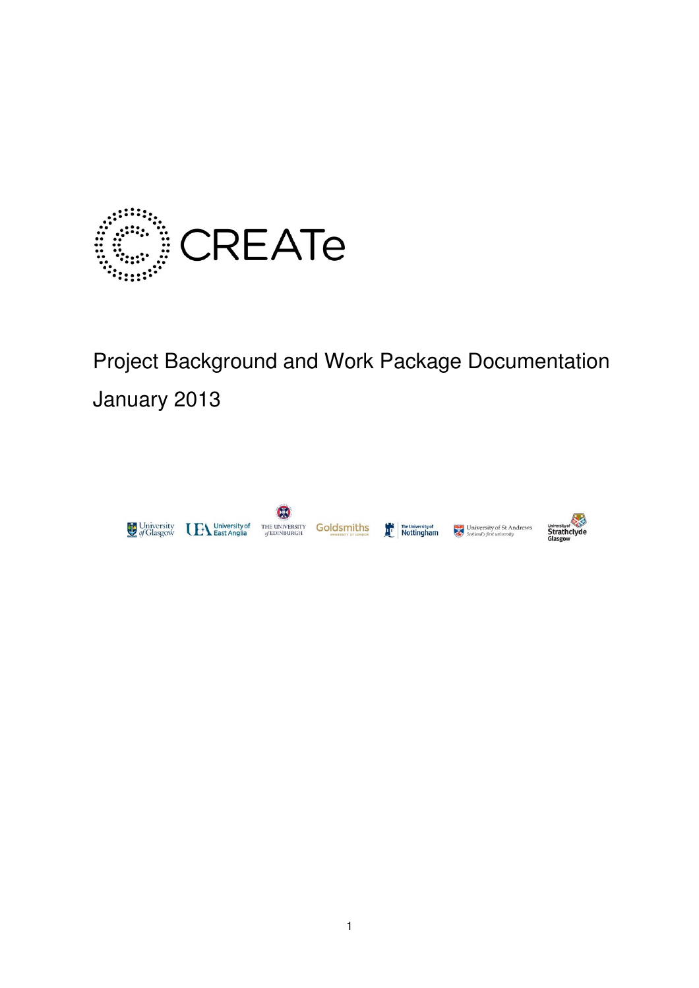

# Project Background and Work Package Documentation January 2013

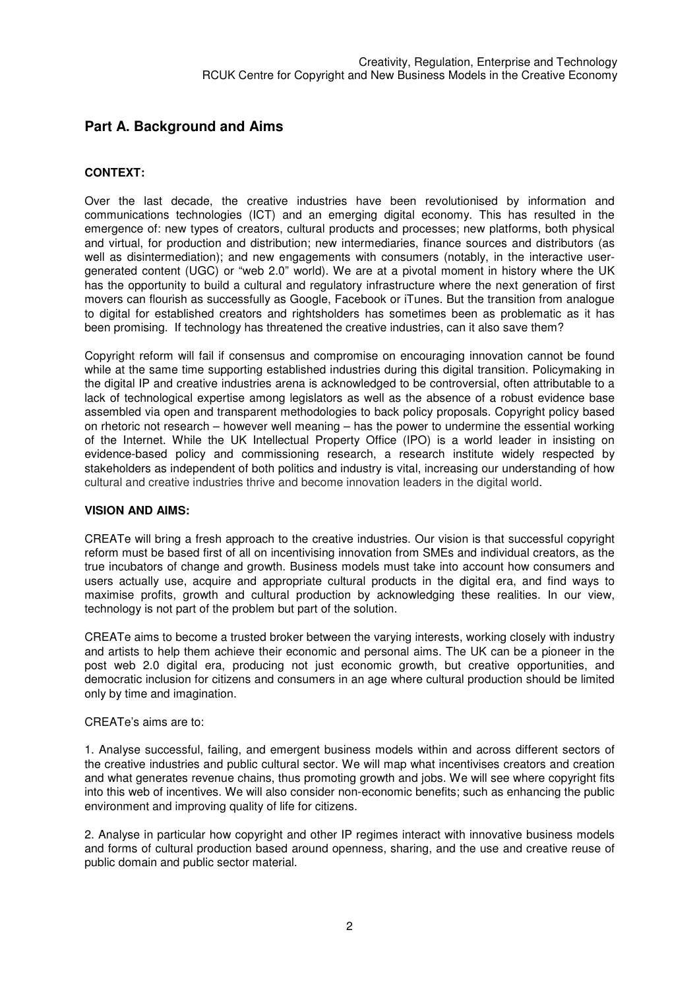## **Part A. Background and Aims**

## **CONTEXT:**

Over the last decade, the creative industries have been revolutionised by information and communications technologies (ICT) and an emerging digital economy. This has resulted in the emergence of: new types of creators, cultural products and processes; new platforms, both physical and virtual, for production and distribution; new intermediaries, finance sources and distributors (as well as disintermediation); and new engagements with consumers (notably, in the interactive usergenerated content (UGC) or "web 2.0" world). We are at a pivotal moment in history where the UK has the opportunity to build a cultural and regulatory infrastructure where the next generation of first movers can flourish as successfully as Google, Facebook or iTunes. But the transition from analogue to digital for established creators and rightsholders has sometimes been as problematic as it has been promising. If technology has threatened the creative industries, can it also save them?

Copyright reform will fail if consensus and compromise on encouraging innovation cannot be found while at the same time supporting established industries during this digital transition. Policymaking in the digital IP and creative industries arena is acknowledged to be controversial, often attributable to a lack of technological expertise among legislators as well as the absence of a robust evidence base assembled via open and transparent methodologies to back policy proposals. Copyright policy based on rhetoric not research – however well meaning – has the power to undermine the essential working of the Internet. While the UK Intellectual Property Office (IPO) is a world leader in insisting on evidence-based policy and commissioning research, a research institute widely respected by stakeholders as independent of both politics and industry is vital, increasing our understanding of how cultural and creative industries thrive and become innovation leaders in the digital world.

#### **VISION AND AIMS:**

CREATe will bring a fresh approach to the creative industries. Our vision is that successful copyright reform must be based first of all on incentivising innovation from SMEs and individual creators, as the true incubators of change and growth. Business models must take into account how consumers and users actually use, acquire and appropriate cultural products in the digital era, and find ways to maximise profits, growth and cultural production by acknowledging these realities. In our view, technology is not part of the problem but part of the solution.

CREATe aims to become a trusted broker between the varying interests, working closely with industry and artists to help them achieve their economic and personal aims. The UK can be a pioneer in the post web 2.0 digital era, producing not just economic growth, but creative opportunities, and democratic inclusion for citizens and consumers in an age where cultural production should be limited only by time and imagination.

#### CREATe's aims are to:

1. Analyse successful, failing, and emergent business models within and across different sectors of the creative industries and public cultural sector. We will map what incentivises creators and creation and what generates revenue chains, thus promoting growth and jobs. We will see where copyright fits into this web of incentives. We will also consider non-economic benefits; such as enhancing the public environment and improving quality of life for citizens.

2. Analyse in particular how copyright and other IP regimes interact with innovative business models and forms of cultural production based around openness, sharing, and the use and creative reuse of public domain and public sector material.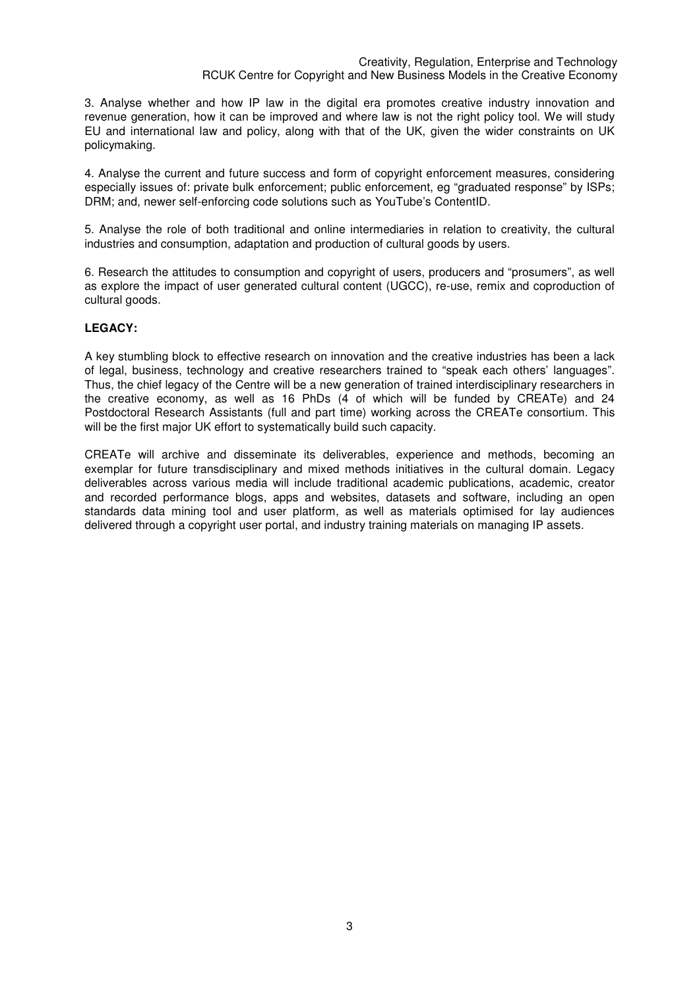3. Analyse whether and how IP law in the digital era promotes creative industry innovation and revenue generation, how it can be improved and where law is not the right policy tool. We will study EU and international law and policy, along with that of the UK, given the wider constraints on UK policymaking.

4. Analyse the current and future success and form of copyright enforcement measures, considering especially issues of: private bulk enforcement; public enforcement, eg "graduated response" by ISPs; DRM; and, newer self-enforcing code solutions such as YouTube's ContentID.

5. Analyse the role of both traditional and online intermediaries in relation to creativity, the cultural industries and consumption, adaptation and production of cultural goods by users.

6. Research the attitudes to consumption and copyright of users, producers and "prosumers", as well as explore the impact of user generated cultural content (UGCC), re-use, remix and coproduction of cultural goods.

## **LEGACY:**

A key stumbling block to effective research on innovation and the creative industries has been a lack of legal, business, technology and creative researchers trained to "speak each others' languages". Thus, the chief legacy of the Centre will be a new generation of trained interdisciplinary researchers in the creative economy, as well as 16 PhDs (4 of which will be funded by CREATe) and 24 Postdoctoral Research Assistants (full and part time) working across the CREATe consortium. This will be the first major UK effort to systematically build such capacity.

CREATe will archive and disseminate its deliverables, experience and methods, becoming an exemplar for future transdisciplinary and mixed methods initiatives in the cultural domain. Legacy deliverables across various media will include traditional academic publications, academic, creator and recorded performance blogs, apps and websites, datasets and software, including an open standards data mining tool and user platform, as well as materials optimised for lay audiences delivered through a copyright user portal, and industry training materials on managing IP assets.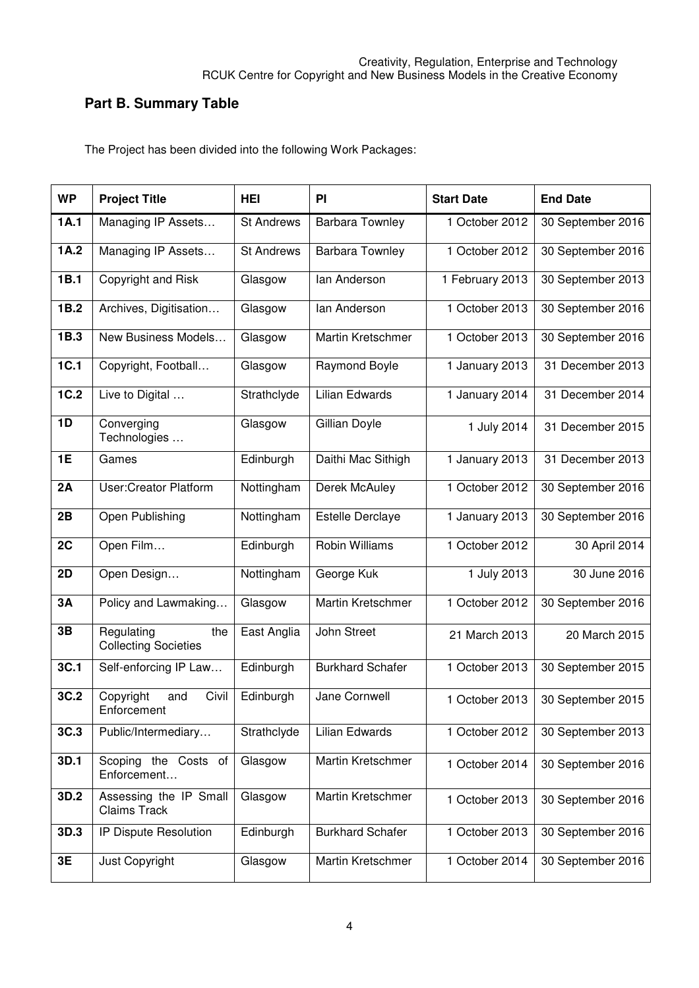# **Part B. Summary Table**

The Project has been divided into the following Work Packages:

| <b>WP</b> | <b>Project Title</b>                             | <b>HEI</b>        | PI                      | <b>Start Date</b> | <b>End Date</b>   |
|-----------|--------------------------------------------------|-------------------|-------------------------|-------------------|-------------------|
| 1A.1      | Managing IP Assets                               | <b>St Andrews</b> | <b>Barbara Townley</b>  | 1 October 2012    | 30 September 2016 |
| 1A.2      | Managing IP Assets                               | <b>St Andrews</b> | <b>Barbara Townley</b>  | 1 October 2012    | 30 September 2016 |
| 1B.1      | Copyright and Risk                               | Glasgow           | lan Anderson            | 1 February 2013   | 30 September 2013 |
| 1B.2      | Archives, Digitisation                           | Glasgow           | lan Anderson            | 1 October 2013    | 30 September 2016 |
| 1B.3      | New Business Models                              | Glasgow           | Martin Kretschmer       | 1 October 2013    | 30 September 2016 |
| 1C.1      | Copyright, Football                              | Glasgow           | Raymond Boyle           | 1 January 2013    | 31 December 2013  |
| 1C.2      | Live to Digital                                  | Strathclyde       | Lilian Edwards          | 1 January 2014    | 31 December 2014  |
| 1D        | Converging<br>Technologies                       | Glasgow           | Gillian Doyle           | 1 July 2014       | 31 December 2015  |
| 1E        | Games                                            | Edinburgh         | Daithi Mac Sithigh      | 1 January 2013    | 31 December 2013  |
| 2A        | <b>User:Creator Platform</b>                     | Nottingham        | Derek McAuley           | 1 October 2012    | 30 September 2016 |
| 2B        | Open Publishing                                  | Nottingham        | <b>Estelle Derclaye</b> | 1 January 2013    | 30 September 2016 |
| 2C        | Open Film                                        | Edinburgh         | Robin Williams          | 1 October 2012    | 30 April 2014     |
| 2D        | Open Design                                      | Nottingham        | George Kuk              | 1 July 2013       | 30 June 2016      |
| 3A        | Policy and Lawmaking                             | Glasgow           | Martin Kretschmer       | 1 October 2012    | 30 September 2016 |
| 3B        | Regulating<br>the<br><b>Collecting Societies</b> | East Anglia       | John Street             | 21 March 2013     | 20 March 2015     |
| 3C.1      | Self-enforcing IP Law                            | Edinburgh         | <b>Burkhard Schafer</b> | 1 October 2013    | 30 September 2015 |
| 3C.2      | Civil<br>Copyright<br>and<br>Enforcement         | Edinburgh         | Jane Cornwell           | 1 October 2013    | 30 September 2015 |
| 3C.3      | Public/Intermediary                              | Strathclyde       | Lilian Edwards          | 1 October 2012    | 30 September 2013 |
| 3D.1      | Scoping the Costs of<br>Enforcement              | Glasgow           | Martin Kretschmer       | 1 October 2014    | 30 September 2016 |
| 3D.2      | Assessing the IP Small<br><b>Claims Track</b>    | Glasgow           | Martin Kretschmer       | 1 October 2013    | 30 September 2016 |
| 3D.3      | IP Dispute Resolution                            | Edinburgh         | <b>Burkhard Schafer</b> | 1 October 2013    | 30 September 2016 |
| 3E        | Just Copyright                                   | Glasgow           | Martin Kretschmer       | 1 October 2014    | 30 September 2016 |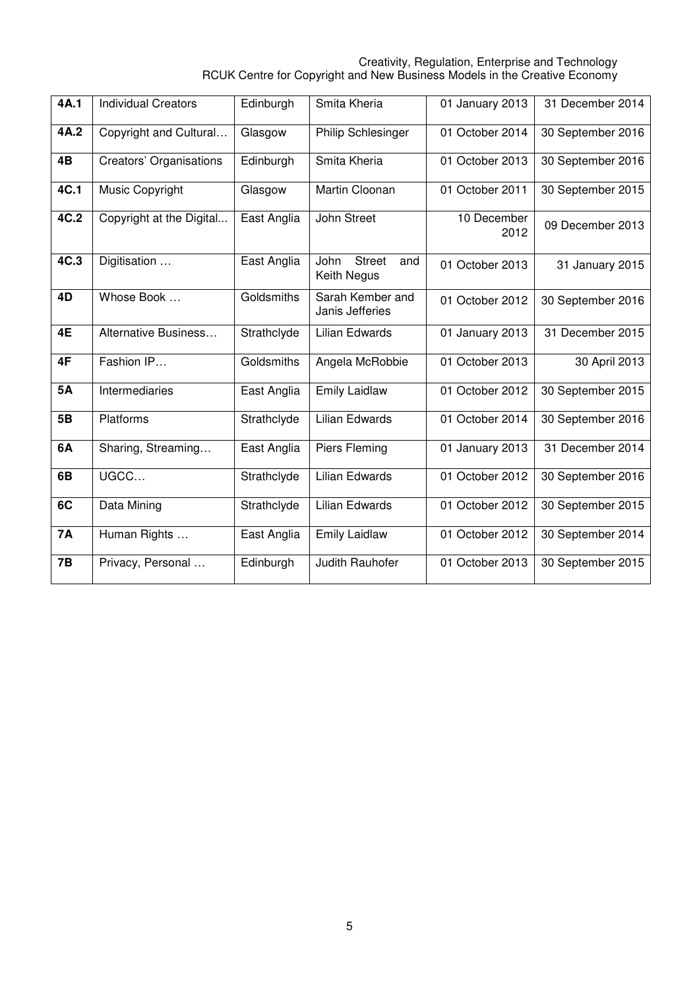#### Creativity, Regulation, Enterprise and Technology RCUK Centre for Copyright and New Business Models in the Creative Economy

| 4A.1       | <b>Individual Creators</b> | Edinburgh   | Smita Kheria                                | 01 January 2013     | 31 December 2014  |
|------------|----------------------------|-------------|---------------------------------------------|---------------------|-------------------|
|            |                            |             |                                             |                     |                   |
| 4A.2       | Copyright and Cultural     | Glasgow     | Philip Schlesinger                          | 01 October 2014     | 30 September 2016 |
| 4B         | Creators' Organisations    | Edinburgh   | Smita Kheria                                | 01 October 2013     | 30 September 2016 |
| 4C.1       | Music Copyright            | Glasgow     | Martin Cloonan                              | 01 October 2011     | 30 September 2015 |
| 4C.2       | Copyright at the Digital   | East Anglia | John Street                                 | 10 December<br>2012 | 09 December 2013  |
| 4C.3       | Digitisation               | East Anglia | John<br><b>Street</b><br>and<br>Keith Negus | 01 October 2013     | 31 January 2015   |
| 4D         | Whose Book                 | Goldsmiths  | Sarah Kember and<br>Janis Jefferies         | 01 October 2012     | 30 September 2016 |
| 4E         | Alternative Business       | Strathclyde | Lilian Edwards                              | 01 January 2013     | 31 December 2015  |
| 4F         | Fashion IP                 | Goldsmiths  | Angela McRobbie                             | 01 October 2013     | 30 April 2013     |
| <b>5A</b>  | Intermediaries             | East Anglia | <b>Emily Laidlaw</b>                        | 01 October 2012     | 30 September 2015 |
| 5 <b>B</b> | Platforms                  | Strathclyde | <b>Lilian Edwards</b>                       | 01 October 2014     | 30 September 2016 |
| 6A         | Sharing, Streaming         | East Anglia | Piers Fleming                               | 01 January 2013     | 31 December 2014  |
| 6B         | UGCC                       | Strathclyde | <b>Lilian Edwards</b>                       | 01 October 2012     | 30 September 2016 |
| 6C         | Data Mining                | Strathclyde | <b>Lilian Edwards</b>                       | 01 October 2012     | 30 September 2015 |
| <b>7A</b>  | Human Rights               | East Anglia | <b>Emily Laidlaw</b>                        | 01 October 2012     | 30 September 2014 |
| 7B         | Privacy, Personal          | Edinburgh   | Judith Rauhofer                             | 01 October 2013     | 30 September 2015 |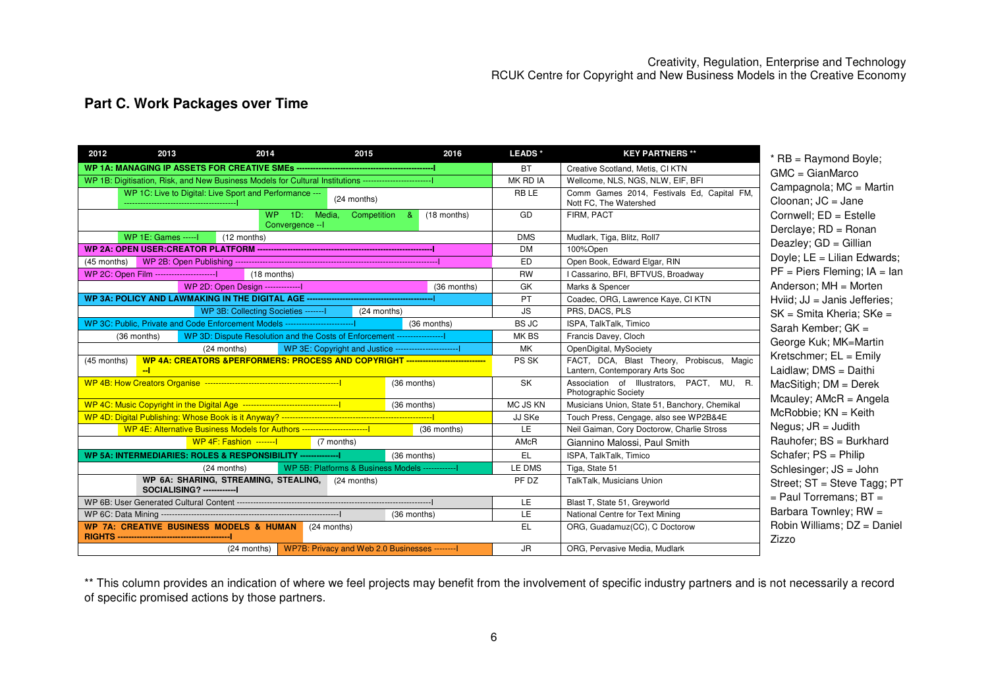# **Part C. Work Packages over Time**

| 2012        | 2013                                                                                                          | 2014                                                                              | 2015                                                                             | 2016          | LEADS <sup>*</sup> | <b>KEY PARTNERS **</b>                                                      | * RB = Raymond Boyle;                            |
|-------------|---------------------------------------------------------------------------------------------------------------|-----------------------------------------------------------------------------------|----------------------------------------------------------------------------------|---------------|--------------------|-----------------------------------------------------------------------------|--------------------------------------------------|
|             |                                                                                                               |                                                                                   |                                                                                  |               | <b>BT</b>          | Creative Scotland, Metis, CI KTN                                            | $GMC = GianMarco$                                |
|             | WP 1B: Digitisation, Risk, and New Business Models for Cultural Institutions -------------------------------- |                                                                                   |                                                                                  |               | MK RD IA           | Wellcome, NLS, NGS, NLW, EIF, BFI                                           | Campagnola; MC = Mar                             |
|             |                                                                                                               | WP 1C: Live to Digital: Live Sport and Performance ---                            | (24 months)                                                                      |               | <b>RBLE</b>        | Comm Games 2014, Festivals Ed, Capital FM,<br>Nott FC, The Watershed        | Cloonan; $JC = Jane$                             |
|             |                                                                                                               | Convergence -- I                                                                  | WP 1D: Media, Competition &                                                      | $(18$ months) | GD                 | FIRM, PACT                                                                  | Cornwell; ED = Estelle<br>Derclaye; RD = Ronan   |
|             | <b>WP 1E: Games ----- I</b>                                                                                   | $(12$ months)                                                                     |                                                                                  |               | <b>DMS</b>         | Mudlark, Tiga, Blitz, Roll7                                                 | Deazley; GD = Gillian                            |
|             |                                                                                                               |                                                                                   |                                                                                  |               | <b>DM</b>          | 100%Open                                                                    |                                                  |
| (45 months) |                                                                                                               |                                                                                   |                                                                                  |               | <b>ED</b>          | Open Book, Edward Elgar, RIN                                                | Doyle; LE = Lilian Edwar                         |
|             | WP 2C: Open Film -------------------------                                                                    | $(18$ months)                                                                     |                                                                                  |               | <b>RW</b>          | I Cassarino, BFI, BFTVUS, Broadway                                          | $PF = Piers Fleming; IA =$                       |
|             |                                                                                                               | WP 2D: Open Design ---------------                                                |                                                                                  | (36 months)   | GK                 | Marks & Spencer                                                             | Anderson; MH = Morten                            |
|             |                                                                                                               |                                                                                   |                                                                                  |               | PT                 | Coadec, ORG, Lawrence Kaye, CI KTN                                          | Hviid; JJ = Janis Jefferie                       |
|             |                                                                                                               | WP 3B: Collecting Societies ------- I                                             | $(24$ months)                                                                    |               | <b>JS</b>          | PRS, DACS, PLS                                                              | SK = Smita Kheria; SKe                           |
|             |                                                                                                               | WP 3C: Public. Private and Code Enforcement Models ------------------------------ |                                                                                  | (36 months)   | <b>BS JC</b>       | ISPA, TalkTalk, Timico                                                      | Sarah Kember; GK =                               |
|             | (36 months)                                                                                                   |                                                                                   | WP 3D: Dispute Resolution and the Costs of Enforcement --------------------      |               | MK BS              | Francis Davey, Cloch                                                        | George Kuk; MK=Martin                            |
|             |                                                                                                               | (24 months)                                                                       | WP 3E: Copyright and Justice ---------------------------                         |               | <b>MK</b>          | OpenDigital, MySociety                                                      | Kretschmer; EL = Emily                           |
| (45 months) | -1                                                                                                            |                                                                                   | WP 4A: CREATORS &PERFORMERS: PROCESS AND COPYRIGHT ----------------------------- |               | PS SK              | FACT, DCA, Blast Theory, Probiscus, Magic<br>Lantern, Contemporary Arts Soc | Laidlaw; DMS = Daithi                            |
|             |                                                                                                               |                                                                                   | (36 months)                                                                      |               | <b>SK</b>          | Association of Illustrators, PACT, MU, R.<br>Photographic Society           | MacSitigh; DM = Derek<br>Mcauley; $AMcR = Angel$ |
|             |                                                                                                               |                                                                                   | (36 months)                                                                      |               | MC JS KN           | Musicians Union, State 51, Banchory, Chemikal                               |                                                  |
|             |                                                                                                               |                                                                                   |                                                                                  |               | JJ SKe             | Touch Press, Cengage, also see WP2B&4E                                      | $McRobbie$ ; $KN = Keith$                        |
|             |                                                                                                               | WP 4E: Alternative Business Models for Authors ---------------------------------  |                                                                                  | (36 months)   | <b>LE</b>          | Neil Gaiman, Cory Doctorow, Charlie Stross                                  | Negus; $JR =$ Judith                             |
|             |                                                                                                               | WP 4F: Fashion -------I                                                           | (7 months)                                                                       |               | AMcR               | Giannino Malossi, Paul Smith                                                | Rauhofer: BS = Burkhar                           |
|             |                                                                                                               | WP 5A: INTERMEDIARIES: ROLES & RESPONSIBILITY ------------------                  | (36 months)                                                                      |               | EL                 | ISPA, TalkTalk, Timico                                                      | Schafer; PS = Philip                             |
|             |                                                                                                               | (24 months)                                                                       | WP 5B: Platforms & Business Models --------------                                |               | LE DMS             | Tiga, State 51                                                              | Schlesinger; JS = John                           |
|             | SOCIALISING? --------------                                                                                   | WP 6A: SHARING, STREAMING, STEALING, (24 months)                                  |                                                                                  |               | PF DZ              | TalkTalk, Musicians Union                                                   | Street; ST = Steve Tagg                          |
|             |                                                                                                               |                                                                                   |                                                                                  |               | <b>LE</b>          | Blast T, State 51, Greyworld                                                | $=$ Paul Torremans; BT $=$                       |
|             |                                                                                                               |                                                                                   | (36 months)                                                                      |               | <b>LE</b>          | National Centre for Text Mining                                             | Barbara Townley; RW =                            |
|             |                                                                                                               | WP 7A: CREATIVE BUSINESS MODELS & HUMAN (24 months)                               |                                                                                  |               | EL                 | ORG, Guadamuz(CC), C Doctorow                                               | Robin Williams; DZ = Da<br>Zizzo                 |
|             |                                                                                                               |                                                                                   | (24 months) WP7B: Privacy and Web 2.0 Businesses --------                        |               | JR.                | ORG, Pervasive Media, Mudlark                                               |                                                  |

 $a; MC = Martin$  $i =$  Jane Cornwell; ED = Estelle Derclaye; RD = Ronan  $D =$  Gillian **Lilian Edwards;** PF = Piers Fleming; IA = lan MH = Morten Hviid; JJ = Janis Jefferies; SK = Smita Kheria; SKe = ber; GK  $=$  George Kuk; MK=Martin  $E = E$ mily  $\textsf{AS} = \textsf{Daithi}$  MacSitigh; DM = Derek Mcauley; AMcR = Angela  $KN =$  Keith - Judith Rauhofer; BS = Burkhard  $=$  Philip Schlesinger; JS = John Street; ST = Steve Tagg; PT  $emans; BT =$  Barbara Townley; RW = ams; DZ = Daniel

\*\* This column provides an indication of where we feel projects may benefit from the involvement of specific industry partners and is not necessarily a record of specific promised actions by those partners.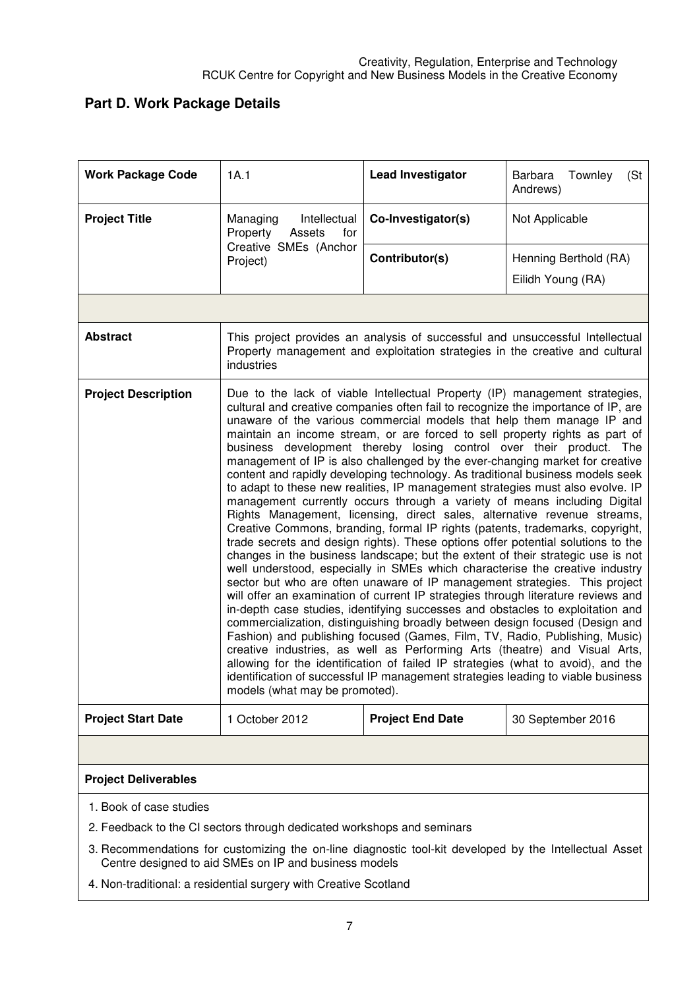# **Part D. Work Package Details**

| <b>Work Package Code</b>                                                                                                                                                                                                                                             | 1A.1                                                                                                                                                                                                                                                                                                                                                                                                                                                                                                                                                                                                                                                                                                                                                                                                                                                                                                                                                                                                                                                                                                                                                                                                                                                                                                                                                                                                                                                                                                                                                                                                                                                                                                                                                                                                                                                            | <b>Lead Investigator</b> | Townley<br>(St)<br>Barbara<br>Andrews)     |  |  |
|----------------------------------------------------------------------------------------------------------------------------------------------------------------------------------------------------------------------------------------------------------------------|-----------------------------------------------------------------------------------------------------------------------------------------------------------------------------------------------------------------------------------------------------------------------------------------------------------------------------------------------------------------------------------------------------------------------------------------------------------------------------------------------------------------------------------------------------------------------------------------------------------------------------------------------------------------------------------------------------------------------------------------------------------------------------------------------------------------------------------------------------------------------------------------------------------------------------------------------------------------------------------------------------------------------------------------------------------------------------------------------------------------------------------------------------------------------------------------------------------------------------------------------------------------------------------------------------------------------------------------------------------------------------------------------------------------------------------------------------------------------------------------------------------------------------------------------------------------------------------------------------------------------------------------------------------------------------------------------------------------------------------------------------------------------------------------------------------------------------------------------------------------|--------------------------|--------------------------------------------|--|--|
| <b>Project Title</b>                                                                                                                                                                                                                                                 | Intellectual<br>Managing<br>Property<br>Assets<br>for                                                                                                                                                                                                                                                                                                                                                                                                                                                                                                                                                                                                                                                                                                                                                                                                                                                                                                                                                                                                                                                                                                                                                                                                                                                                                                                                                                                                                                                                                                                                                                                                                                                                                                                                                                                                           | Co-Investigator(s)       | Not Applicable                             |  |  |
|                                                                                                                                                                                                                                                                      | Creative SMEs (Anchor<br>Project)                                                                                                                                                                                                                                                                                                                                                                                                                                                                                                                                                                                                                                                                                                                                                                                                                                                                                                                                                                                                                                                                                                                                                                                                                                                                                                                                                                                                                                                                                                                                                                                                                                                                                                                                                                                                                               | Contributor(s)           | Henning Berthold (RA)<br>Eilidh Young (RA) |  |  |
|                                                                                                                                                                                                                                                                      |                                                                                                                                                                                                                                                                                                                                                                                                                                                                                                                                                                                                                                                                                                                                                                                                                                                                                                                                                                                                                                                                                                                                                                                                                                                                                                                                                                                                                                                                                                                                                                                                                                                                                                                                                                                                                                                                 |                          |                                            |  |  |
| <b>Abstract</b>                                                                                                                                                                                                                                                      | This project provides an analysis of successful and unsuccessful Intellectual<br>Property management and exploitation strategies in the creative and cultural<br>industries                                                                                                                                                                                                                                                                                                                                                                                                                                                                                                                                                                                                                                                                                                                                                                                                                                                                                                                                                                                                                                                                                                                                                                                                                                                                                                                                                                                                                                                                                                                                                                                                                                                                                     |                          |                                            |  |  |
| <b>Project Description</b>                                                                                                                                                                                                                                           | Due to the lack of viable Intellectual Property (IP) management strategies,<br>cultural and creative companies often fail to recognize the importance of IP, are<br>unaware of the various commercial models that help them manage IP and<br>maintain an income stream, or are forced to sell property rights as part of<br>business development thereby losing control over their product. The<br>management of IP is also challenged by the ever-changing market for creative<br>content and rapidly developing technology. As traditional business models seek<br>to adapt to these new realities, IP management strategies must also evolve. IP<br>management currently occurs through a variety of means including Digital<br>Rights Management, licensing, direct sales, alternative revenue streams,<br>Creative Commons, branding, formal IP rights (patents, trademarks, copyright,<br>trade secrets and design rights). These options offer potential solutions to the<br>changes in the business landscape; but the extent of their strategic use is not<br>well understood, especially in SMEs which characterise the creative industry<br>sector but who are often unaware of IP management strategies. This project<br>will offer an examination of current IP strategies through literature reviews and<br>in-depth case studies, identifying successes and obstacles to exploitation and<br>commercialization, distinguishing broadly between design focused (Design and<br>Fashion) and publishing focused (Games, Film, TV, Radio, Publishing, Music)<br>creative industries, as well as Performing Arts (theatre) and Visual Arts,<br>allowing for the identification of failed IP strategies (what to avoid), and the<br>identification of successful IP management strategies leading to viable business<br>models (what may be promoted). |                          |                                            |  |  |
| <b>Project Start Date</b>                                                                                                                                                                                                                                            | 1 October 2012                                                                                                                                                                                                                                                                                                                                                                                                                                                                                                                                                                                                                                                                                                                                                                                                                                                                                                                                                                                                                                                                                                                                                                                                                                                                                                                                                                                                                                                                                                                                                                                                                                                                                                                                                                                                                                                  | <b>Project End Date</b>  | 30 September 2016                          |  |  |
|                                                                                                                                                                                                                                                                      |                                                                                                                                                                                                                                                                                                                                                                                                                                                                                                                                                                                                                                                                                                                                                                                                                                                                                                                                                                                                                                                                                                                                                                                                                                                                                                                                                                                                                                                                                                                                                                                                                                                                                                                                                                                                                                                                 |                          |                                            |  |  |
| <b>Project Deliverables</b>                                                                                                                                                                                                                                          |                                                                                                                                                                                                                                                                                                                                                                                                                                                                                                                                                                                                                                                                                                                                                                                                                                                                                                                                                                                                                                                                                                                                                                                                                                                                                                                                                                                                                                                                                                                                                                                                                                                                                                                                                                                                                                                                 |                          |                                            |  |  |
| 1. Book of case studies<br>2. Feedback to the CI sectors through dedicated workshops and seminars<br>3. Recommendations for customizing the on-line diagnostic tool-kit developed by the Intellectual Asset<br>Centre designed to aid SMEs on IP and business models |                                                                                                                                                                                                                                                                                                                                                                                                                                                                                                                                                                                                                                                                                                                                                                                                                                                                                                                                                                                                                                                                                                                                                                                                                                                                                                                                                                                                                                                                                                                                                                                                                                                                                                                                                                                                                                                                 |                          |                                            |  |  |
| ditionale a residential surgery with Creative Ces                                                                                                                                                                                                                    |                                                                                                                                                                                                                                                                                                                                                                                                                                                                                                                                                                                                                                                                                                                                                                                                                                                                                                                                                                                                                                                                                                                                                                                                                                                                                                                                                                                                                                                                                                                                                                                                                                                                                                                                                                                                                                                                 |                          |                                            |  |  |

4. Non-traditional: a residential surgery with Creative Scotland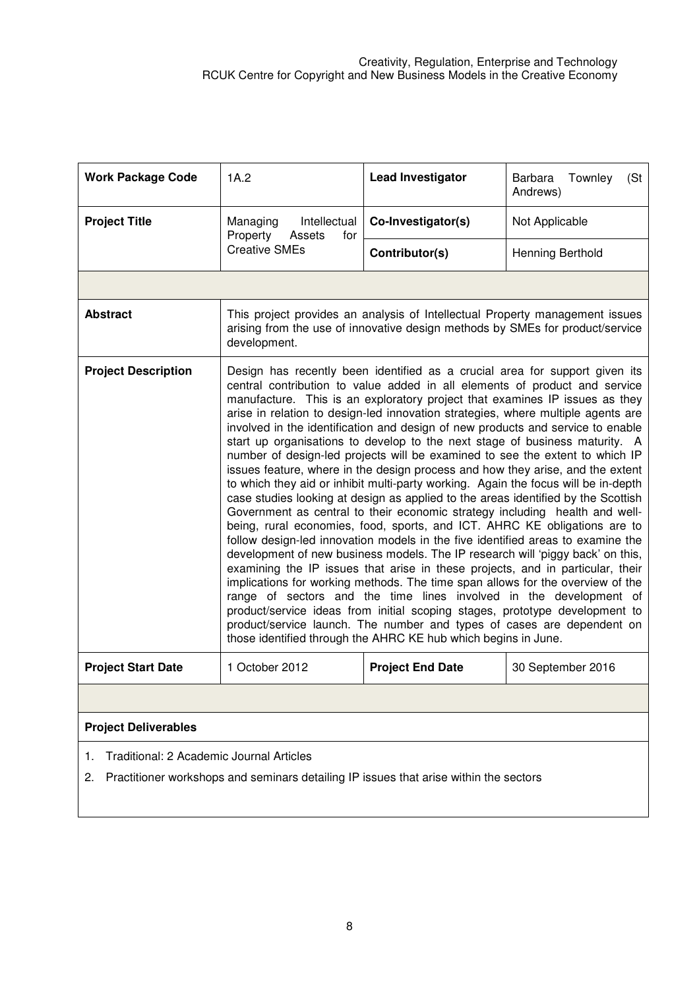| <b>Work Package Code</b>                                                                                                                      | 1A.2                                                                                                                                                                                                                                                                                                                                                                                                                                                                                                                                                                                                                                                                                                                                                                                                                                                                                                                                                                                                                                                                                                                                                                                                                                                                                                                                                                                                                                                                                                                                                                                                                                              | <b>Lead Investigator</b> | Barbara<br>Townley<br>(St)<br>Andrews) |  |  |  |  |
|-----------------------------------------------------------------------------------------------------------------------------------------------|---------------------------------------------------------------------------------------------------------------------------------------------------------------------------------------------------------------------------------------------------------------------------------------------------------------------------------------------------------------------------------------------------------------------------------------------------------------------------------------------------------------------------------------------------------------------------------------------------------------------------------------------------------------------------------------------------------------------------------------------------------------------------------------------------------------------------------------------------------------------------------------------------------------------------------------------------------------------------------------------------------------------------------------------------------------------------------------------------------------------------------------------------------------------------------------------------------------------------------------------------------------------------------------------------------------------------------------------------------------------------------------------------------------------------------------------------------------------------------------------------------------------------------------------------------------------------------------------------------------------------------------------------|--------------------------|----------------------------------------|--|--|--|--|
| <b>Project Title</b>                                                                                                                          | Managing<br>Intellectual<br>Property<br>Assets<br>for                                                                                                                                                                                                                                                                                                                                                                                                                                                                                                                                                                                                                                                                                                                                                                                                                                                                                                                                                                                                                                                                                                                                                                                                                                                                                                                                                                                                                                                                                                                                                                                             | Co-Investigator(s)       | Not Applicable                         |  |  |  |  |
|                                                                                                                                               | <b>Creative SMEs</b>                                                                                                                                                                                                                                                                                                                                                                                                                                                                                                                                                                                                                                                                                                                                                                                                                                                                                                                                                                                                                                                                                                                                                                                                                                                                                                                                                                                                                                                                                                                                                                                                                              | Contributor(s)           | Henning Berthold                       |  |  |  |  |
|                                                                                                                                               |                                                                                                                                                                                                                                                                                                                                                                                                                                                                                                                                                                                                                                                                                                                                                                                                                                                                                                                                                                                                                                                                                                                                                                                                                                                                                                                                                                                                                                                                                                                                                                                                                                                   |                          |                                        |  |  |  |  |
| <b>Abstract</b>                                                                                                                               | This project provides an analysis of Intellectual Property management issues<br>arising from the use of innovative design methods by SMEs for product/service<br>development.                                                                                                                                                                                                                                                                                                                                                                                                                                                                                                                                                                                                                                                                                                                                                                                                                                                                                                                                                                                                                                                                                                                                                                                                                                                                                                                                                                                                                                                                     |                          |                                        |  |  |  |  |
| <b>Project Description</b>                                                                                                                    | Design has recently been identified as a crucial area for support given its<br>central contribution to value added in all elements of product and service<br>manufacture. This is an exploratory project that examines IP issues as they<br>arise in relation to design-led innovation strategies, where multiple agents are<br>involved in the identification and design of new products and service to enable<br>start up organisations to develop to the next stage of business maturity. A<br>number of design-led projects will be examined to see the extent to which IP<br>issues feature, where in the design process and how they arise, and the extent<br>to which they aid or inhibit multi-party working. Again the focus will be in-depth<br>case studies looking at design as applied to the areas identified by the Scottish<br>Government as central to their economic strategy including health and well-<br>being, rural economies, food, sports, and ICT. AHRC KE obligations are to<br>follow design-led innovation models in the five identified areas to examine the<br>development of new business models. The IP research will 'piggy back' on this,<br>examining the IP issues that arise in these projects, and in particular, their<br>implications for working methods. The time span allows for the overview of the<br>range of sectors and the time lines involved in the development of<br>product/service ideas from initial scoping stages, prototype development to<br>product/service launch. The number and types of cases are dependent on<br>those identified through the AHRC KE hub which begins in June. |                          |                                        |  |  |  |  |
| <b>Project Start Date</b>                                                                                                                     | 1 October 2012                                                                                                                                                                                                                                                                                                                                                                                                                                                                                                                                                                                                                                                                                                                                                                                                                                                                                                                                                                                                                                                                                                                                                                                                                                                                                                                                                                                                                                                                                                                                                                                                                                    | <b>Project End Date</b>  | 30 September 2016                      |  |  |  |  |
|                                                                                                                                               |                                                                                                                                                                                                                                                                                                                                                                                                                                                                                                                                                                                                                                                                                                                                                                                                                                                                                                                                                                                                                                                                                                                                                                                                                                                                                                                                                                                                                                                                                                                                                                                                                                                   |                          |                                        |  |  |  |  |
| <b>Project Deliverables</b>                                                                                                                   |                                                                                                                                                                                                                                                                                                                                                                                                                                                                                                                                                                                                                                                                                                                                                                                                                                                                                                                                                                                                                                                                                                                                                                                                                                                                                                                                                                                                                                                                                                                                                                                                                                                   |                          |                                        |  |  |  |  |
| Traditional: 2 Academic Journal Articles<br>1.<br>Practitioner workshops and seminars detailing IP issues that arise within the sectors<br>2. |                                                                                                                                                                                                                                                                                                                                                                                                                                                                                                                                                                                                                                                                                                                                                                                                                                                                                                                                                                                                                                                                                                                                                                                                                                                                                                                                                                                                                                                                                                                                                                                                                                                   |                          |                                        |  |  |  |  |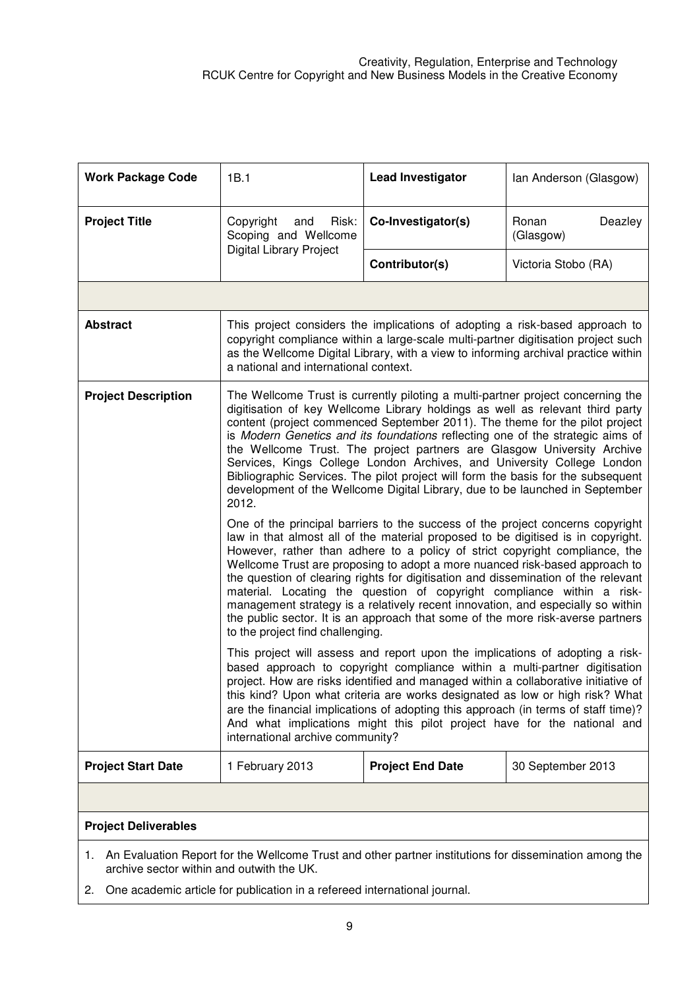| <b>Work Package Code</b>                                                                                                                               | 1B.1                                                                                                                                                                                                                                                                                                                                                                                                                                                                                                                                                                                                                                                                                                       | <b>Lead Investigator</b> | Ian Anderson (Glasgow)        |  |  |  |  |
|--------------------------------------------------------------------------------------------------------------------------------------------------------|------------------------------------------------------------------------------------------------------------------------------------------------------------------------------------------------------------------------------------------------------------------------------------------------------------------------------------------------------------------------------------------------------------------------------------------------------------------------------------------------------------------------------------------------------------------------------------------------------------------------------------------------------------------------------------------------------------|--------------------------|-------------------------------|--|--|--|--|
| <b>Project Title</b>                                                                                                                                   | Copyright<br>Risk:<br>and<br>Scoping and Wellcome                                                                                                                                                                                                                                                                                                                                                                                                                                                                                                                                                                                                                                                          | Co-Investigator(s)       | Ronan<br>Deazley<br>(Glasgow) |  |  |  |  |
|                                                                                                                                                        | <b>Digital Library Project</b>                                                                                                                                                                                                                                                                                                                                                                                                                                                                                                                                                                                                                                                                             | Contributor(s)           | Victoria Stobo (RA)           |  |  |  |  |
|                                                                                                                                                        |                                                                                                                                                                                                                                                                                                                                                                                                                                                                                                                                                                                                                                                                                                            |                          |                               |  |  |  |  |
| <b>Abstract</b>                                                                                                                                        | This project considers the implications of adopting a risk-based approach to<br>copyright compliance within a large-scale multi-partner digitisation project such<br>as the Wellcome Digital Library, with a view to informing archival practice within<br>a national and international context.                                                                                                                                                                                                                                                                                                                                                                                                           |                          |                               |  |  |  |  |
| <b>Project Description</b>                                                                                                                             | The Wellcome Trust is currently piloting a multi-partner project concerning the<br>digitisation of key Wellcome Library holdings as well as relevant third party<br>content (project commenced September 2011). The theme for the pilot project<br>is Modern Genetics and its foundations reflecting one of the strategic aims of<br>the Wellcome Trust. The project partners are Glasgow University Archive<br>Services, Kings College London Archives, and University College London<br>Bibliographic Services. The pilot project will form the basis for the subsequent<br>development of the Wellcome Digital Library, due to be launched in September<br>2012.                                        |                          |                               |  |  |  |  |
|                                                                                                                                                        | One of the principal barriers to the success of the project concerns copyright<br>law in that almost all of the material proposed to be digitised is in copyright.<br>However, rather than adhere to a policy of strict copyright compliance, the<br>Wellcome Trust are proposing to adopt a more nuanced risk-based approach to<br>the question of clearing rights for digitisation and dissemination of the relevant<br>material. Locating the question of copyright compliance within a risk-<br>management strategy is a relatively recent innovation, and especially so within<br>the public sector. It is an approach that some of the more risk-averse partners<br>to the project find challenging. |                          |                               |  |  |  |  |
|                                                                                                                                                        | This project will assess and report upon the implications of adopting a risk-<br>based approach to copyright compliance within a multi-partner digitisation<br>project. How are risks identified and managed within a collaborative initiative of<br>this kind? Upon what criteria are works designated as low or high risk? What<br>are the financial implications of adopting this approach (in terms of staff time)?<br>And what implications might this pilot project have for the national and<br>international archive community?                                                                                                                                                                    |                          |                               |  |  |  |  |
| <b>Project Start Date</b>                                                                                                                              | 1 February 2013                                                                                                                                                                                                                                                                                                                                                                                                                                                                                                                                                                                                                                                                                            | <b>Project End Date</b>  | 30 September 2013             |  |  |  |  |
|                                                                                                                                                        |                                                                                                                                                                                                                                                                                                                                                                                                                                                                                                                                                                                                                                                                                                            |                          |                               |  |  |  |  |
| <b>Project Deliverables</b>                                                                                                                            |                                                                                                                                                                                                                                                                                                                                                                                                                                                                                                                                                                                                                                                                                                            |                          |                               |  |  |  |  |
| 1. An Evaluation Report for the Wellcome Trust and other partner institutions for dissemination among the<br>archive sector within and outwith the UK. |                                                                                                                                                                                                                                                                                                                                                                                                                                                                                                                                                                                                                                                                                                            |                          |                               |  |  |  |  |

2. One academic article for publication in a refereed international journal.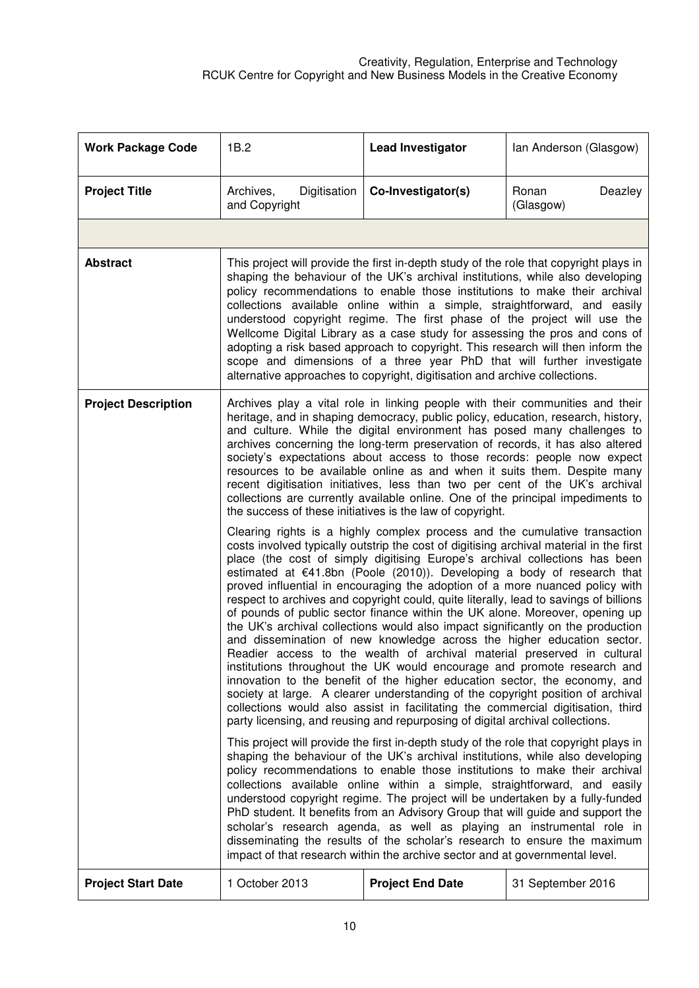| <b>Work Package Code</b>   | 1B.2                                                                                                                                                                                                                                                                                                                                                                                                                                                                                                                                                                                                                                                                                                                                                                                                                                                                                                                                                                                                                                                                                                                                                                                                                                              | <b>Lead Investigator</b> | Ian Anderson (Glasgow)        |  |  |  |
|----------------------------|---------------------------------------------------------------------------------------------------------------------------------------------------------------------------------------------------------------------------------------------------------------------------------------------------------------------------------------------------------------------------------------------------------------------------------------------------------------------------------------------------------------------------------------------------------------------------------------------------------------------------------------------------------------------------------------------------------------------------------------------------------------------------------------------------------------------------------------------------------------------------------------------------------------------------------------------------------------------------------------------------------------------------------------------------------------------------------------------------------------------------------------------------------------------------------------------------------------------------------------------------|--------------------------|-------------------------------|--|--|--|
| <b>Project Title</b>       | Digitisation<br>Archives,<br>and Copyright                                                                                                                                                                                                                                                                                                                                                                                                                                                                                                                                                                                                                                                                                                                                                                                                                                                                                                                                                                                                                                                                                                                                                                                                        | Co-Investigator(s)       | Ronan<br>Deazley<br>(Glasgow) |  |  |  |
|                            |                                                                                                                                                                                                                                                                                                                                                                                                                                                                                                                                                                                                                                                                                                                                                                                                                                                                                                                                                                                                                                                                                                                                                                                                                                                   |                          |                               |  |  |  |
| <b>Abstract</b>            | This project will provide the first in-depth study of the role that copyright plays in<br>shaping the behaviour of the UK's archival institutions, while also developing<br>policy recommendations to enable those institutions to make their archival<br>collections available online within a simple, straightforward, and easily<br>understood copyright regime. The first phase of the project will use the<br>Wellcome Digital Library as a case study for assessing the pros and cons of<br>adopting a risk based approach to copyright. This research will then inform the<br>scope and dimensions of a three year PhD that will further investigate<br>alternative approaches to copyright, digitisation and archive collections.                                                                                                                                                                                                                                                                                                                                                                                                                                                                                                         |                          |                               |  |  |  |
| <b>Project Description</b> | Archives play a vital role in linking people with their communities and their<br>heritage, and in shaping democracy, public policy, education, research, history,<br>and culture. While the digital environment has posed many challenges to<br>archives concerning the long-term preservation of records, it has also altered<br>society's expectations about access to those records: people now expect<br>resources to be available online as and when it suits them. Despite many<br>recent digitisation initiatives, less than two per cent of the UK's archival<br>collections are currently available online. One of the principal impediments to<br>the success of these initiatives is the law of copyright.                                                                                                                                                                                                                                                                                                                                                                                                                                                                                                                             |                          |                               |  |  |  |
|                            | Clearing rights is a highly complex process and the cumulative transaction<br>costs involved typically outstrip the cost of digitising archival material in the first<br>place (the cost of simply digitising Europe's archival collections has been<br>estimated at €41.8bn (Poole (2010)). Developing a body of research that<br>proved influential in encouraging the adoption of a more nuanced policy with<br>respect to archives and copyright could, quite literally, lead to savings of billions<br>of pounds of public sector finance within the UK alone. Moreover, opening up<br>the UK's archival collections would also impact significantly on the production<br>and dissemination of new knowledge across the higher education sector.<br>Readier access to the wealth of archival material preserved in cultural<br>institutions throughout the UK would encourage and promote research and<br>innovation to the benefit of the higher education sector, the economy, and<br>society at large. A clearer understanding of the copyright position of archival<br>collections would also assist in facilitating the commercial digitisation, third<br>party licensing, and reusing and repurposing of digital archival collections. |                          |                               |  |  |  |
|                            | This project will provide the first in-depth study of the role that copyright plays in<br>shaping the behaviour of the UK's archival institutions, while also developing<br>policy recommendations to enable those institutions to make their archival<br>collections available online within a simple, straightforward, and easily<br>understood copyright regime. The project will be undertaken by a fully-funded<br>PhD student. It benefits from an Advisory Group that will guide and support the<br>scholar's research agenda, as well as playing an instrumental role in<br>disseminating the results of the scholar's research to ensure the maximum<br>impact of that research within the archive sector and at governmental level.                                                                                                                                                                                                                                                                                                                                                                                                                                                                                                     |                          |                               |  |  |  |
| <b>Project Start Date</b>  | 1 October 2013                                                                                                                                                                                                                                                                                                                                                                                                                                                                                                                                                                                                                                                                                                                                                                                                                                                                                                                                                                                                                                                                                                                                                                                                                                    | <b>Project End Date</b>  | 31 September 2016             |  |  |  |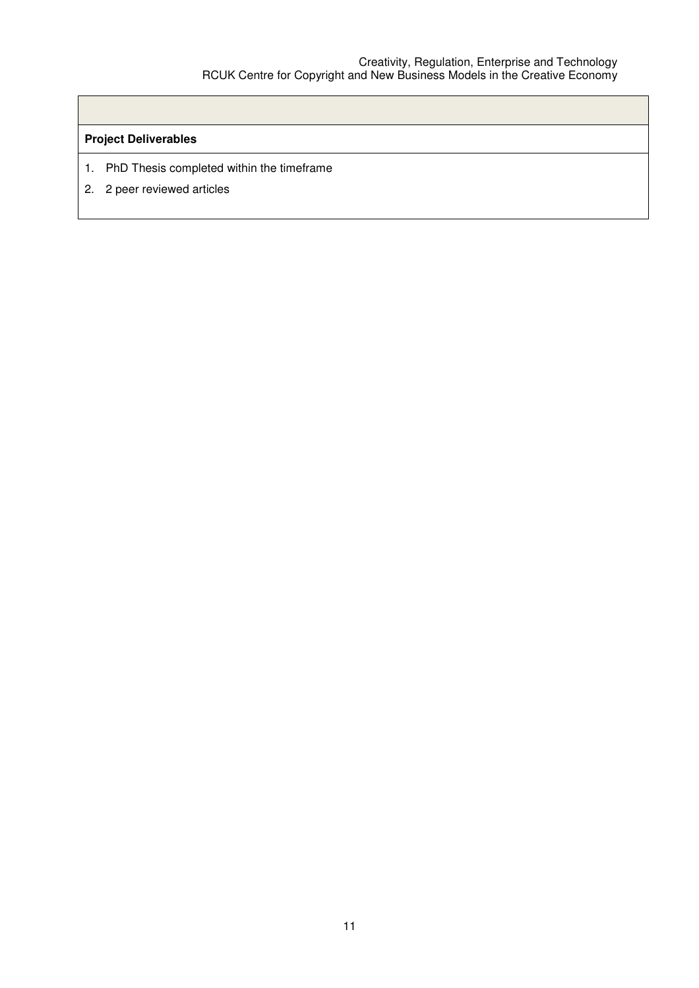## **Project Deliverables**

- 1. PhD Thesis completed within the timeframe
- 2. 2 peer reviewed articles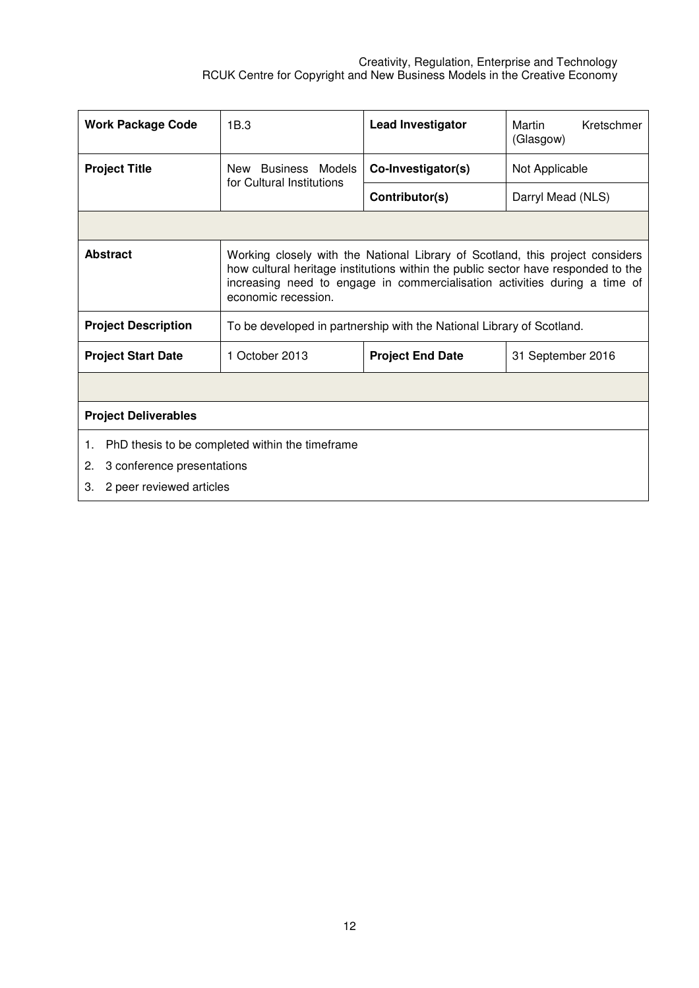| <b>Work Package Code</b>                                                                                                                                                                                                                                                                   | 1B.3                                             | <b>Lead Investigator</b>                                              | Martin<br>Kretschmer<br>(Glasgow) |  |  |
|--------------------------------------------------------------------------------------------------------------------------------------------------------------------------------------------------------------------------------------------------------------------------------------------|--------------------------------------------------|-----------------------------------------------------------------------|-----------------------------------|--|--|
| <b>Project Title</b>                                                                                                                                                                                                                                                                       | New Business Models<br>for Cultural Institutions | Co-Investigator(s)                                                    | Not Applicable                    |  |  |
|                                                                                                                                                                                                                                                                                            |                                                  | Contributor(s)                                                        | Darryl Mead (NLS)                 |  |  |
|                                                                                                                                                                                                                                                                                            |                                                  |                                                                       |                                   |  |  |
| <b>Abstract</b><br>Working closely with the National Library of Scotland, this project considers<br>how cultural heritage institutions within the public sector have responded to the<br>increasing need to engage in commercialisation activities during a time of<br>economic recession. |                                                  |                                                                       |                                   |  |  |
| <b>Project Description</b>                                                                                                                                                                                                                                                                 |                                                  | To be developed in partnership with the National Library of Scotland. |                                   |  |  |
| <b>Project Start Date</b>                                                                                                                                                                                                                                                                  | 1 October 2013                                   | <b>Project End Date</b>                                               | 31 September 2016                 |  |  |
|                                                                                                                                                                                                                                                                                            |                                                  |                                                                       |                                   |  |  |
| <b>Project Deliverables</b>                                                                                                                                                                                                                                                                |                                                  |                                                                       |                                   |  |  |
| PhD thesis to be completed within the timeframe<br>1.                                                                                                                                                                                                                                      |                                                  |                                                                       |                                   |  |  |
| 3 conference presentations<br>2.                                                                                                                                                                                                                                                           |                                                  |                                                                       |                                   |  |  |
| З.                                                                                                                                                                                                                                                                                         | 2 peer reviewed articles                         |                                                                       |                                   |  |  |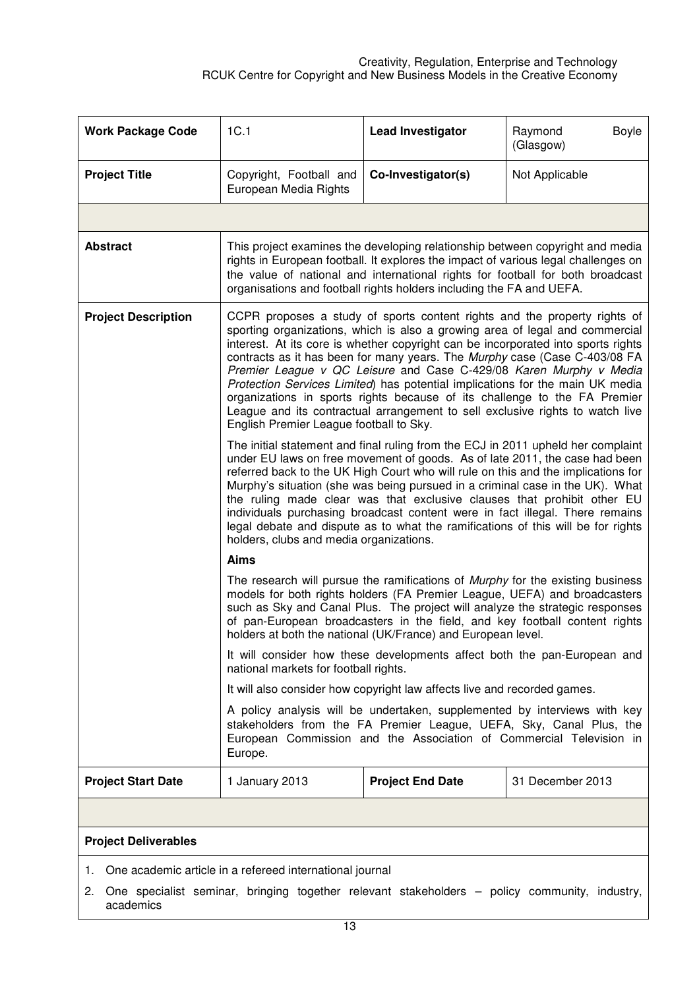| <b>Work Package Code</b>                                    | 1C.1                                                                                                                                                                                                                                                                                                                                                                                                                                                                                                                                                                                                                                                                                         | <b>Lead Investigator</b>                                                                                                                                                                                                                                                                                                      | Boyle<br>Raymond<br>(Glasgow) |  |  |
|-------------------------------------------------------------|----------------------------------------------------------------------------------------------------------------------------------------------------------------------------------------------------------------------------------------------------------------------------------------------------------------------------------------------------------------------------------------------------------------------------------------------------------------------------------------------------------------------------------------------------------------------------------------------------------------------------------------------------------------------------------------------|-------------------------------------------------------------------------------------------------------------------------------------------------------------------------------------------------------------------------------------------------------------------------------------------------------------------------------|-------------------------------|--|--|
| <b>Project Title</b>                                        | Copyright, Football and<br>European Media Rights                                                                                                                                                                                                                                                                                                                                                                                                                                                                                                                                                                                                                                             | Co-Investigator(s)                                                                                                                                                                                                                                                                                                            | Not Applicable                |  |  |
|                                                             |                                                                                                                                                                                                                                                                                                                                                                                                                                                                                                                                                                                                                                                                                              |                                                                                                                                                                                                                                                                                                                               |                               |  |  |
| <b>Abstract</b>                                             |                                                                                                                                                                                                                                                                                                                                                                                                                                                                                                                                                                                                                                                                                              | This project examines the developing relationship between copyright and media<br>rights in European football. It explores the impact of various legal challenges on<br>the value of national and international rights for football for both broadcast<br>organisations and football rights holders including the FA and UEFA. |                               |  |  |
| <b>Project Description</b>                                  | CCPR proposes a study of sports content rights and the property rights of<br>sporting organizations, which is also a growing area of legal and commercial<br>interest. At its core is whether copyright can be incorporated into sports rights<br>contracts as it has been for many years. The Murphy case (Case C-403/08 FA<br>Premier League v QC Leisure and Case C-429/08 Karen Murphy v Media<br>Protection Services Limited) has potential implications for the main UK media<br>organizations in sports rights because of its challenge to the FA Premier<br>League and its contractual arrangement to sell exclusive rights to watch live<br>English Premier League football to Sky. |                                                                                                                                                                                                                                                                                                                               |                               |  |  |
|                                                             | The initial statement and final ruling from the ECJ in 2011 upheld her complaint<br>under EU laws on free movement of goods. As of late 2011, the case had been<br>referred back to the UK High Court who will rule on this and the implications for<br>Murphy's situation (she was being pursued in a criminal case in the UK). What<br>the ruling made clear was that exclusive clauses that prohibit other EU<br>individuals purchasing broadcast content were in fact illegal. There remains<br>legal debate and dispute as to what the ramifications of this will be for rights<br>holders, clubs and media organizations.                                                              |                                                                                                                                                                                                                                                                                                                               |                               |  |  |
|                                                             | Aims                                                                                                                                                                                                                                                                                                                                                                                                                                                                                                                                                                                                                                                                                         |                                                                                                                                                                                                                                                                                                                               |                               |  |  |
|                                                             | The research will pursue the ramifications of <i>Murphy</i> for the existing business<br>models for both rights holders (FA Premier League, UEFA) and broadcasters<br>such as Sky and Canal Plus. The project will analyze the strategic responses<br>of pan-European broadcasters in the field, and key football content rights<br>holders at both the national (UK/France) and European level.                                                                                                                                                                                                                                                                                             |                                                                                                                                                                                                                                                                                                                               |                               |  |  |
|                                                             | national markets for football rights.                                                                                                                                                                                                                                                                                                                                                                                                                                                                                                                                                                                                                                                        | It will consider how these developments affect both the pan-European and                                                                                                                                                                                                                                                      |                               |  |  |
|                                                             |                                                                                                                                                                                                                                                                                                                                                                                                                                                                                                                                                                                                                                                                                              | It will also consider how copyright law affects live and recorded games.                                                                                                                                                                                                                                                      |                               |  |  |
|                                                             | A policy analysis will be undertaken, supplemented by interviews with key<br>stakeholders from the FA Premier League, UEFA, Sky, Canal Plus, the<br>European Commission and the Association of Commercial Television in<br>Europe.                                                                                                                                                                                                                                                                                                                                                                                                                                                           |                                                                                                                                                                                                                                                                                                                               |                               |  |  |
| <b>Project Start Date</b>                                   | 1 January 2013                                                                                                                                                                                                                                                                                                                                                                                                                                                                                                                                                                                                                                                                               | <b>Project End Date</b>                                                                                                                                                                                                                                                                                                       | 31 December 2013              |  |  |
|                                                             |                                                                                                                                                                                                                                                                                                                                                                                                                                                                                                                                                                                                                                                                                              |                                                                                                                                                                                                                                                                                                                               |                               |  |  |
| <b>Project Deliverables</b>                                 |                                                                                                                                                                                                                                                                                                                                                                                                                                                                                                                                                                                                                                                                                              |                                                                                                                                                                                                                                                                                                                               |                               |  |  |
| 1. One academic article in a refereed international journal |                                                                                                                                                                                                                                                                                                                                                                                                                                                                                                                                                                                                                                                                                              |                                                                                                                                                                                                                                                                                                                               |                               |  |  |

2. One specialist seminar, bringing together relevant stakeholders – policy community, industry, academics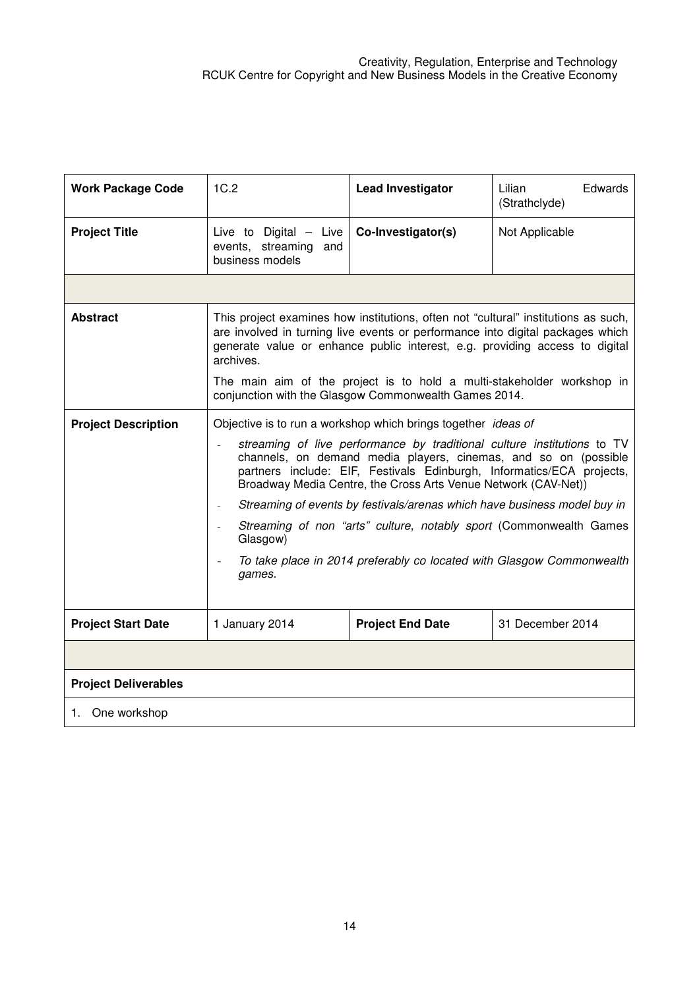| <b>Work Package Code</b>    | 1C.2                                                                                                                                                                                                                                                                                                                                                                                                                                                                                                                                                                                                                                    | <b>Lead Investigator</b> | Edwards<br>Lilian<br>(Strathclyde) |  |  |
|-----------------------------|-----------------------------------------------------------------------------------------------------------------------------------------------------------------------------------------------------------------------------------------------------------------------------------------------------------------------------------------------------------------------------------------------------------------------------------------------------------------------------------------------------------------------------------------------------------------------------------------------------------------------------------------|--------------------------|------------------------------------|--|--|
| <b>Project Title</b>        | Live to Digital $-$ Live<br>events, streaming<br>and<br>business models                                                                                                                                                                                                                                                                                                                                                                                                                                                                                                                                                                 | Co-Investigator(s)       | Not Applicable                     |  |  |
|                             |                                                                                                                                                                                                                                                                                                                                                                                                                                                                                                                                                                                                                                         |                          |                                    |  |  |
| <b>Abstract</b>             | This project examines how institutions, often not "cultural" institutions as such,<br>are involved in turning live events or performance into digital packages which<br>generate value or enhance public interest, e.g. providing access to digital<br>archives.<br>The main aim of the project is to hold a multi-stakeholder workshop in<br>conjunction with the Glasgow Commonwealth Games 2014.                                                                                                                                                                                                                                     |                          |                                    |  |  |
| <b>Project Description</b>  | Objective is to run a workshop which brings together <i>ideas of</i><br>streaming of live performance by traditional culture institutions to TV<br>channels, on demand media players, cinemas, and so on (possible<br>partners include: EIF, Festivals Edinburgh, Informatics/ECA projects,<br>Broadway Media Centre, the Cross Arts Venue Network (CAV-Net))<br>Streaming of events by festivals/arenas which have business model buy in<br>$\bar{a}$<br>Streaming of non "arts" culture, notably sport (Commonwealth Games<br>$\equiv$<br>Glasgow)<br>To take place in 2014 preferably co located with Glasgow Commonwealth<br>games. |                          |                                    |  |  |
| <b>Project Start Date</b>   | 1 January 2014                                                                                                                                                                                                                                                                                                                                                                                                                                                                                                                                                                                                                          | <b>Project End Date</b>  | 31 December 2014                   |  |  |
|                             |                                                                                                                                                                                                                                                                                                                                                                                                                                                                                                                                                                                                                                         |                          |                                    |  |  |
| <b>Project Deliverables</b> |                                                                                                                                                                                                                                                                                                                                                                                                                                                                                                                                                                                                                                         |                          |                                    |  |  |
| 1. One workshop             |                                                                                                                                                                                                                                                                                                                                                                                                                                                                                                                                                                                                                                         |                          |                                    |  |  |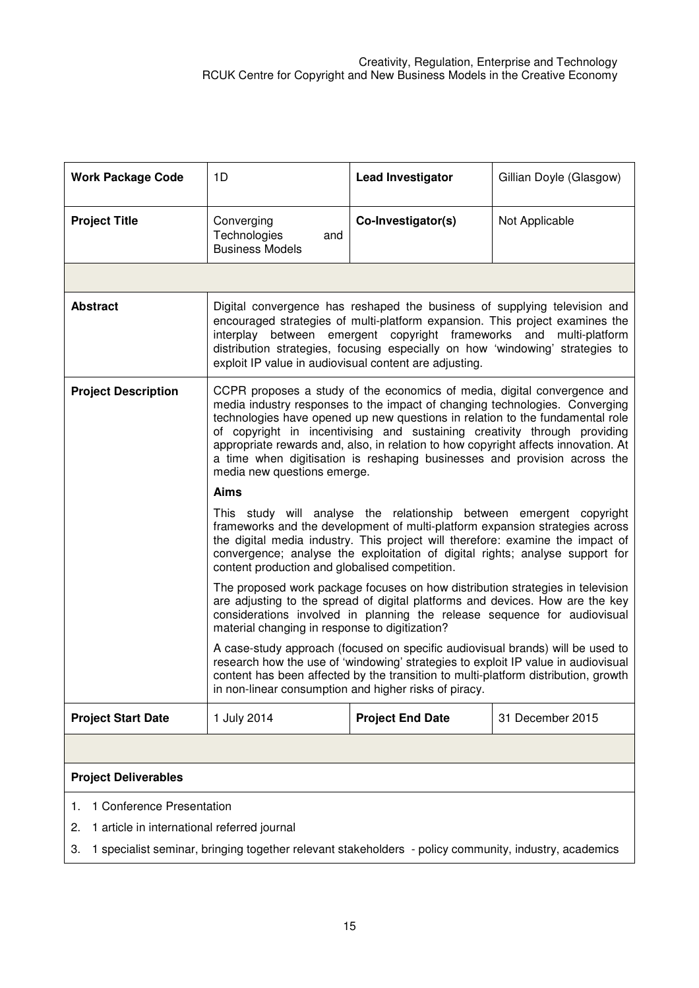| <b>Work Package Code</b>                                                                                    | 1D                                                                                                                                                                                                                                                                                                                                                                                                                                                                                                                      | <b>Lead Investigator</b> | Gillian Doyle (Glasgow) |  |  |  |
|-------------------------------------------------------------------------------------------------------------|-------------------------------------------------------------------------------------------------------------------------------------------------------------------------------------------------------------------------------------------------------------------------------------------------------------------------------------------------------------------------------------------------------------------------------------------------------------------------------------------------------------------------|--------------------------|-------------------------|--|--|--|
| <b>Project Title</b>                                                                                        | Converging<br>Technologies<br>and<br><b>Business Models</b>                                                                                                                                                                                                                                                                                                                                                                                                                                                             | Co-Investigator(s)       | Not Applicable          |  |  |  |
|                                                                                                             |                                                                                                                                                                                                                                                                                                                                                                                                                                                                                                                         |                          |                         |  |  |  |
| <b>Abstract</b>                                                                                             | Digital convergence has reshaped the business of supplying television and<br>encouraged strategies of multi-platform expansion. This project examines the<br>interplay between emergent copyright frameworks and multi-platform<br>distribution strategies, focusing especially on how 'windowing' strategies to<br>exploit IP value in audiovisual content are adjusting.                                                                                                                                              |                          |                         |  |  |  |
| <b>Project Description</b>                                                                                  | CCPR proposes a study of the economics of media, digital convergence and<br>media industry responses to the impact of changing technologies. Converging<br>technologies have opened up new questions in relation to the fundamental role<br>of copyright in incentivising and sustaining creativity through providing<br>appropriate rewards and, also, in relation to how copyright affects innovation. At<br>a time when digitisation is reshaping businesses and provision across the<br>media new questions emerge. |                          |                         |  |  |  |
|                                                                                                             | Aims                                                                                                                                                                                                                                                                                                                                                                                                                                                                                                                    |                          |                         |  |  |  |
|                                                                                                             | This study will analyse the relationship between emergent copyright<br>frameworks and the development of multi-platform expansion strategies across<br>the digital media industry. This project will therefore: examine the impact of<br>convergence; analyse the exploitation of digital rights; analyse support for<br>content production and globalised competition.                                                                                                                                                 |                          |                         |  |  |  |
|                                                                                                             | The proposed work package focuses on how distribution strategies in television<br>are adjusting to the spread of digital platforms and devices. How are the key<br>considerations involved in planning the release sequence for audiovisual<br>material changing in response to digitization?                                                                                                                                                                                                                           |                          |                         |  |  |  |
|                                                                                                             | A case-study approach (focused on specific audiovisual brands) will be used to<br>research how the use of 'windowing' strategies to exploit IP value in audiovisual<br>content has been affected by the transition to multi-platform distribution, growth<br>in non-linear consumption and higher risks of piracy.                                                                                                                                                                                                      |                          |                         |  |  |  |
| <b>Project Start Date</b>                                                                                   | 1 July 2014                                                                                                                                                                                                                                                                                                                                                                                                                                                                                                             | <b>Project End Date</b>  | 31 December 2015        |  |  |  |
|                                                                                                             |                                                                                                                                                                                                                                                                                                                                                                                                                                                                                                                         |                          |                         |  |  |  |
| <b>Project Deliverables</b>                                                                                 |                                                                                                                                                                                                                                                                                                                                                                                                                                                                                                                         |                          |                         |  |  |  |
| 1 Conference Presentation<br>1.                                                                             |                                                                                                                                                                                                                                                                                                                                                                                                                                                                                                                         |                          |                         |  |  |  |
| 2.                                                                                                          | 1 article in international referred journal                                                                                                                                                                                                                                                                                                                                                                                                                                                                             |                          |                         |  |  |  |
| 1 specialist seminar, bringing together relevant stakeholders - policy community, industry, academics<br>3. |                                                                                                                                                                                                                                                                                                                                                                                                                                                                                                                         |                          |                         |  |  |  |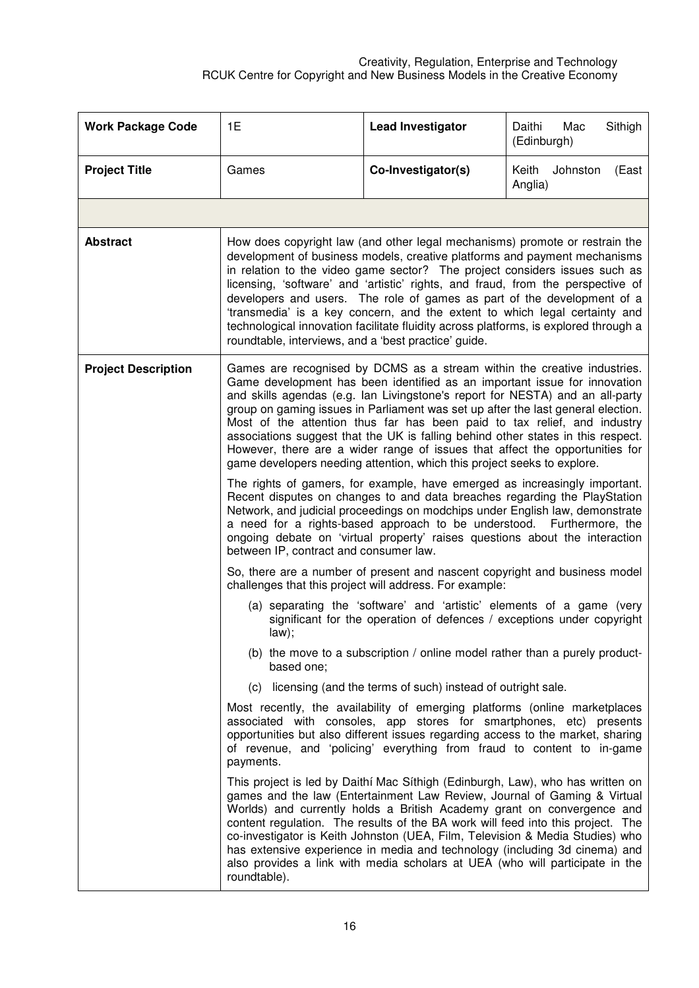| <b>Work Package Code</b>   | 1E                                                                                                                                                                                                                                                                                                                                                                                                                                                                                                                                                                                                                                                                                                                                                                                                                                                                                                                    | <b>Lead Investigator</b>                                                                                                              | Sithigh<br>Daithi<br>Mac<br>(Edinburgh) |  |  |
|----------------------------|-----------------------------------------------------------------------------------------------------------------------------------------------------------------------------------------------------------------------------------------------------------------------------------------------------------------------------------------------------------------------------------------------------------------------------------------------------------------------------------------------------------------------------------------------------------------------------------------------------------------------------------------------------------------------------------------------------------------------------------------------------------------------------------------------------------------------------------------------------------------------------------------------------------------------|---------------------------------------------------------------------------------------------------------------------------------------|-----------------------------------------|--|--|
| <b>Project Title</b>       | Games                                                                                                                                                                                                                                                                                                                                                                                                                                                                                                                                                                                                                                                                                                                                                                                                                                                                                                                 | Co-Investigator(s)                                                                                                                    | Keith<br>Johnston<br>(East<br>Anglia)   |  |  |
|                            |                                                                                                                                                                                                                                                                                                                                                                                                                                                                                                                                                                                                                                                                                                                                                                                                                                                                                                                       |                                                                                                                                       |                                         |  |  |
| <b>Abstract</b>            | How does copyright law (and other legal mechanisms) promote or restrain the<br>development of business models, creative platforms and payment mechanisms<br>in relation to the video game sector? The project considers issues such as<br>licensing, 'software' and 'artistic' rights, and fraud, from the perspective of<br>developers and users. The role of games as part of the development of a<br>'transmedia' is a key concern, and the extent to which legal certainty and<br>technological innovation facilitate fluidity across platforms, is explored through a<br>roundtable, interviews, and a 'best practice' guide.                                                                                                                                                                                                                                                                                    |                                                                                                                                       |                                         |  |  |
| <b>Project Description</b> | Games are recognised by DCMS as a stream within the creative industries.<br>Game development has been identified as an important issue for innovation<br>and skills agendas (e.g. lan Livingstone's report for NESTA) and an all-party<br>group on gaming issues in Parliament was set up after the last general election.<br>Most of the attention thus far has been paid to tax relief, and industry<br>associations suggest that the UK is falling behind other states in this respect.<br>However, there are a wider range of issues that affect the opportunities for<br>game developers needing attention, which this project seeks to explore.<br>The rights of gamers, for example, have emerged as increasingly important.<br>Recent disputes on changes to and data breaches regarding the PlayStation                                                                                                      |                                                                                                                                       |                                         |  |  |
|                            | Network, and judicial proceedings on modchips under English law, demonstrate<br>a need for a rights-based approach to be understood. Furthermore, the<br>ongoing debate on 'virtual property' raises questions about the interaction<br>between IP, contract and consumer law.                                                                                                                                                                                                                                                                                                                                                                                                                                                                                                                                                                                                                                        |                                                                                                                                       |                                         |  |  |
|                            |                                                                                                                                                                                                                                                                                                                                                                                                                                                                                                                                                                                                                                                                                                                                                                                                                                                                                                                       | So, there are a number of present and nascent copyright and business model<br>challenges that this project will address. For example: |                                         |  |  |
|                            | (a) separating the 'software' and 'artistic' elements of a game (very<br>significant for the operation of defences / exceptions under copyright<br>law);                                                                                                                                                                                                                                                                                                                                                                                                                                                                                                                                                                                                                                                                                                                                                              |                                                                                                                                       |                                         |  |  |
|                            | based one:                                                                                                                                                                                                                                                                                                                                                                                                                                                                                                                                                                                                                                                                                                                                                                                                                                                                                                            | (b) the move to a subscription / online model rather than a purely product-                                                           |                                         |  |  |
|                            |                                                                                                                                                                                                                                                                                                                                                                                                                                                                                                                                                                                                                                                                                                                                                                                                                                                                                                                       | (c) licensing (and the terms of such) instead of outright sale.                                                                       |                                         |  |  |
|                            | Most recently, the availability of emerging platforms (online marketplaces<br>associated with consoles, app stores for smartphones, etc) presents<br>opportunities but also different issues regarding access to the market, sharing<br>of revenue, and 'policing' everything from fraud to content to in-game<br>payments.<br>This project is led by Daithí Mac Síthigh (Edinburgh, Law), who has written on<br>games and the law (Entertainment Law Review, Journal of Gaming & Virtual<br>Worlds) and currently holds a British Academy grant on convergence and<br>content regulation. The results of the BA work will feed into this project. The<br>co-investigator is Keith Johnston (UEA, Film, Television & Media Studies) who<br>has extensive experience in media and technology (including 3d cinema) and<br>also provides a link with media scholars at UEA (who will participate in the<br>roundtable). |                                                                                                                                       |                                         |  |  |
|                            |                                                                                                                                                                                                                                                                                                                                                                                                                                                                                                                                                                                                                                                                                                                                                                                                                                                                                                                       |                                                                                                                                       |                                         |  |  |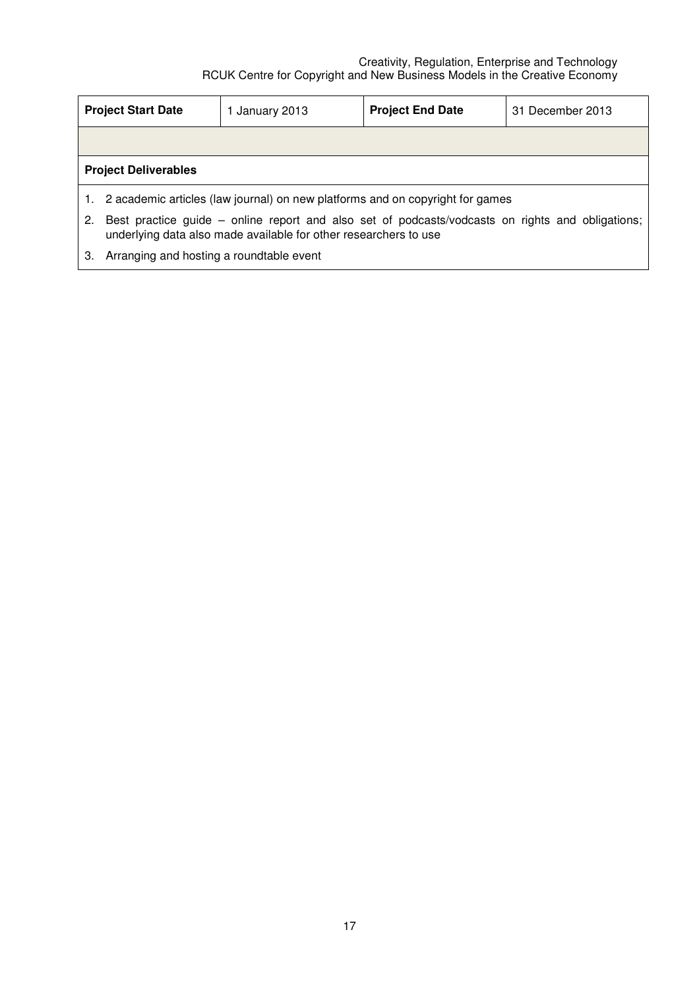|                             | <b>Project Start Date</b>                                                                                                                                            | 1 January 2013                                                                   | <b>Project End Date</b> | 31 December 2013 |  |
|-----------------------------|----------------------------------------------------------------------------------------------------------------------------------------------------------------------|----------------------------------------------------------------------------------|-------------------------|------------------|--|
|                             |                                                                                                                                                                      |                                                                                  |                         |                  |  |
| <b>Project Deliverables</b> |                                                                                                                                                                      |                                                                                  |                         |                  |  |
|                             |                                                                                                                                                                      | 1. 2 academic articles (law journal) on new platforms and on copyright for games |                         |                  |  |
| 2.                          | Best practice guide – online report and also set of podcasts/vodcasts on rights and obligations;<br>underlying data also made available for other researchers to use |                                                                                  |                         |                  |  |

3. Arranging and hosting a roundtable event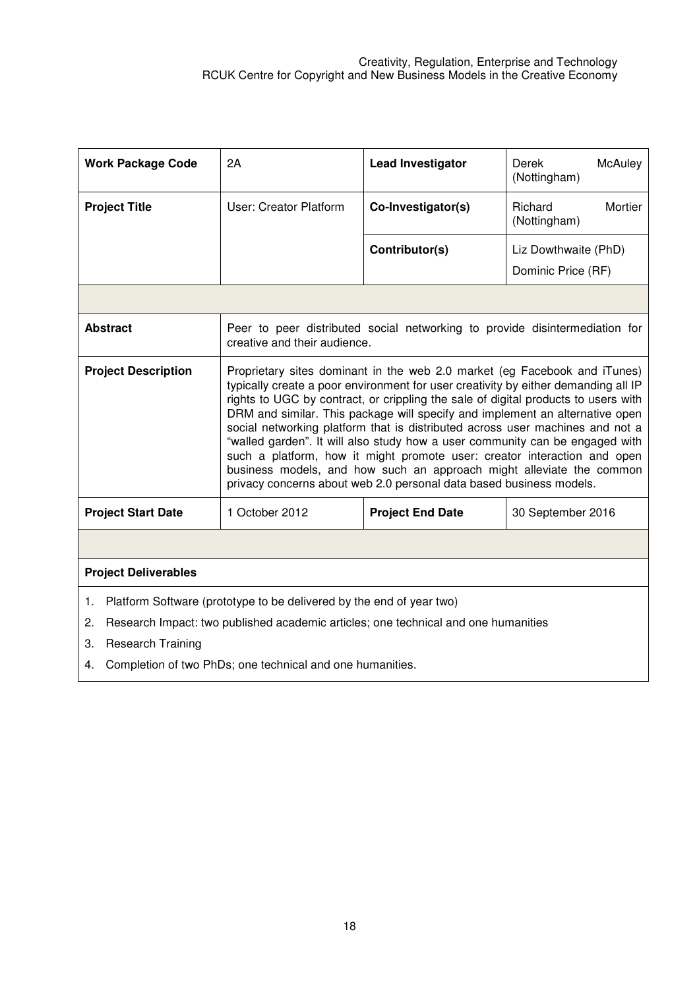| <b>Work Package Code</b>                                                                                                                                                                                 | 2A                                                                                                                                                                                                                                                                                                                                                                                                                                                                                                                                                                                                                                                                                                                                | <b>Lead Investigator</b> | Derek<br>McAuley<br>(Nottingham)   |  |  |
|----------------------------------------------------------------------------------------------------------------------------------------------------------------------------------------------------------|-----------------------------------------------------------------------------------------------------------------------------------------------------------------------------------------------------------------------------------------------------------------------------------------------------------------------------------------------------------------------------------------------------------------------------------------------------------------------------------------------------------------------------------------------------------------------------------------------------------------------------------------------------------------------------------------------------------------------------------|--------------------------|------------------------------------|--|--|
| <b>Project Title</b>                                                                                                                                                                                     | User: Creator Platform                                                                                                                                                                                                                                                                                                                                                                                                                                                                                                                                                                                                                                                                                                            | Co-Investigator(s)       | Richard<br>Mortier<br>(Nottingham) |  |  |
|                                                                                                                                                                                                          |                                                                                                                                                                                                                                                                                                                                                                                                                                                                                                                                                                                                                                                                                                                                   | Contributor(s)           | Liz Dowthwaite (PhD)               |  |  |
|                                                                                                                                                                                                          |                                                                                                                                                                                                                                                                                                                                                                                                                                                                                                                                                                                                                                                                                                                                   |                          | Dominic Price (RF)                 |  |  |
|                                                                                                                                                                                                          |                                                                                                                                                                                                                                                                                                                                                                                                                                                                                                                                                                                                                                                                                                                                   |                          |                                    |  |  |
| <b>Abstract</b>                                                                                                                                                                                          | Peer to peer distributed social networking to provide disintermediation for<br>creative and their audience.                                                                                                                                                                                                                                                                                                                                                                                                                                                                                                                                                                                                                       |                          |                                    |  |  |
| <b>Project Description</b>                                                                                                                                                                               | Proprietary sites dominant in the web 2.0 market (eg Facebook and iTunes)<br>typically create a poor environment for user creativity by either demanding all IP<br>rights to UGC by contract, or crippling the sale of digital products to users with<br>DRM and similar. This package will specify and implement an alternative open<br>social networking platform that is distributed across user machines and not a<br>"walled garden". It will also study how a user community can be engaged with<br>such a platform, how it might promote user: creator interaction and open<br>business models, and how such an approach might alleviate the common<br>privacy concerns about web 2.0 personal data based business models. |                          |                                    |  |  |
| <b>Project Start Date</b>                                                                                                                                                                                | 1 October 2012                                                                                                                                                                                                                                                                                                                                                                                                                                                                                                                                                                                                                                                                                                                    | <b>Project End Date</b>  | 30 September 2016                  |  |  |
|                                                                                                                                                                                                          |                                                                                                                                                                                                                                                                                                                                                                                                                                                                                                                                                                                                                                                                                                                                   |                          |                                    |  |  |
| <b>Project Deliverables</b>                                                                                                                                                                              |                                                                                                                                                                                                                                                                                                                                                                                                                                                                                                                                                                                                                                                                                                                                   |                          |                                    |  |  |
| Platform Software (prototype to be delivered by the end of year two)<br>1.<br>Research Impact: two published academic articles; one technical and one humanities<br>2.<br>3.<br><b>Research Training</b> |                                                                                                                                                                                                                                                                                                                                                                                                                                                                                                                                                                                                                                                                                                                                   |                          |                                    |  |  |

4. Completion of two PhDs; one technical and one humanities.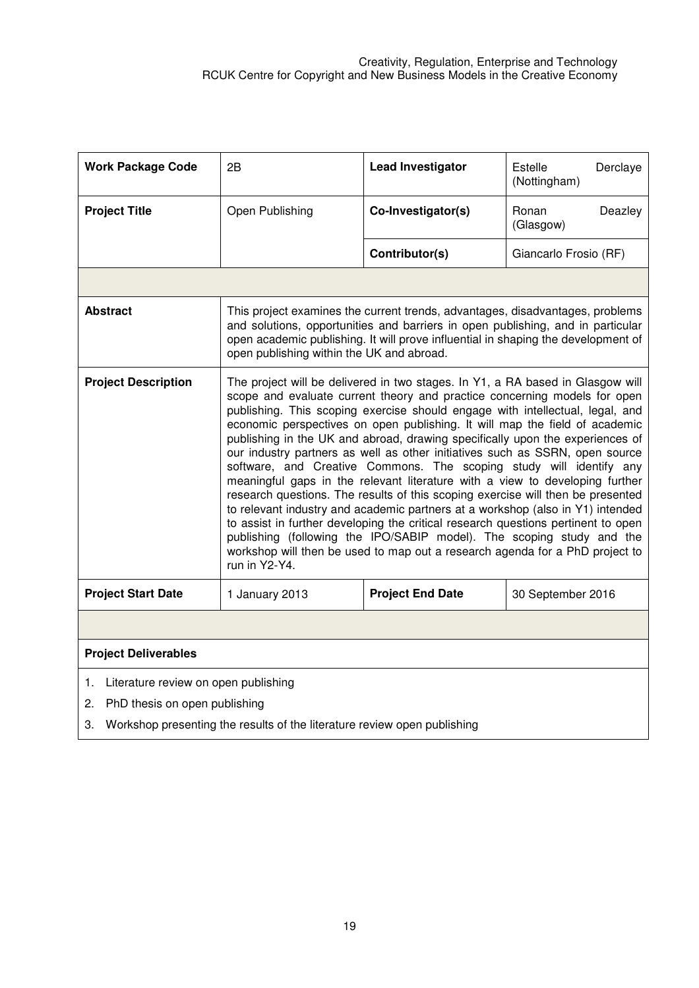| <b>Work Package Code</b>                                                       | 2B                                                                                                                                                                                                                                                                                                 | <b>Lead Investigator</b>                                                                                                                                                                                                                                                                                                                                                                                                                                                                                                                                                                                                                                                                                                                                                                                                                                                                                                                                                                                                                                               | Estelle<br>Derclaye<br>(Nottingham) |  |
|--------------------------------------------------------------------------------|----------------------------------------------------------------------------------------------------------------------------------------------------------------------------------------------------------------------------------------------------------------------------------------------------|------------------------------------------------------------------------------------------------------------------------------------------------------------------------------------------------------------------------------------------------------------------------------------------------------------------------------------------------------------------------------------------------------------------------------------------------------------------------------------------------------------------------------------------------------------------------------------------------------------------------------------------------------------------------------------------------------------------------------------------------------------------------------------------------------------------------------------------------------------------------------------------------------------------------------------------------------------------------------------------------------------------------------------------------------------------------|-------------------------------------|--|
| <b>Project Title</b>                                                           | Open Publishing                                                                                                                                                                                                                                                                                    | Co-Investigator(s)                                                                                                                                                                                                                                                                                                                                                                                                                                                                                                                                                                                                                                                                                                                                                                                                                                                                                                                                                                                                                                                     | Ronan<br>Deazley<br>(Glasgow)       |  |
|                                                                                |                                                                                                                                                                                                                                                                                                    | Contributor(s)                                                                                                                                                                                                                                                                                                                                                                                                                                                                                                                                                                                                                                                                                                                                                                                                                                                                                                                                                                                                                                                         | Giancarlo Frosio (RF)               |  |
|                                                                                |                                                                                                                                                                                                                                                                                                    |                                                                                                                                                                                                                                                                                                                                                                                                                                                                                                                                                                                                                                                                                                                                                                                                                                                                                                                                                                                                                                                                        |                                     |  |
| <b>Abstract</b>                                                                | This project examines the current trends, advantages, disadvantages, problems<br>and solutions, opportunities and barriers in open publishing, and in particular<br>open academic publishing. It will prove influential in shaping the development of<br>open publishing within the UK and abroad. |                                                                                                                                                                                                                                                                                                                                                                                                                                                                                                                                                                                                                                                                                                                                                                                                                                                                                                                                                                                                                                                                        |                                     |  |
| <b>Project Description</b>                                                     | run in Y2-Y4.                                                                                                                                                                                                                                                                                      | The project will be delivered in two stages. In Y1, a RA based in Glasgow will<br>scope and evaluate current theory and practice concerning models for open<br>publishing. This scoping exercise should engage with intellectual, legal, and<br>economic perspectives on open publishing. It will map the field of academic<br>publishing in the UK and abroad, drawing specifically upon the experiences of<br>our industry partners as well as other initiatives such as SSRN, open source<br>software, and Creative Commons. The scoping study will identify any<br>meaningful gaps in the relevant literature with a view to developing further<br>research questions. The results of this scoping exercise will then be presented<br>to relevant industry and academic partners at a workshop (also in Y1) intended<br>to assist in further developing the critical research questions pertinent to open<br>publishing (following the IPO/SABIP model). The scoping study and the<br>workshop will then be used to map out a research agenda for a PhD project to |                                     |  |
| <b>Project Start Date</b>                                                      | 1 January 2013                                                                                                                                                                                                                                                                                     | <b>Project End Date</b>                                                                                                                                                                                                                                                                                                                                                                                                                                                                                                                                                                                                                                                                                                                                                                                                                                                                                                                                                                                                                                                | 30 September 2016                   |  |
|                                                                                |                                                                                                                                                                                                                                                                                                    |                                                                                                                                                                                                                                                                                                                                                                                                                                                                                                                                                                                                                                                                                                                                                                                                                                                                                                                                                                                                                                                                        |                                     |  |
| <b>Project Deliverables</b>                                                    |                                                                                                                                                                                                                                                                                                    |                                                                                                                                                                                                                                                                                                                                                                                                                                                                                                                                                                                                                                                                                                                                                                                                                                                                                                                                                                                                                                                                        |                                     |  |
| 1.                                                                             | Literature review on open publishing                                                                                                                                                                                                                                                               |                                                                                                                                                                                                                                                                                                                                                                                                                                                                                                                                                                                                                                                                                                                                                                                                                                                                                                                                                                                                                                                                        |                                     |  |
| PhD thesis on open publishing<br>2.                                            |                                                                                                                                                                                                                                                                                                    |                                                                                                                                                                                                                                                                                                                                                                                                                                                                                                                                                                                                                                                                                                                                                                                                                                                                                                                                                                                                                                                                        |                                     |  |
| Workshop presenting the results of the literature review open publishing<br>3. |                                                                                                                                                                                                                                                                                                    |                                                                                                                                                                                                                                                                                                                                                                                                                                                                                                                                                                                                                                                                                                                                                                                                                                                                                                                                                                                                                                                                        |                                     |  |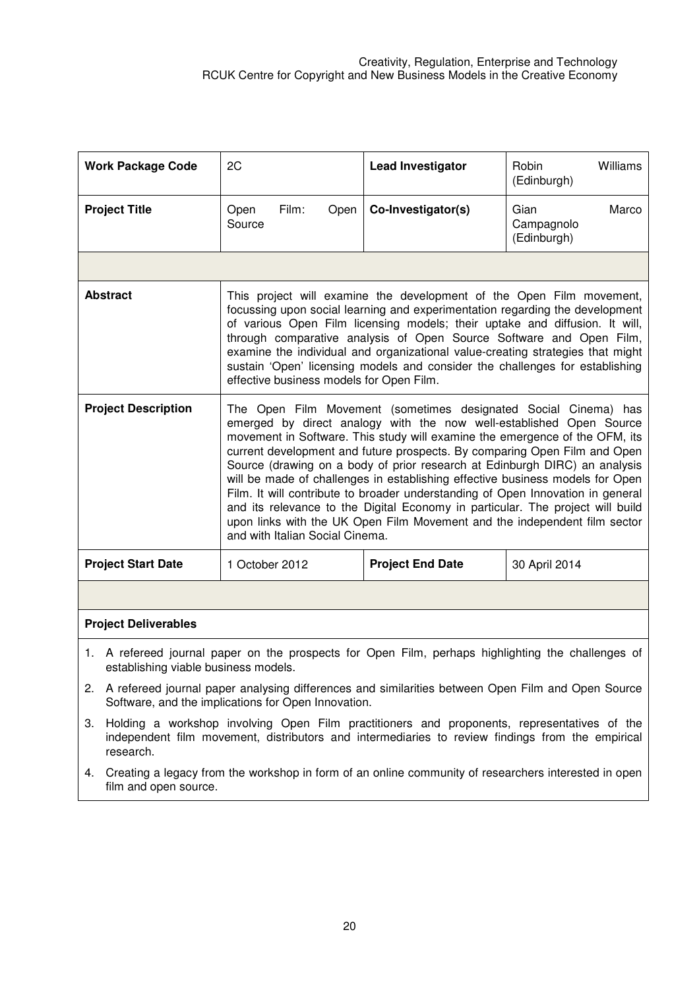|                                                                                                                                                                                                                                                                                                                                                                                                                                                                                                                                             | <b>Work Package Code</b>                                                                                                                   | 2C                                                                                                                                                          | <b>Lead Investigator</b>                                                                                                                                                                                                                                                                                                                                                                                                                                                                                                                                                                                                                                                                                            | Williams<br>Robin<br>(Edinburgh)           |
|---------------------------------------------------------------------------------------------------------------------------------------------------------------------------------------------------------------------------------------------------------------------------------------------------------------------------------------------------------------------------------------------------------------------------------------------------------------------------------------------------------------------------------------------|--------------------------------------------------------------------------------------------------------------------------------------------|-------------------------------------------------------------------------------------------------------------------------------------------------------------|---------------------------------------------------------------------------------------------------------------------------------------------------------------------------------------------------------------------------------------------------------------------------------------------------------------------------------------------------------------------------------------------------------------------------------------------------------------------------------------------------------------------------------------------------------------------------------------------------------------------------------------------------------------------------------------------------------------------|--------------------------------------------|
|                                                                                                                                                                                                                                                                                                                                                                                                                                                                                                                                             | <b>Project Title</b>                                                                                                                       | Film:<br>Open<br>Open<br>Source                                                                                                                             | Co-Investigator(s)                                                                                                                                                                                                                                                                                                                                                                                                                                                                                                                                                                                                                                                                                                  | Gian<br>Marco<br>Campagnolo<br>(Edinburgh) |
|                                                                                                                                                                                                                                                                                                                                                                                                                                                                                                                                             |                                                                                                                                            |                                                                                                                                                             |                                                                                                                                                                                                                                                                                                                                                                                                                                                                                                                                                                                                                                                                                                                     |                                            |
| <b>Abstract</b><br>This project will examine the development of the Open Film movement,<br>focussing upon social learning and experimentation regarding the development<br>of various Open Film licensing models; their uptake and diffusion. It will,<br>through comparative analysis of Open Source Software and Open Film,<br>examine the individual and organizational value-creating strategies that might<br>sustain 'Open' licensing models and consider the challenges for establishing<br>effective business models for Open Film. |                                                                                                                                            |                                                                                                                                                             |                                                                                                                                                                                                                                                                                                                                                                                                                                                                                                                                                                                                                                                                                                                     |                                            |
| <b>Project Description</b>                                                                                                                                                                                                                                                                                                                                                                                                                                                                                                                  |                                                                                                                                            | and with Italian Social Cinema.                                                                                                                             | The Open Film Movement (sometimes designated Social Cinema) has<br>emerged by direct analogy with the now well-established Open Source<br>movement in Software. This study will examine the emergence of the OFM, its<br>current development and future prospects. By comparing Open Film and Open<br>Source (drawing on a body of prior research at Edinburgh DIRC) an analysis<br>will be made of challenges in establishing effective business models for Open<br>Film. It will contribute to broader understanding of Open Innovation in general<br>and its relevance to the Digital Economy in particular. The project will build<br>upon links with the UK Open Film Movement and the independent film sector |                                            |
|                                                                                                                                                                                                                                                                                                                                                                                                                                                                                                                                             | <b>Project Start Date</b>                                                                                                                  | 1 October 2012                                                                                                                                              | <b>Project End Date</b>                                                                                                                                                                                                                                                                                                                                                                                                                                                                                                                                                                                                                                                                                             | 30 April 2014                              |
|                                                                                                                                                                                                                                                                                                                                                                                                                                                                                                                                             |                                                                                                                                            |                                                                                                                                                             |                                                                                                                                                                                                                                                                                                                                                                                                                                                                                                                                                                                                                                                                                                                     |                                            |
|                                                                                                                                                                                                                                                                                                                                                                                                                                                                                                                                             | <b>Project Deliverables</b>                                                                                                                |                                                                                                                                                             |                                                                                                                                                                                                                                                                                                                                                                                                                                                                                                                                                                                                                                                                                                                     |                                            |
|                                                                                                                                                                                                                                                                                                                                                                                                                                                                                                                                             | 1. A refereed journal paper on the prospects for Open Film, perhaps highlighting the challenges of<br>establishing viable business models. |                                                                                                                                                             |                                                                                                                                                                                                                                                                                                                                                                                                                                                                                                                                                                                                                                                                                                                     |                                            |
|                                                                                                                                                                                                                                                                                                                                                                                                                                                                                                                                             |                                                                                                                                            | 2. A refereed journal paper analysing differences and similarities between Open Film and Open Source<br>Software, and the implications for Open Innovation. |                                                                                                                                                                                                                                                                                                                                                                                                                                                                                                                                                                                                                                                                                                                     |                                            |
| З.                                                                                                                                                                                                                                                                                                                                                                                                                                                                                                                                          | research.                                                                                                                                  |                                                                                                                                                             | Holding a workshop involving Open Film practitioners and proponents, representatives of the<br>independent film movement, distributors and intermediaries to review findings from the empirical                                                                                                                                                                                                                                                                                                                                                                                                                                                                                                                     |                                            |

4. Creating a legacy from the workshop in form of an online community of researchers interested in open film and open source.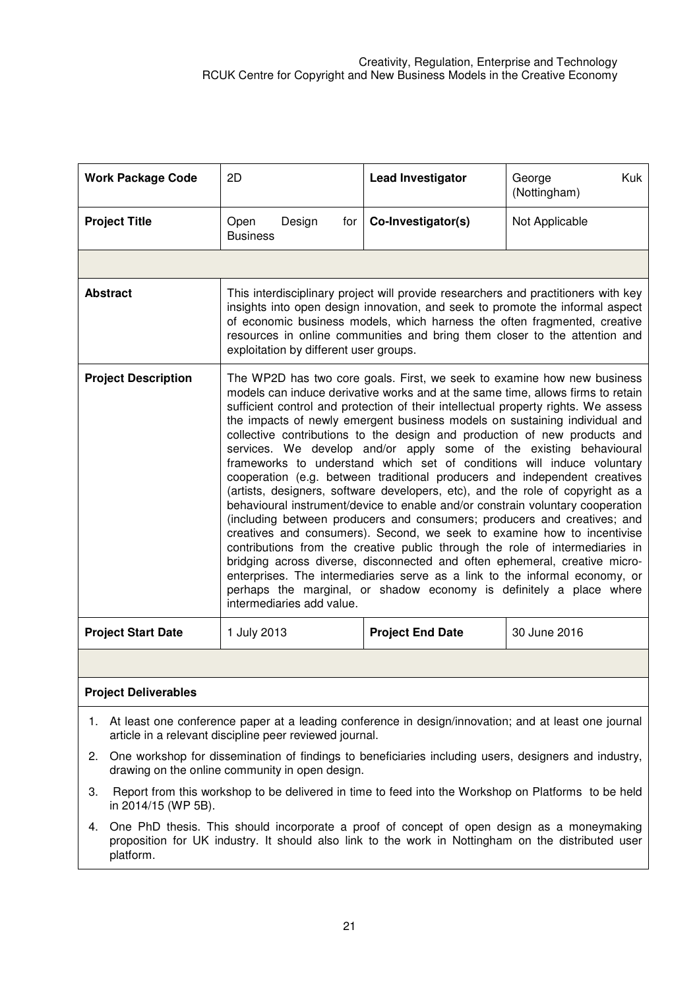| <b>Work Package Code</b>   | 2D                                                                                                                                                                                                                                                                                                                                                                                                                                                                                                                                                                                                                                                                                                                                                                                                                                                                                                                                                                                                                                                                                                                                                                                                                                                                                                                   | <b>Lead Investigator</b> | George<br>Kuk<br>(Nottingham) |
|----------------------------|----------------------------------------------------------------------------------------------------------------------------------------------------------------------------------------------------------------------------------------------------------------------------------------------------------------------------------------------------------------------------------------------------------------------------------------------------------------------------------------------------------------------------------------------------------------------------------------------------------------------------------------------------------------------------------------------------------------------------------------------------------------------------------------------------------------------------------------------------------------------------------------------------------------------------------------------------------------------------------------------------------------------------------------------------------------------------------------------------------------------------------------------------------------------------------------------------------------------------------------------------------------------------------------------------------------------|--------------------------|-------------------------------|
| <b>Project Title</b>       | Open<br>Design<br>for<br><b>Business</b>                                                                                                                                                                                                                                                                                                                                                                                                                                                                                                                                                                                                                                                                                                                                                                                                                                                                                                                                                                                                                                                                                                                                                                                                                                                                             | Co-Investigator(s)       | Not Applicable                |
|                            |                                                                                                                                                                                                                                                                                                                                                                                                                                                                                                                                                                                                                                                                                                                                                                                                                                                                                                                                                                                                                                                                                                                                                                                                                                                                                                                      |                          |                               |
| <b>Abstract</b>            | This interdisciplinary project will provide researchers and practitioners with key<br>insights into open design innovation, and seek to promote the informal aspect<br>of economic business models, which harness the often fragmented, creative<br>resources in online communities and bring them closer to the attention and<br>exploitation by different user groups.                                                                                                                                                                                                                                                                                                                                                                                                                                                                                                                                                                                                                                                                                                                                                                                                                                                                                                                                             |                          |                               |
| <b>Project Description</b> | The WP2D has two core goals. First, we seek to examine how new business<br>models can induce derivative works and at the same time, allows firms to retain<br>sufficient control and protection of their intellectual property rights. We assess<br>the impacts of newly emergent business models on sustaining individual and<br>collective contributions to the design and production of new products and<br>services. We develop and/or apply some of the existing behavioural<br>frameworks to understand which set of conditions will induce voluntary<br>cooperation (e.g. between traditional producers and independent creatives<br>(artists, designers, software developers, etc), and the role of copyright as a<br>behavioural instrument/device to enable and/or constrain voluntary cooperation<br>(including between producers and consumers; producers and creatives; and<br>creatives and consumers). Second, we seek to examine how to incentivise<br>contributions from the creative public through the role of intermediaries in<br>bridging across diverse, disconnected and often ephemeral, creative micro-<br>enterprises. The intermediaries serve as a link to the informal economy, or<br>perhaps the marginal, or shadow economy is definitely a place where<br>intermediaries add value. |                          |                               |
| <b>Project Start Date</b>  | 1 July 2013                                                                                                                                                                                                                                                                                                                                                                                                                                                                                                                                                                                                                                                                                                                                                                                                                                                                                                                                                                                                                                                                                                                                                                                                                                                                                                          | <b>Project End Date</b>  | 30 June 2016                  |

## **Project Deliverables**

- 1. At least one conference paper at a leading conference in design/innovation; and at least one journal article in a relevant discipline peer reviewed journal.
- 2. One workshop for dissemination of findings to beneficiaries including users, designers and industry, drawing on the online community in open design.
- 3. Report from this workshop to be delivered in time to feed into the Workshop on Platforms to be held in 2014/15 (WP 5B).
- 4. One PhD thesis. This should incorporate a proof of concept of open design as a moneymaking proposition for UK industry. It should also link to the work in Nottingham on the distributed user platform.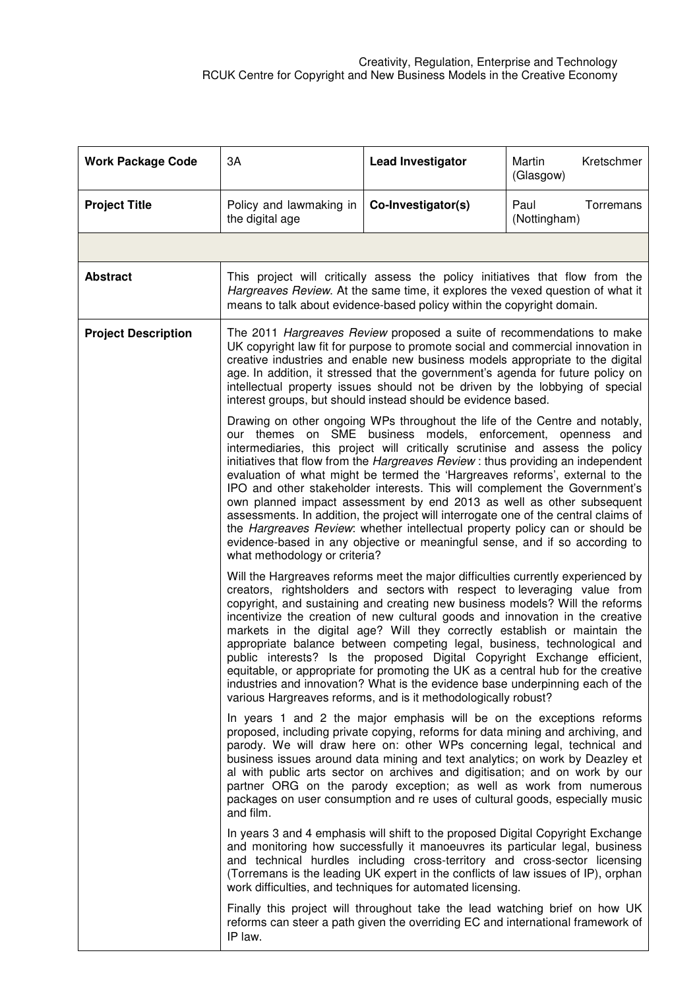| <b>Work Package Code</b>   | 3A                                                                                                                                                                                                                                                                                                                                                                                                                                                                                                                                                                                                                                                                                                                                                                                                                                                                                                                                                                                                                                                                                                                                                                                                                                                                                                                                                                                                                                                                                                                                                                                                                                                                                                                                                                                                                                                                                                                                                                                                                                                                                                                                                                                                                                                                                                                                                                                                                                                                                                                                                                                                                                                      | <b>Lead Investigator</b>                                                                                                                                                                                                                  | Martin<br>Kretschmer<br>(Glasgow) |
|----------------------------|---------------------------------------------------------------------------------------------------------------------------------------------------------------------------------------------------------------------------------------------------------------------------------------------------------------------------------------------------------------------------------------------------------------------------------------------------------------------------------------------------------------------------------------------------------------------------------------------------------------------------------------------------------------------------------------------------------------------------------------------------------------------------------------------------------------------------------------------------------------------------------------------------------------------------------------------------------------------------------------------------------------------------------------------------------------------------------------------------------------------------------------------------------------------------------------------------------------------------------------------------------------------------------------------------------------------------------------------------------------------------------------------------------------------------------------------------------------------------------------------------------------------------------------------------------------------------------------------------------------------------------------------------------------------------------------------------------------------------------------------------------------------------------------------------------------------------------------------------------------------------------------------------------------------------------------------------------------------------------------------------------------------------------------------------------------------------------------------------------------------------------------------------------------------------------------------------------------------------------------------------------------------------------------------------------------------------------------------------------------------------------------------------------------------------------------------------------------------------------------------------------------------------------------------------------------------------------------------------------------------------------------------------------|-------------------------------------------------------------------------------------------------------------------------------------------------------------------------------------------------------------------------------------------|-----------------------------------|
| <b>Project Title</b>       | Policy and lawmaking in<br>the digital age                                                                                                                                                                                                                                                                                                                                                                                                                                                                                                                                                                                                                                                                                                                                                                                                                                                                                                                                                                                                                                                                                                                                                                                                                                                                                                                                                                                                                                                                                                                                                                                                                                                                                                                                                                                                                                                                                                                                                                                                                                                                                                                                                                                                                                                                                                                                                                                                                                                                                                                                                                                                              | Co-Investigator(s)                                                                                                                                                                                                                        | Paul<br>Torremans<br>(Nottingham) |
|                            |                                                                                                                                                                                                                                                                                                                                                                                                                                                                                                                                                                                                                                                                                                                                                                                                                                                                                                                                                                                                                                                                                                                                                                                                                                                                                                                                                                                                                                                                                                                                                                                                                                                                                                                                                                                                                                                                                                                                                                                                                                                                                                                                                                                                                                                                                                                                                                                                                                                                                                                                                                                                                                                         |                                                                                                                                                                                                                                           |                                   |
| <b>Abstract</b>            |                                                                                                                                                                                                                                                                                                                                                                                                                                                                                                                                                                                                                                                                                                                                                                                                                                                                                                                                                                                                                                                                                                                                                                                                                                                                                                                                                                                                                                                                                                                                                                                                                                                                                                                                                                                                                                                                                                                                                                                                                                                                                                                                                                                                                                                                                                                                                                                                                                                                                                                                                                                                                                                         | This project will critically assess the policy initiatives that flow from the<br>Hargreaves Review. At the same time, it explores the vexed question of what it<br>means to talk about evidence-based policy within the copyright domain. |                                   |
| <b>Project Description</b> | The 2011 Hargreaves Review proposed a suite of recommendations to make<br>UK copyright law fit for purpose to promote social and commercial innovation in<br>creative industries and enable new business models appropriate to the digital<br>age. In addition, it stressed that the government's agenda for future policy on<br>intellectual property issues should not be driven by the lobbying of special<br>interest groups, but should instead should be evidence based.                                                                                                                                                                                                                                                                                                                                                                                                                                                                                                                                                                                                                                                                                                                                                                                                                                                                                                                                                                                                                                                                                                                                                                                                                                                                                                                                                                                                                                                                                                                                                                                                                                                                                                                                                                                                                                                                                                                                                                                                                                                                                                                                                                          |                                                                                                                                                                                                                                           |                                   |
|                            | Drawing on other ongoing WPs throughout the life of the Centre and notably,<br>our themes on SME business models, enforcement, openness and<br>intermediaries, this project will critically scrutinise and assess the policy<br>initiatives that flow from the <i>Hargreaves Review</i> : thus providing an independent<br>evaluation of what might be termed the 'Hargreaves reforms', external to the<br>IPO and other stakeholder interests. This will complement the Government's<br>own planned impact assessment by end 2013 as well as other subsequent<br>assessments. In addition, the project will interrogate one of the central claims of<br>the <i>Hargreaves Review</i> : whether intellectual property policy can or should be<br>evidence-based in any objective or meaningful sense, and if so according to<br>what methodology or criteria?<br>Will the Hargreaves reforms meet the major difficulties currently experienced by<br>creators, rightsholders and sectors with respect to leveraging value from<br>copyright, and sustaining and creating new business models? Will the reforms<br>incentivize the creation of new cultural goods and innovation in the creative<br>markets in the digital age? Will they correctly establish or maintain the<br>appropriate balance between competing legal, business, technological and<br>public interests? Is the proposed Digital Copyright Exchange efficient,<br>equitable, or appropriate for promoting the UK as a central hub for the creative<br>industries and innovation? What is the evidence base underpinning each of the<br>various Hargreaves reforms, and is it methodologically robust?<br>In years 1 and 2 the major emphasis will be on the exceptions reforms<br>proposed, including private copying, reforms for data mining and archiving, and<br>parody. We will draw here on: other WPs concerning legal, technical and<br>business issues around data mining and text analytics; on work by Deazley et<br>al with public arts sector on archives and digitisation; and on work by our<br>partner ORG on the parody exception; as well as work from numerous<br>packages on user consumption and re uses of cultural goods, especially music<br>and film.<br>In years 3 and 4 emphasis will shift to the proposed Digital Copyright Exchange<br>and monitoring how successfully it manoeuvres its particular legal, business<br>and technical hurdles including cross-territory and cross-sector licensing<br>(Torremans is the leading UK expert in the conflicts of law issues of IP), orphan<br>work difficulties, and techniques for automated licensing. |                                                                                                                                                                                                                                           |                                   |
|                            |                                                                                                                                                                                                                                                                                                                                                                                                                                                                                                                                                                                                                                                                                                                                                                                                                                                                                                                                                                                                                                                                                                                                                                                                                                                                                                                                                                                                                                                                                                                                                                                                                                                                                                                                                                                                                                                                                                                                                                                                                                                                                                                                                                                                                                                                                                                                                                                                                                                                                                                                                                                                                                                         |                                                                                                                                                                                                                                           |                                   |
|                            |                                                                                                                                                                                                                                                                                                                                                                                                                                                                                                                                                                                                                                                                                                                                                                                                                                                                                                                                                                                                                                                                                                                                                                                                                                                                                                                                                                                                                                                                                                                                                                                                                                                                                                                                                                                                                                                                                                                                                                                                                                                                                                                                                                                                                                                                                                                                                                                                                                                                                                                                                                                                                                                         |                                                                                                                                                                                                                                           |                                   |
|                            |                                                                                                                                                                                                                                                                                                                                                                                                                                                                                                                                                                                                                                                                                                                                                                                                                                                                                                                                                                                                                                                                                                                                                                                                                                                                                                                                                                                                                                                                                                                                                                                                                                                                                                                                                                                                                                                                                                                                                                                                                                                                                                                                                                                                                                                                                                                                                                                                                                                                                                                                                                                                                                                         |                                                                                                                                                                                                                                           |                                   |
|                            | IP law.                                                                                                                                                                                                                                                                                                                                                                                                                                                                                                                                                                                                                                                                                                                                                                                                                                                                                                                                                                                                                                                                                                                                                                                                                                                                                                                                                                                                                                                                                                                                                                                                                                                                                                                                                                                                                                                                                                                                                                                                                                                                                                                                                                                                                                                                                                                                                                                                                                                                                                                                                                                                                                                 | Finally this project will throughout take the lead watching brief on how UK<br>reforms can steer a path given the overriding EC and international framework of                                                                            |                                   |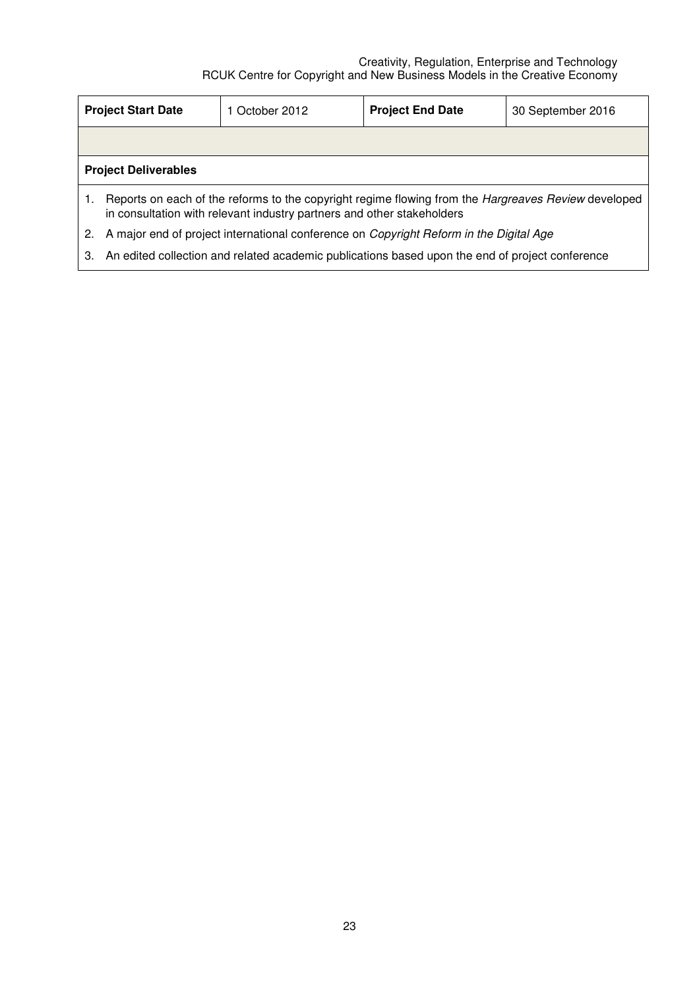|    | <b>Project Start Date</b>                                                                                                                                                            | 1 October 2012                                                                                  | <b>Project End Date</b> | 30 September 2016 |  |  |
|----|--------------------------------------------------------------------------------------------------------------------------------------------------------------------------------------|-------------------------------------------------------------------------------------------------|-------------------------|-------------------|--|--|
|    |                                                                                                                                                                                      |                                                                                                 |                         |                   |  |  |
|    | <b>Project Deliverables</b>                                                                                                                                                          |                                                                                                 |                         |                   |  |  |
|    | Reports on each of the reforms to the copyright regime flowing from the <i>Hargreaves Review</i> developed<br>in consultation with relevant industry partners and other stakeholders |                                                                                                 |                         |                   |  |  |
| 2. | A major end of project international conference on <i>Copyright Reform in the Digital Age</i>                                                                                        |                                                                                                 |                         |                   |  |  |
| 3. |                                                                                                                                                                                      | An edited collection and related academic publications based upon the end of project conference |                         |                   |  |  |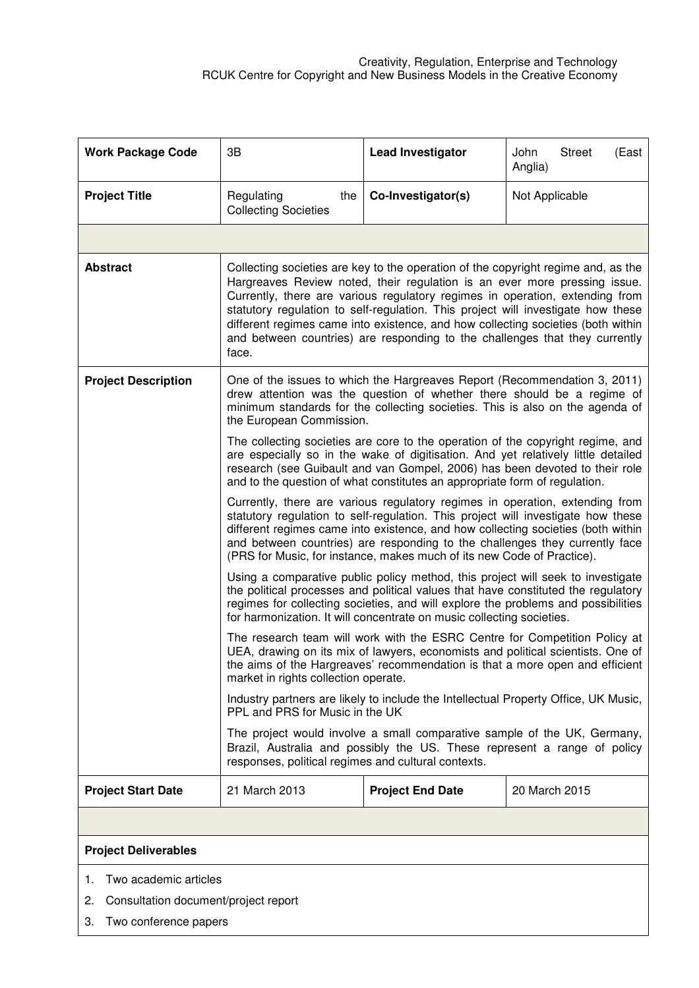| <b>Work Package Code</b>    | 3B                                                                                                                                                                                                                                                                                                                                                                                                                                                                                                             | <b>Lead Investigator</b>                                                            | John<br><b>Street</b><br>(East<br>Anglia) |  |  |
|-----------------------------|----------------------------------------------------------------------------------------------------------------------------------------------------------------------------------------------------------------------------------------------------------------------------------------------------------------------------------------------------------------------------------------------------------------------------------------------------------------------------------------------------------------|-------------------------------------------------------------------------------------|-------------------------------------------|--|--|
| <b>Project Title</b>        | Regulating<br>the<br><b>Collecting Societies</b>                                                                                                                                                                                                                                                                                                                                                                                                                                                               | Co-Investigator(s)                                                                  | Not Applicable                            |  |  |
|                             |                                                                                                                                                                                                                                                                                                                                                                                                                                                                                                                |                                                                                     |                                           |  |  |
| <b>Abstract</b>             | Collecting societies are key to the operation of the copyright regime and, as the<br>Hargreaves Review noted, their regulation is an ever more pressing issue.<br>Currently, there are various regulatory regimes in operation, extending from<br>statutory regulation to self-regulation. This project will investigate how these<br>different regimes came into existence, and how collecting societies (both within<br>and between countries) are responding to the challenges that they currently<br>face. |                                                                                     |                                           |  |  |
| <b>Project Description</b>  | One of the issues to which the Hargreaves Report (Recommendation 3, 2011)<br>drew attention was the question of whether there should be a regime of<br>minimum standards for the collecting societies. This is also on the agenda of<br>the European Commission.                                                                                                                                                                                                                                               |                                                                                     |                                           |  |  |
|                             | The collecting societies are core to the operation of the copyright regime, and<br>are especially so in the wake of digitisation. And yet relatively little detailed<br>research (see Guibault and van Gompel, 2006) has been devoted to their role<br>and to the question of what constitutes an appropriate form of regulation.                                                                                                                                                                              |                                                                                     |                                           |  |  |
|                             | Currently, there are various regulatory regimes in operation, extending from<br>statutory regulation to self-regulation. This project will investigate how these<br>different regimes came into existence, and how collecting societies (both within<br>and between countries) are responding to the challenges they currently face<br>(PRS for Music, for instance, makes much of its new Code of Practice).                                                                                                  |                                                                                     |                                           |  |  |
|                             | Using a comparative public policy method, this project will seek to investigate<br>the political processes and political values that have constituted the regulatory<br>regimes for collecting societies, and will explore the problems and possibilities<br>for harmonization. It will concentrate on music collecting societies.                                                                                                                                                                             |                                                                                     |                                           |  |  |
|                             | The research team will work with the ESRC Centre for Competition Policy at<br>UEA, drawing on its mix of lawyers, economists and political scientists. One of<br>the aims of the Hargreaves' recommendation is that a more open and efficient<br>market in rights collection operate.                                                                                                                                                                                                                          |                                                                                     |                                           |  |  |
|                             | PPL and PRS for Music in the UK                                                                                                                                                                                                                                                                                                                                                                                                                                                                                | Industry partners are likely to include the Intellectual Property Office, UK Music, |                                           |  |  |
|                             | The project would involve a small comparative sample of the UK, Germany,<br>Brazil, Australia and possibly the US. These represent a range of policy<br>responses, political regimes and cultural contexts.                                                                                                                                                                                                                                                                                                    |                                                                                     |                                           |  |  |
| <b>Project Start Date</b>   | 21 March 2013                                                                                                                                                                                                                                                                                                                                                                                                                                                                                                  | <b>Project End Date</b>                                                             | 20 March 2015                             |  |  |
|                             |                                                                                                                                                                                                                                                                                                                                                                                                                                                                                                                |                                                                                     |                                           |  |  |
| <b>Project Deliverables</b> |                                                                                                                                                                                                                                                                                                                                                                                                                                                                                                                |                                                                                     |                                           |  |  |
|                             |                                                                                                                                                                                                                                                                                                                                                                                                                                                                                                                |                                                                                     |                                           |  |  |

- 1. Two academic articles
- 2. Consultation document/project report
- 3. Two conference papers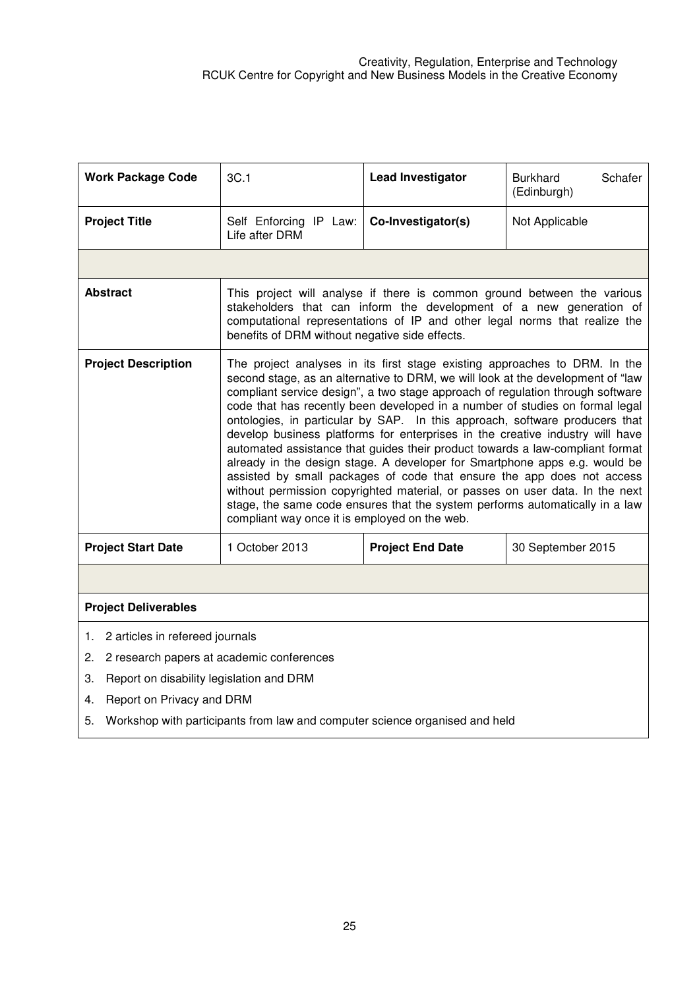| <b>Work Package Code</b>                        | 3C.1                                                                                                                                                                                                                                                                                                                                                                                                                                                                                                                                                                                                                                                                                                                                                                                                                                                                                                                                                      | <b>Lead Investigator</b> | <b>Burkhard</b><br>Schafer<br>(Edinburgh) |  |  |
|-------------------------------------------------|-----------------------------------------------------------------------------------------------------------------------------------------------------------------------------------------------------------------------------------------------------------------------------------------------------------------------------------------------------------------------------------------------------------------------------------------------------------------------------------------------------------------------------------------------------------------------------------------------------------------------------------------------------------------------------------------------------------------------------------------------------------------------------------------------------------------------------------------------------------------------------------------------------------------------------------------------------------|--------------------------|-------------------------------------------|--|--|
| <b>Project Title</b>                            | Self Enforcing IP Law:<br>Life after DRM                                                                                                                                                                                                                                                                                                                                                                                                                                                                                                                                                                                                                                                                                                                                                                                                                                                                                                                  | Co-Investigator(s)       | Not Applicable                            |  |  |
|                                                 |                                                                                                                                                                                                                                                                                                                                                                                                                                                                                                                                                                                                                                                                                                                                                                                                                                                                                                                                                           |                          |                                           |  |  |
| <b>Abstract</b>                                 | This project will analyse if there is common ground between the various<br>stakeholders that can inform the development of a new generation of<br>computational representations of IP and other legal norms that realize the<br>benefits of DRM without negative side effects.                                                                                                                                                                                                                                                                                                                                                                                                                                                                                                                                                                                                                                                                            |                          |                                           |  |  |
| <b>Project Description</b>                      | The project analyses in its first stage existing approaches to DRM. In the<br>second stage, as an alternative to DRM, we will look at the development of "law<br>compliant service design", a two stage approach of regulation through software<br>code that has recently been developed in a number of studies on formal legal<br>ontologies, in particular by SAP. In this approach, software producers that<br>develop business platforms for enterprises in the creative industry will have<br>automated assistance that guides their product towards a law-compliant format<br>already in the design stage. A developer for Smartphone apps e.g. would be<br>assisted by small packages of code that ensure the app does not access<br>without permission copyrighted material, or passes on user data. In the next<br>stage, the same code ensures that the system performs automatically in a law<br>compliant way once it is employed on the web. |                          |                                           |  |  |
| <b>Project Start Date</b>                       | 1 October 2013                                                                                                                                                                                                                                                                                                                                                                                                                                                                                                                                                                                                                                                                                                                                                                                                                                                                                                                                            | <b>Project End Date</b>  | 30 September 2015                         |  |  |
|                                                 |                                                                                                                                                                                                                                                                                                                                                                                                                                                                                                                                                                                                                                                                                                                                                                                                                                                                                                                                                           |                          |                                           |  |  |
| <b>Project Deliverables</b>                     |                                                                                                                                                                                                                                                                                                                                                                                                                                                                                                                                                                                                                                                                                                                                                                                                                                                                                                                                                           |                          |                                           |  |  |
| 2 articles in refereed journals<br>1.           |                                                                                                                                                                                                                                                                                                                                                                                                                                                                                                                                                                                                                                                                                                                                                                                                                                                                                                                                                           |                          |                                           |  |  |
| 2 research papers at academic conferences<br>2. |                                                                                                                                                                                                                                                                                                                                                                                                                                                                                                                                                                                                                                                                                                                                                                                                                                                                                                                                                           |                          |                                           |  |  |
| Report on disability legislation and DRM<br>3.  |                                                                                                                                                                                                                                                                                                                                                                                                                                                                                                                                                                                                                                                                                                                                                                                                                                                                                                                                                           |                          |                                           |  |  |
| Report on Privacy and DRM<br>4.                 |                                                                                                                                                                                                                                                                                                                                                                                                                                                                                                                                                                                                                                                                                                                                                                                                                                                                                                                                                           |                          |                                           |  |  |
| 5.                                              | Workshop with participants from law and computer science organised and held                                                                                                                                                                                                                                                                                                                                                                                                                                                                                                                                                                                                                                                                                                                                                                                                                                                                               |                          |                                           |  |  |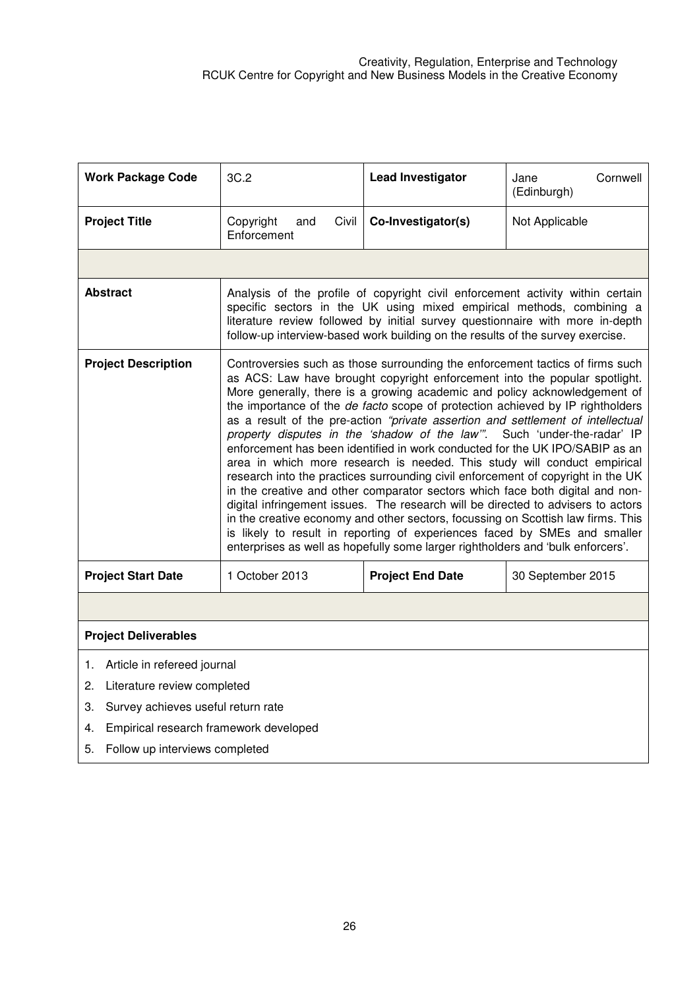| <b>Work Package Code</b>                     | 3C.2                                                                                                                                                                                                                                                                                                                                                                                                                                                                                                                                                                                                                                                                                                                                                                                                                                                                                                                                                                                                                                                                                                                                                              | <b>Lead Investigator</b> | Cornwell<br>Jane<br>(Edinburgh) |  |  |  |
|----------------------------------------------|-------------------------------------------------------------------------------------------------------------------------------------------------------------------------------------------------------------------------------------------------------------------------------------------------------------------------------------------------------------------------------------------------------------------------------------------------------------------------------------------------------------------------------------------------------------------------------------------------------------------------------------------------------------------------------------------------------------------------------------------------------------------------------------------------------------------------------------------------------------------------------------------------------------------------------------------------------------------------------------------------------------------------------------------------------------------------------------------------------------------------------------------------------------------|--------------------------|---------------------------------|--|--|--|
| <b>Project Title</b>                         | Copyright<br>Civil<br>and<br>Enforcement                                                                                                                                                                                                                                                                                                                                                                                                                                                                                                                                                                                                                                                                                                                                                                                                                                                                                                                                                                                                                                                                                                                          | Co-Investigator(s)       | Not Applicable                  |  |  |  |
|                                              |                                                                                                                                                                                                                                                                                                                                                                                                                                                                                                                                                                                                                                                                                                                                                                                                                                                                                                                                                                                                                                                                                                                                                                   |                          |                                 |  |  |  |
| <b>Abstract</b>                              | Analysis of the profile of copyright civil enforcement activity within certain<br>specific sectors in the UK using mixed empirical methods, combining a<br>literature review followed by initial survey questionnaire with more in-depth<br>follow-up interview-based work building on the results of the survey exercise.                                                                                                                                                                                                                                                                                                                                                                                                                                                                                                                                                                                                                                                                                                                                                                                                                                        |                          |                                 |  |  |  |
| <b>Project Description</b>                   | Controversies such as those surrounding the enforcement tactics of firms such<br>as ACS: Law have brought copyright enforcement into the popular spotlight.<br>More generally, there is a growing academic and policy acknowledgement of<br>the importance of the de facto scope of protection achieved by IP rightholders<br>as a result of the pre-action "private assertion and settlement of intellectual<br>property disputes in the 'shadow of the law". Such 'under-the-radar' IP<br>enforcement has been identified in work conducted for the UK IPO/SABIP as an<br>area in which more research is needed. This study will conduct empirical<br>research into the practices surrounding civil enforcement of copyright in the UK<br>in the creative and other comparator sectors which face both digital and non-<br>digital infringement issues. The research will be directed to advisers to actors<br>in the creative economy and other sectors, focussing on Scottish law firms. This<br>is likely to result in reporting of experiences faced by SMEs and smaller<br>enterprises as well as hopefully some larger rightholders and 'bulk enforcers'. |                          |                                 |  |  |  |
| <b>Project Start Date</b>                    | 1 October 2013                                                                                                                                                                                                                                                                                                                                                                                                                                                                                                                                                                                                                                                                                                                                                                                                                                                                                                                                                                                                                                                                                                                                                    | <b>Project End Date</b>  | 30 September 2015               |  |  |  |
|                                              |                                                                                                                                                                                                                                                                                                                                                                                                                                                                                                                                                                                                                                                                                                                                                                                                                                                                                                                                                                                                                                                                                                                                                                   |                          |                                 |  |  |  |
| <b>Project Deliverables</b>                  |                                                                                                                                                                                                                                                                                                                                                                                                                                                                                                                                                                                                                                                                                                                                                                                                                                                                                                                                                                                                                                                                                                                                                                   |                          |                                 |  |  |  |
| Article in refereed journal<br>1.            |                                                                                                                                                                                                                                                                                                                                                                                                                                                                                                                                                                                                                                                                                                                                                                                                                                                                                                                                                                                                                                                                                                                                                                   |                          |                                 |  |  |  |
| Literature review completed<br>2.            |                                                                                                                                                                                                                                                                                                                                                                                                                                                                                                                                                                                                                                                                                                                                                                                                                                                                                                                                                                                                                                                                                                                                                                   |                          |                                 |  |  |  |
| 3.<br>Survey achieves useful return rate     |                                                                                                                                                                                                                                                                                                                                                                                                                                                                                                                                                                                                                                                                                                                                                                                                                                                                                                                                                                                                                                                                                                                                                                   |                          |                                 |  |  |  |
| Empirical research framework developed<br>4. |                                                                                                                                                                                                                                                                                                                                                                                                                                                                                                                                                                                                                                                                                                                                                                                                                                                                                                                                                                                                                                                                                                                                                                   |                          |                                 |  |  |  |
| Follow up interviews completed<br>5.         |                                                                                                                                                                                                                                                                                                                                                                                                                                                                                                                                                                                                                                                                                                                                                                                                                                                                                                                                                                                                                                                                                                                                                                   |                          |                                 |  |  |  |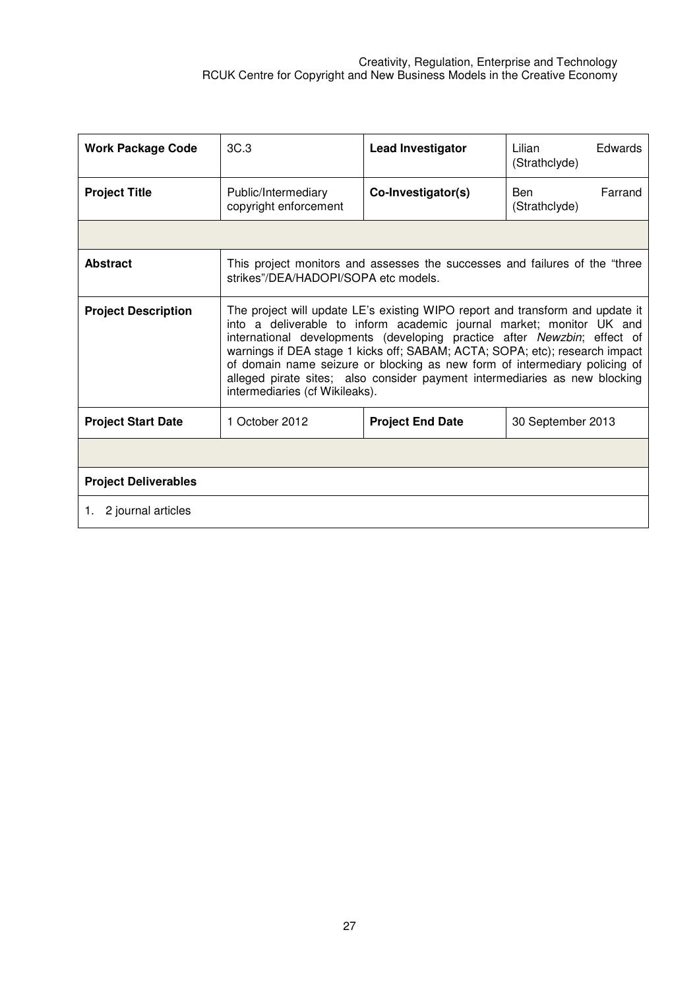| <b>Work Package Code</b>    | 3C.3                                                                                                                                                                                                                                                                                                                                                                                                                                                                                                           | <b>Lead Investigator</b> | Edwards<br>Lilian<br>(Strathclyde) |  |  |  |
|-----------------------------|----------------------------------------------------------------------------------------------------------------------------------------------------------------------------------------------------------------------------------------------------------------------------------------------------------------------------------------------------------------------------------------------------------------------------------------------------------------------------------------------------------------|--------------------------|------------------------------------|--|--|--|
| <b>Project Title</b>        | Public/Intermediary<br>copyright enforcement                                                                                                                                                                                                                                                                                                                                                                                                                                                                   | Co-Investigator(s)       | Farrand<br>Ben<br>(Strathclyde)    |  |  |  |
|                             |                                                                                                                                                                                                                                                                                                                                                                                                                                                                                                                |                          |                                    |  |  |  |
| <b>Abstract</b>             | This project monitors and assesses the successes and failures of the "three<br>strikes"/DEA/HADOPI/SOPA etc models.                                                                                                                                                                                                                                                                                                                                                                                            |                          |                                    |  |  |  |
| <b>Project Description</b>  | The project will update LE's existing WIPO report and transform and update it<br>into a deliverable to inform academic journal market; monitor UK and<br>international developments (developing practice after Newzbin; effect of<br>warnings if DEA stage 1 kicks off; SABAM; ACTA; SOPA; etc); research impact<br>of domain name seizure or blocking as new form of intermediary policing of<br>alleged pirate sites; also consider payment intermediaries as new blocking<br>intermediaries (cf Wikileaks). |                          |                                    |  |  |  |
| <b>Project Start Date</b>   | 1 October 2012                                                                                                                                                                                                                                                                                                                                                                                                                                                                                                 | <b>Project End Date</b>  | 30 September 2013                  |  |  |  |
|                             |                                                                                                                                                                                                                                                                                                                                                                                                                                                                                                                |                          |                                    |  |  |  |
| <b>Project Deliverables</b> |                                                                                                                                                                                                                                                                                                                                                                                                                                                                                                                |                          |                                    |  |  |  |
| 2 journal articles<br>1.    |                                                                                                                                                                                                                                                                                                                                                                                                                                                                                                                |                          |                                    |  |  |  |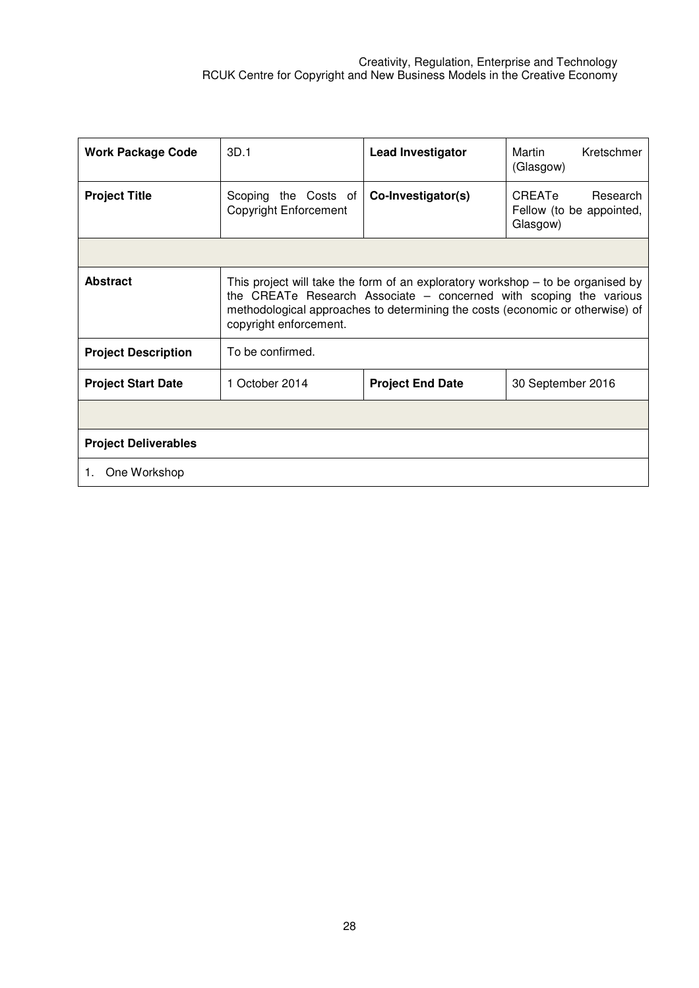| <b>Work Package Code</b>    | 3D.1                                                                                                                                                                                                                                                                 | <b>Lead Investigator</b> | Kretschmer<br>Martin<br>(Glasgow)                          |  |
|-----------------------------|----------------------------------------------------------------------------------------------------------------------------------------------------------------------------------------------------------------------------------------------------------------------|--------------------------|------------------------------------------------------------|--|
| <b>Project Title</b>        | Scoping the Costs of<br><b>Copyright Enforcement</b>                                                                                                                                                                                                                 | Co-Investigator(s)       | CREATe<br>Research<br>Fellow (to be appointed,<br>Glasgow) |  |
|                             |                                                                                                                                                                                                                                                                      |                          |                                                            |  |
| <b>Abstract</b>             | This project will take the form of an exploratory workshop $-$ to be organised by<br>the CREATe Research Associate $-$ concerned with scoping the various<br>methodological approaches to determining the costs (economic or otherwise) of<br>copyright enforcement. |                          |                                                            |  |
| <b>Project Description</b>  | To be confirmed.                                                                                                                                                                                                                                                     |                          |                                                            |  |
| <b>Project Start Date</b>   | 1 October 2014                                                                                                                                                                                                                                                       | <b>Project End Date</b>  | 30 September 2016                                          |  |
|                             |                                                                                                                                                                                                                                                                      |                          |                                                            |  |
| <b>Project Deliverables</b> |                                                                                                                                                                                                                                                                      |                          |                                                            |  |
| One Workshop<br>1.          |                                                                                                                                                                                                                                                                      |                          |                                                            |  |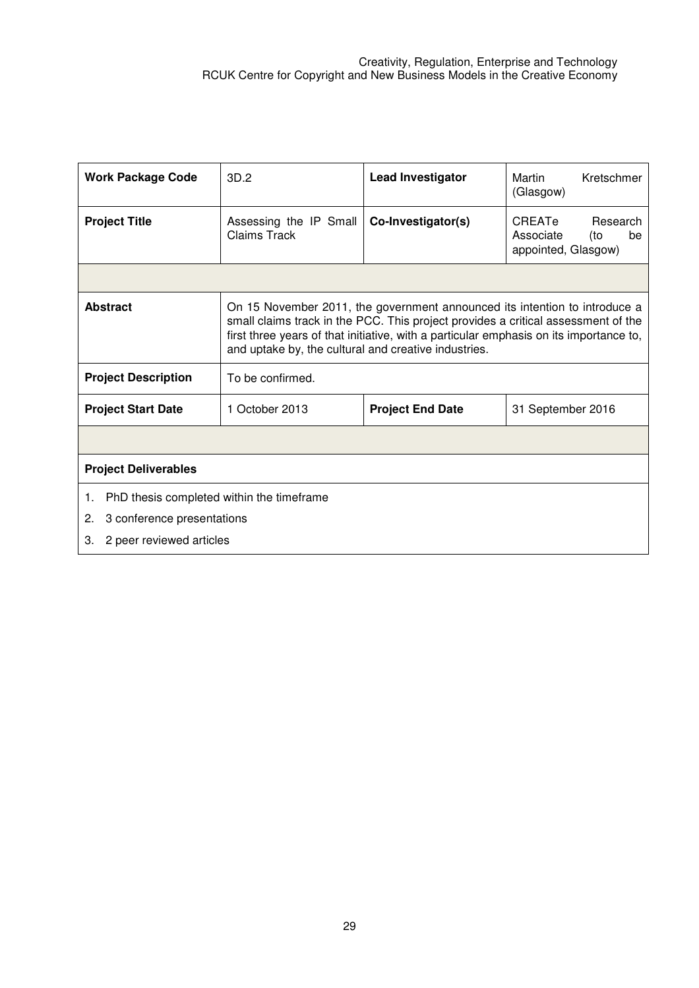| <b>Work Package Code</b>                                                                                              | 3D.2                                                 | <b>Lead Investigator</b>                                                                                                                                                                                                                                  | Martin<br>Kretschmer<br>(Glasgow)                                   |  |
|-----------------------------------------------------------------------------------------------------------------------|------------------------------------------------------|-----------------------------------------------------------------------------------------------------------------------------------------------------------------------------------------------------------------------------------------------------------|---------------------------------------------------------------------|--|
| <b>Project Title</b>                                                                                                  | Assessing the IP Small<br>Claims Track               | Co-Investigator(s)                                                                                                                                                                                                                                        | CREATe<br>Research<br>Associate<br>(to<br>be<br>appointed, Glasgow) |  |
|                                                                                                                       |                                                      |                                                                                                                                                                                                                                                           |                                                                     |  |
| <b>Abstract</b>                                                                                                       | and uptake by, the cultural and creative industries. | On 15 November 2011, the government announced its intention to introduce a<br>small claims track in the PCC. This project provides a critical assessment of the<br>first three years of that initiative, with a particular emphasis on its importance to, |                                                                     |  |
| <b>Project Description</b>                                                                                            | To be confirmed.                                     |                                                                                                                                                                                                                                                           |                                                                     |  |
| <b>Project Start Date</b>                                                                                             | 1 October 2013                                       | <b>Project End Date</b>                                                                                                                                                                                                                                   | 31 September 2016                                                   |  |
|                                                                                                                       |                                                      |                                                                                                                                                                                                                                                           |                                                                     |  |
| <b>Project Deliverables</b>                                                                                           |                                                      |                                                                                                                                                                                                                                                           |                                                                     |  |
| PhD thesis completed within the timeframe<br>1.<br>2.<br>3 conference presentations<br>3.<br>2 peer reviewed articles |                                                      |                                                                                                                                                                                                                                                           |                                                                     |  |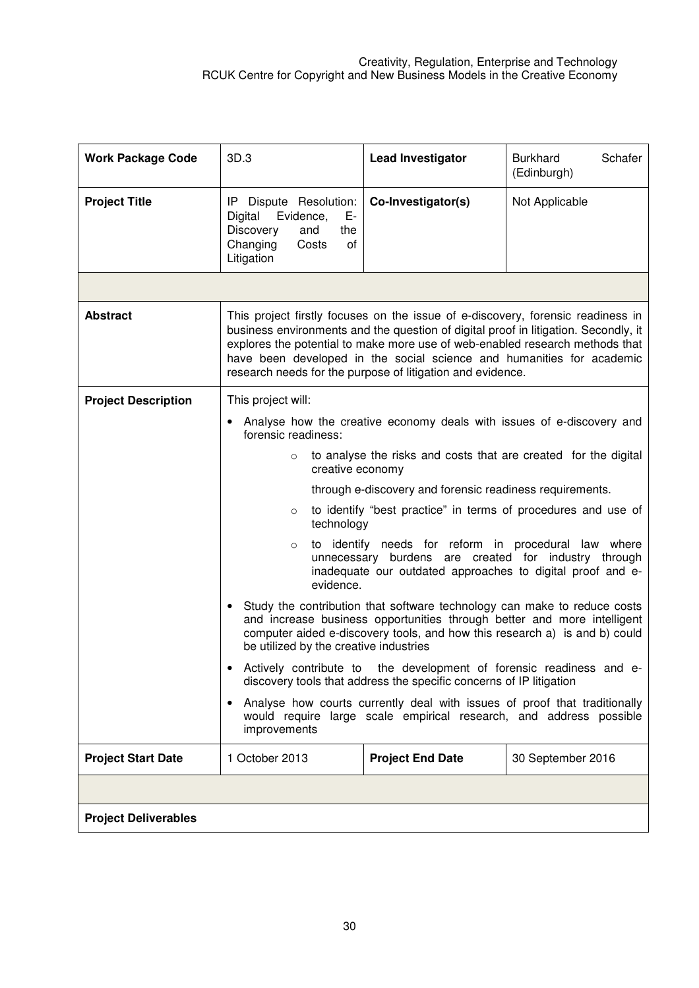| <b>Work Package Code</b>    | 3D.3                                                                                                                                                                                                                                                                                                                                                                                          | <b>Lead Investigator</b>                                                                                                                        | Schafer<br><b>Burkhard</b><br>(Edinburgh) |
|-----------------------------|-----------------------------------------------------------------------------------------------------------------------------------------------------------------------------------------------------------------------------------------------------------------------------------------------------------------------------------------------------------------------------------------------|-------------------------------------------------------------------------------------------------------------------------------------------------|-------------------------------------------|
| <b>Project Title</b>        | IP Dispute Resolution:<br>Evidence,<br>Digital<br>Е-<br><b>Discovery</b><br>the<br>and<br>Changing<br>οf<br>Costs<br>Litigation                                                                                                                                                                                                                                                               | Co-Investigator(s)                                                                                                                              | Not Applicable                            |
|                             |                                                                                                                                                                                                                                                                                                                                                                                               |                                                                                                                                                 |                                           |
| <b>Abstract</b>             | This project firstly focuses on the issue of e-discovery, forensic readiness in<br>business environments and the question of digital proof in litigation. Secondly, it<br>explores the potential to make more use of web-enabled research methods that<br>have been developed in the social science and humanities for academic<br>research needs for the purpose of litigation and evidence. |                                                                                                                                                 |                                           |
| <b>Project Description</b>  | This project will:                                                                                                                                                                                                                                                                                                                                                                            |                                                                                                                                                 |                                           |
|                             | forensic readiness:                                                                                                                                                                                                                                                                                                                                                                           | Analyse how the creative economy deals with issues of e-discovery and                                                                           |                                           |
|                             | to analyse the risks and costs that are created for the digital<br>$\circ$<br>creative economy                                                                                                                                                                                                                                                                                                |                                                                                                                                                 |                                           |
|                             | through e-discovery and forensic readiness requirements.                                                                                                                                                                                                                                                                                                                                      |                                                                                                                                                 |                                           |
|                             | to identify "best practice" in terms of procedures and use of<br>$\circ$<br>technology                                                                                                                                                                                                                                                                                                        |                                                                                                                                                 |                                           |
|                             | to identify needs for reform in procedural law where<br>$\circ$<br>unnecessary burdens are created for industry through<br>inadequate our outdated approaches to digital proof and e-<br>evidence.                                                                                                                                                                                            |                                                                                                                                                 |                                           |
|                             | Study the contribution that software technology can make to reduce costs<br>$\bullet$<br>and increase business opportunities through better and more intelligent<br>computer aided e-discovery tools, and how this research a) is and b) could<br>be utilized by the creative industries                                                                                                      |                                                                                                                                                 |                                           |
|                             | Actively contribute to the development of forensic readiness and e-<br>discovery tools that address the specific concerns of IP litigation                                                                                                                                                                                                                                                    |                                                                                                                                                 |                                           |
|                             | $\bullet$<br>improvements                                                                                                                                                                                                                                                                                                                                                                     | Analyse how courts currently deal with issues of proof that traditionally<br>would require large scale empirical research, and address possible |                                           |
| <b>Project Start Date</b>   | 1 October 2013                                                                                                                                                                                                                                                                                                                                                                                | <b>Project End Date</b>                                                                                                                         | 30 September 2016                         |
|                             |                                                                                                                                                                                                                                                                                                                                                                                               |                                                                                                                                                 |                                           |
| <b>Project Deliverables</b> |                                                                                                                                                                                                                                                                                                                                                                                               |                                                                                                                                                 |                                           |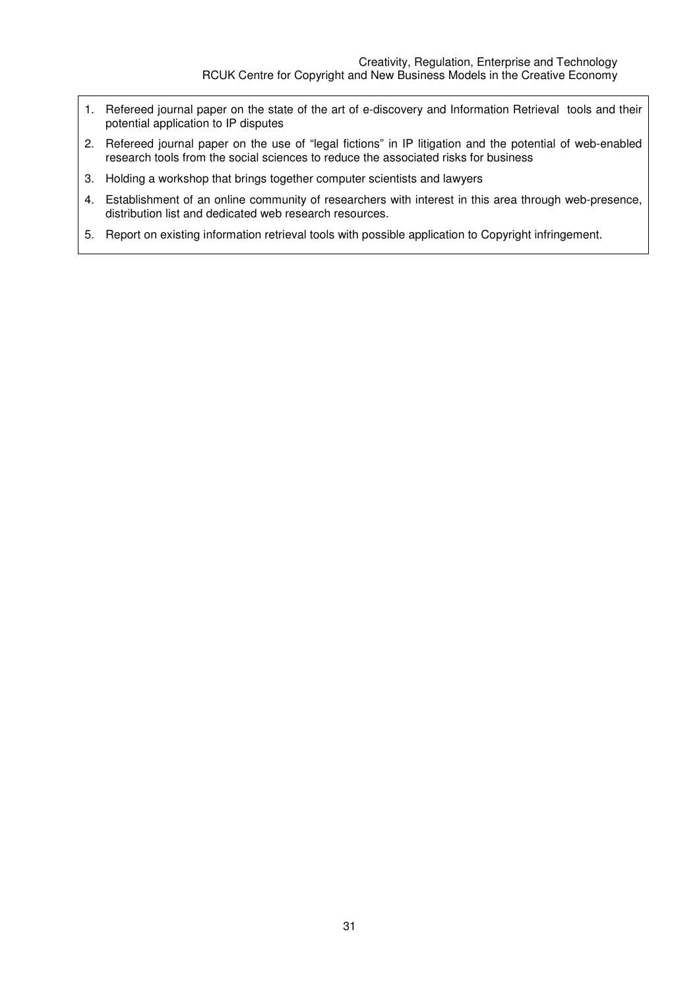- 1. Refereed journal paper on the state of the art of e-discovery and Information Retrieval tools and their potential application to IP disputes
- 2. Refereed journal paper on the use of "legal fictions" in IP litigation and the potential of web-enabled research tools from the social sciences to reduce the associated risks for business
- 3. Holding a workshop that brings together computer scientists and lawyers
- 4. Establishment of an online community of researchers with interest in this area through web-presence, distribution list and dedicated web research resources.
- 5. Report on existing information retrieval tools with possible application to Copyright infringement.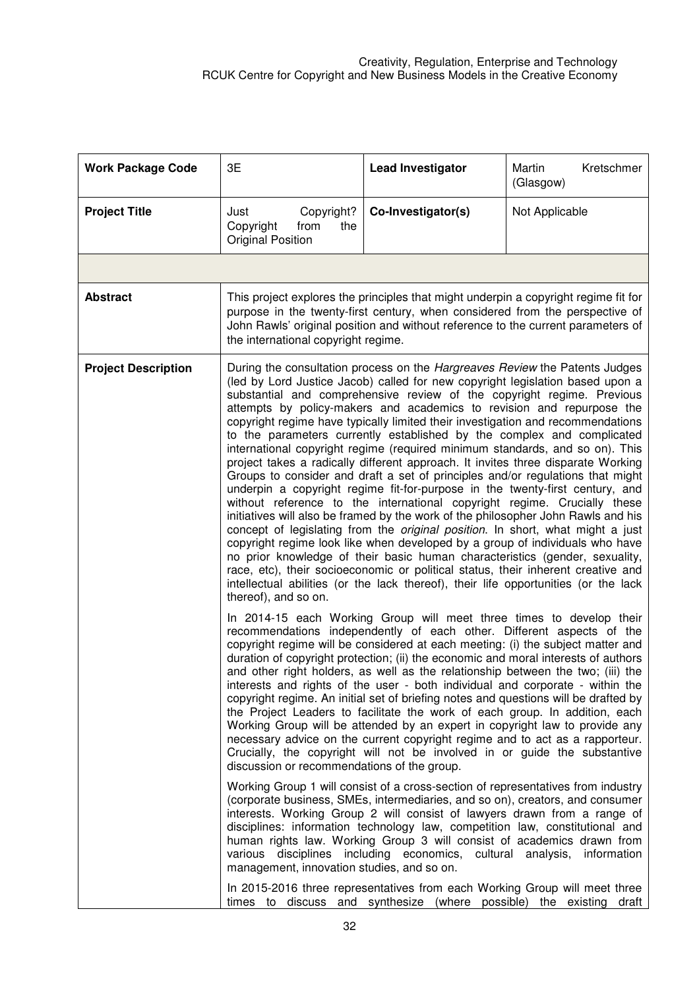| <b>Work Package Code</b>   | 3E                                                                                                                                                                                                                                                                                                                                                                                                                                                                                                                                                                                                                                                                                                                                                                                                                                                                                                                                                                                                                                                                                                                                                                                                                                                                                                                                                                                                                                      | <b>Lead Investigator</b>                                                                                                                                                                                                                                                                                                                                                                                                                                                                                                                                                                                                                                                                                                                                                                                                                                                                                                                                                                                                                                                                                                                                                                                                                                                                                                                                                                           | Martin<br>Kretschmer<br>(Glasgow) |
|----------------------------|-----------------------------------------------------------------------------------------------------------------------------------------------------------------------------------------------------------------------------------------------------------------------------------------------------------------------------------------------------------------------------------------------------------------------------------------------------------------------------------------------------------------------------------------------------------------------------------------------------------------------------------------------------------------------------------------------------------------------------------------------------------------------------------------------------------------------------------------------------------------------------------------------------------------------------------------------------------------------------------------------------------------------------------------------------------------------------------------------------------------------------------------------------------------------------------------------------------------------------------------------------------------------------------------------------------------------------------------------------------------------------------------------------------------------------------------|----------------------------------------------------------------------------------------------------------------------------------------------------------------------------------------------------------------------------------------------------------------------------------------------------------------------------------------------------------------------------------------------------------------------------------------------------------------------------------------------------------------------------------------------------------------------------------------------------------------------------------------------------------------------------------------------------------------------------------------------------------------------------------------------------------------------------------------------------------------------------------------------------------------------------------------------------------------------------------------------------------------------------------------------------------------------------------------------------------------------------------------------------------------------------------------------------------------------------------------------------------------------------------------------------------------------------------------------------------------------------------------------------|-----------------------------------|
| <b>Project Title</b>       | Just<br>Copyright?<br>Copyright<br>from<br>the<br><b>Original Position</b>                                                                                                                                                                                                                                                                                                                                                                                                                                                                                                                                                                                                                                                                                                                                                                                                                                                                                                                                                                                                                                                                                                                                                                                                                                                                                                                                                              | Co-Investigator(s)                                                                                                                                                                                                                                                                                                                                                                                                                                                                                                                                                                                                                                                                                                                                                                                                                                                                                                                                                                                                                                                                                                                                                                                                                                                                                                                                                                                 | Not Applicable                    |
|                            |                                                                                                                                                                                                                                                                                                                                                                                                                                                                                                                                                                                                                                                                                                                                                                                                                                                                                                                                                                                                                                                                                                                                                                                                                                                                                                                                                                                                                                         |                                                                                                                                                                                                                                                                                                                                                                                                                                                                                                                                                                                                                                                                                                                                                                                                                                                                                                                                                                                                                                                                                                                                                                                                                                                                                                                                                                                                    |                                   |
| <b>Abstract</b>            | This project explores the principles that might underpin a copyright regime fit for<br>purpose in the twenty-first century, when considered from the perspective of<br>John Rawls' original position and without reference to the current parameters of<br>the international copyright regime.                                                                                                                                                                                                                                                                                                                                                                                                                                                                                                                                                                                                                                                                                                                                                                                                                                                                                                                                                                                                                                                                                                                                          |                                                                                                                                                                                                                                                                                                                                                                                                                                                                                                                                                                                                                                                                                                                                                                                                                                                                                                                                                                                                                                                                                                                                                                                                                                                                                                                                                                                                    |                                   |
| <b>Project Description</b> | During the consultation process on the Hargreaves Review the Patents Judges<br>(led by Lord Justice Jacob) called for new copyright legislation based upon a<br>substantial and comprehensive review of the copyright regime. Previous<br>attempts by policy-makers and academics to revision and repurpose the<br>copyright regime have typically limited their investigation and recommendations<br>to the parameters currently established by the complex and complicated<br>international copyright regime (required minimum standards, and so on). This<br>project takes a radically different approach. It invites three disparate Working<br>Groups to consider and draft a set of principles and/or regulations that might<br>underpin a copyright regime fit-for-purpose in the twenty-first century, and<br>without reference to the international copyright regime. Crucially these<br>initiatives will also be framed by the work of the philosopher John Rawls and his<br>concept of legislating from the original position. In short, what might a just<br>copyright regime look like when developed by a group of individuals who have<br>no prior knowledge of their basic human characteristics (gender, sexuality,<br>race, etc), their socioeconomic or political status, their inherent creative and<br>intellectual abilities (or the lack thereof), their life opportunities (or the lack<br>thereof), and so on. |                                                                                                                                                                                                                                                                                                                                                                                                                                                                                                                                                                                                                                                                                                                                                                                                                                                                                                                                                                                                                                                                                                                                                                                                                                                                                                                                                                                                    |                                   |
|                            | discussion or recommendations of the group.<br>management, innovation studies, and so on.                                                                                                                                                                                                                                                                                                                                                                                                                                                                                                                                                                                                                                                                                                                                                                                                                                                                                                                                                                                                                                                                                                                                                                                                                                                                                                                                               | In 2014-15 each Working Group will meet three times to develop their<br>recommendations independently of each other. Different aspects of the<br>copyright regime will be considered at each meeting: (i) the subject matter and<br>duration of copyright protection; (ii) the economic and moral interests of authors<br>and other right holders, as well as the relationship between the two; (iii) the<br>interests and rights of the user - both individual and corporate - within the<br>copyright regime. An initial set of briefing notes and questions will be drafted by<br>the Project Leaders to facilitate the work of each group. In addition, each<br>Working Group will be attended by an expert in copyright law to provide any<br>necessary advice on the current copyright regime and to act as a rapporteur.<br>Crucially, the copyright will not be involved in or guide the substantive<br>Working Group 1 will consist of a cross-section of representatives from industry<br>(corporate business, SMEs, intermediaries, and so on), creators, and consumer<br>interests. Working Group 2 will consist of lawyers drawn from a range of<br>disciplines: information technology law, competition law, constitutional and<br>human rights law. Working Group 3 will consist of academics drawn from<br>various disciplines including economics, cultural analysis, information |                                   |
|                            |                                                                                                                                                                                                                                                                                                                                                                                                                                                                                                                                                                                                                                                                                                                                                                                                                                                                                                                                                                                                                                                                                                                                                                                                                                                                                                                                                                                                                                         | In 2015-2016 three representatives from each Working Group will meet three<br>times to discuss and synthesize (where possible) the existing draft                                                                                                                                                                                                                                                                                                                                                                                                                                                                                                                                                                                                                                                                                                                                                                                                                                                                                                                                                                                                                                                                                                                                                                                                                                                  |                                   |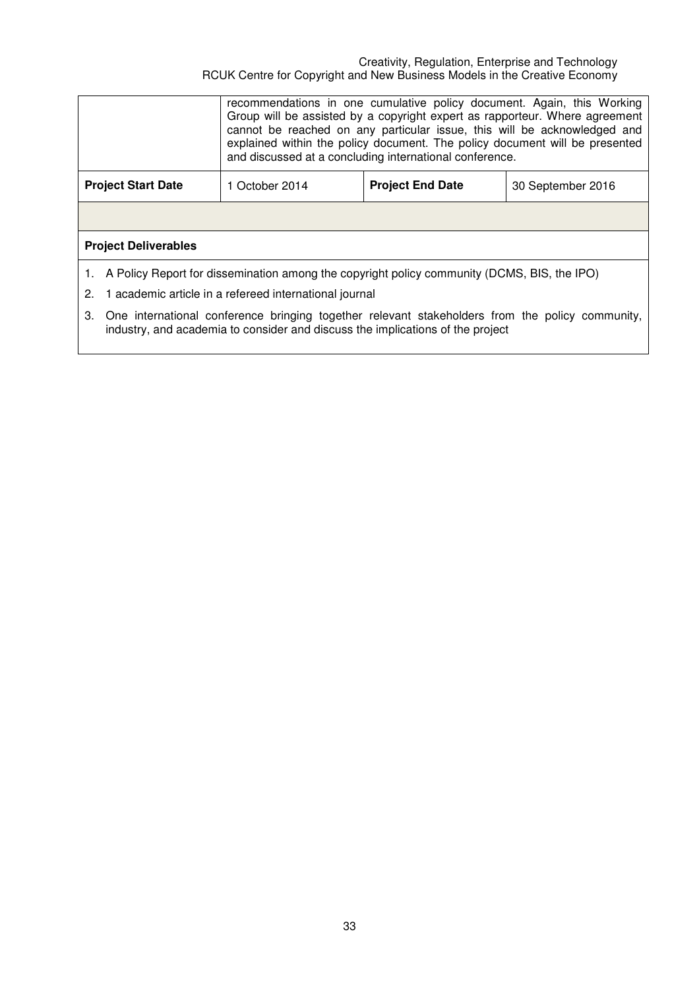#### Creativity, Regulation, Enterprise and Technology RCUK Centre for Copyright and New Business Models in the Creative Economy

|                             |                                                                                                                                                                                   | recommendations in one cumulative policy document. Again, this Working<br>Group will be assisted by a copyright expert as rapporteur. Where agreement<br>cannot be reached on any particular issue, this will be acknowledged and<br>explained within the policy document. The policy document will be presented<br>and discussed at a concluding international conference. |  |  |  |
|-----------------------------|-----------------------------------------------------------------------------------------------------------------------------------------------------------------------------------|-----------------------------------------------------------------------------------------------------------------------------------------------------------------------------------------------------------------------------------------------------------------------------------------------------------------------------------------------------------------------------|--|--|--|
|                             | <b>Project Start Date</b>                                                                                                                                                         | 1 October 2014<br><b>Project End Date</b><br>30 September 2016                                                                                                                                                                                                                                                                                                              |  |  |  |
|                             |                                                                                                                                                                                   |                                                                                                                                                                                                                                                                                                                                                                             |  |  |  |
| <b>Project Deliverables</b> |                                                                                                                                                                                   |                                                                                                                                                                                                                                                                                                                                                                             |  |  |  |
|                             | 1. A Policy Report for dissemination among the copyright policy community (DCMS, BIS, the IPO)                                                                                    |                                                                                                                                                                                                                                                                                                                                                                             |  |  |  |
| 2.                          | 1 academic article in a refereed international journal                                                                                                                            |                                                                                                                                                                                                                                                                                                                                                                             |  |  |  |
| З.                          | One international conference bringing together relevant stakeholders from the policy community,<br>industry, and academia to consider and discuss the implications of the project |                                                                                                                                                                                                                                                                                                                                                                             |  |  |  |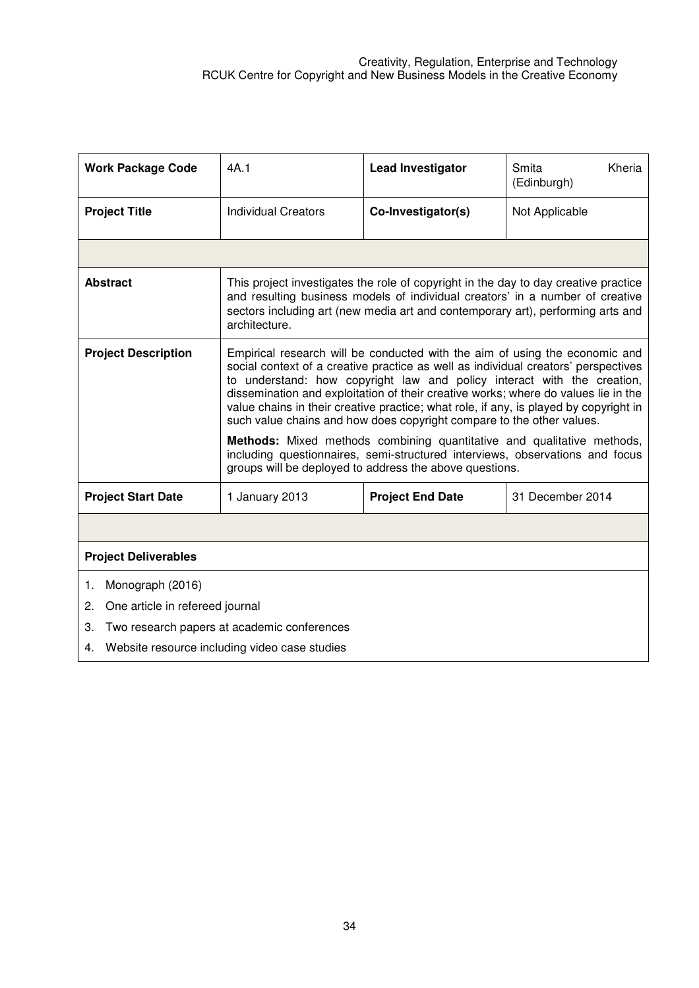| <b>Work Package Code</b>                            | 4A.1                                                                                                                                                                                                                                                                                                                                                                                                                                                                                                                                                                                                                                                                  | <b>Lead Investigator</b> | Kheria<br>Smita<br>(Edinburgh) |  |
|-----------------------------------------------------|-----------------------------------------------------------------------------------------------------------------------------------------------------------------------------------------------------------------------------------------------------------------------------------------------------------------------------------------------------------------------------------------------------------------------------------------------------------------------------------------------------------------------------------------------------------------------------------------------------------------------------------------------------------------------|--------------------------|--------------------------------|--|
| <b>Project Title</b>                                | Individual Creators                                                                                                                                                                                                                                                                                                                                                                                                                                                                                                                                                                                                                                                   | Co-Investigator(s)       | Not Applicable                 |  |
|                                                     |                                                                                                                                                                                                                                                                                                                                                                                                                                                                                                                                                                                                                                                                       |                          |                                |  |
| <b>Abstract</b>                                     | This project investigates the role of copyright in the day to day creative practice<br>and resulting business models of individual creators' in a number of creative<br>sectors including art (new media art and contemporary art), performing arts and<br>architecture.                                                                                                                                                                                                                                                                                                                                                                                              |                          |                                |  |
| <b>Project Description</b>                          | Empirical research will be conducted with the aim of using the economic and<br>social context of a creative practice as well as individual creators' perspectives<br>to understand: how copyright law and policy interact with the creation,<br>dissemination and exploitation of their creative works; where do values lie in the<br>value chains in their creative practice; what role, if any, is played by copyright in<br>such value chains and how does copyright compare to the other values.<br><b>Methods:</b> Mixed methods combining quantitative and qualitative methods,<br>including questionnaires, semi-structured interviews, observations and focus |                          |                                |  |
|                                                     | groups will be deployed to address the above questions.                                                                                                                                                                                                                                                                                                                                                                                                                                                                                                                                                                                                               |                          |                                |  |
| <b>Project Start Date</b>                           | 1 January 2013                                                                                                                                                                                                                                                                                                                                                                                                                                                                                                                                                                                                                                                        | <b>Project End Date</b>  | 31 December 2014               |  |
|                                                     |                                                                                                                                                                                                                                                                                                                                                                                                                                                                                                                                                                                                                                                                       |                          |                                |  |
| <b>Project Deliverables</b>                         |                                                                                                                                                                                                                                                                                                                                                                                                                                                                                                                                                                                                                                                                       |                          |                                |  |
| Monograph (2016)<br>1.                              |                                                                                                                                                                                                                                                                                                                                                                                                                                                                                                                                                                                                                                                                       |                          |                                |  |
| One article in refereed journal<br>2.               |                                                                                                                                                                                                                                                                                                                                                                                                                                                                                                                                                                                                                                                                       |                          |                                |  |
| Two research papers at academic conferences<br>3.   |                                                                                                                                                                                                                                                                                                                                                                                                                                                                                                                                                                                                                                                                       |                          |                                |  |
| Website resource including video case studies<br>4. |                                                                                                                                                                                                                                                                                                                                                                                                                                                                                                                                                                                                                                                                       |                          |                                |  |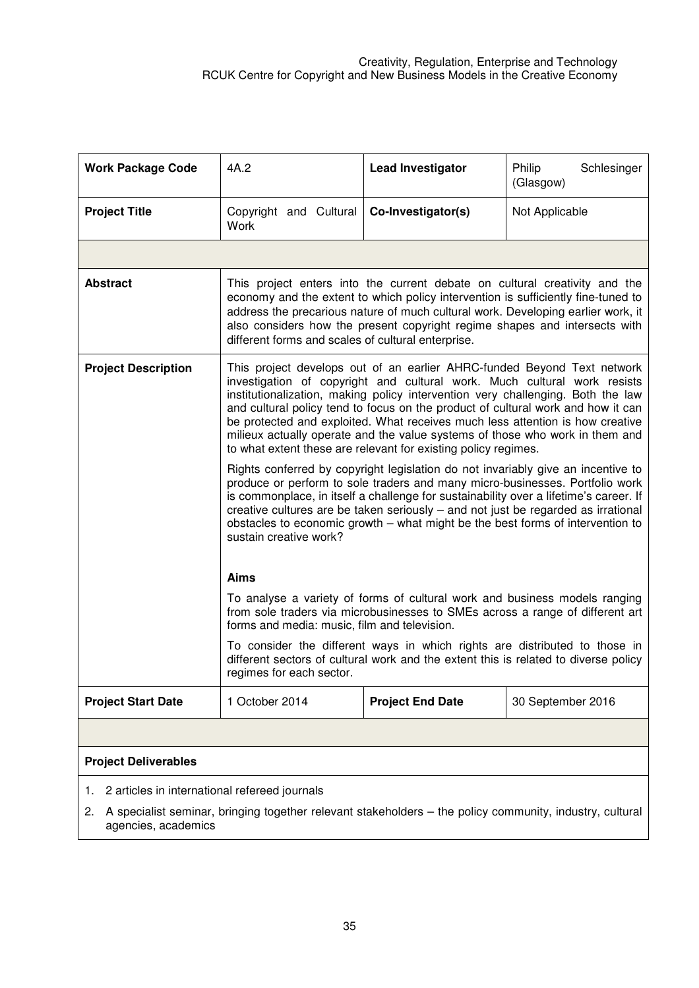| <b>Work Package Code</b>                            | 4A.2                                                                                                                                                                                                                                                                                                                                                                                                                                                                                                                                                          | <b>Lead Investigator</b>                                                                                                                                          | Philip<br>Schlesinger<br>(Glasgow) |  |
|-----------------------------------------------------|---------------------------------------------------------------------------------------------------------------------------------------------------------------------------------------------------------------------------------------------------------------------------------------------------------------------------------------------------------------------------------------------------------------------------------------------------------------------------------------------------------------------------------------------------------------|-------------------------------------------------------------------------------------------------------------------------------------------------------------------|------------------------------------|--|
| <b>Project Title</b>                                | Copyright and Cultural<br>Work                                                                                                                                                                                                                                                                                                                                                                                                                                                                                                                                | Co-Investigator(s)                                                                                                                                                | Not Applicable                     |  |
|                                                     |                                                                                                                                                                                                                                                                                                                                                                                                                                                                                                                                                               |                                                                                                                                                                   |                                    |  |
| <b>Abstract</b>                                     | This project enters into the current debate on cultural creativity and the<br>economy and the extent to which policy intervention is sufficiently fine-tuned to<br>address the precarious nature of much cultural work. Developing earlier work, it<br>also considers how the present copyright regime shapes and intersects with<br>different forms and scales of cultural enterprise.                                                                                                                                                                       |                                                                                                                                                                   |                                    |  |
| <b>Project Description</b>                          | This project develops out of an earlier AHRC-funded Beyond Text network<br>investigation of copyright and cultural work. Much cultural work resists<br>institutionalization, making policy intervention very challenging. Both the law<br>and cultural policy tend to focus on the product of cultural work and how it can<br>be protected and exploited. What receives much less attention is how creative<br>milieux actually operate and the value systems of those who work in them and<br>to what extent these are relevant for existing policy regimes. |                                                                                                                                                                   |                                    |  |
|                                                     | Rights conferred by copyright legislation do not invariably give an incentive to<br>produce or perform to sole traders and many micro-businesses. Portfolio work<br>is commonplace, in itself a challenge for sustainability over a lifetime's career. If<br>creative cultures are be taken seriously – and not just be regarded as irrational<br>obstacles to economic growth - what might be the best forms of intervention to<br>sustain creative work?                                                                                                    |                                                                                                                                                                   |                                    |  |
|                                                     | <b>Aims</b>                                                                                                                                                                                                                                                                                                                                                                                                                                                                                                                                                   |                                                                                                                                                                   |                                    |  |
|                                                     | To analyse a variety of forms of cultural work and business models ranging<br>from sole traders via microbusinesses to SMEs across a range of different art<br>forms and media: music, film and television.                                                                                                                                                                                                                                                                                                                                                   |                                                                                                                                                                   |                                    |  |
|                                                     | regimes for each sector.                                                                                                                                                                                                                                                                                                                                                                                                                                                                                                                                      | To consider the different ways in which rights are distributed to those in<br>different sectors of cultural work and the extent this is related to diverse policy |                                    |  |
| <b>Project Start Date</b>                           | 1 October 2014                                                                                                                                                                                                                                                                                                                                                                                                                                                                                                                                                | <b>Project End Date</b>                                                                                                                                           | 30 September 2016                  |  |
|                                                     |                                                                                                                                                                                                                                                                                                                                                                                                                                                                                                                                                               |                                                                                                                                                                   |                                    |  |
| <b>Project Deliverables</b>                         |                                                                                                                                                                                                                                                                                                                                                                                                                                                                                                                                                               |                                                                                                                                                                   |                                    |  |
| 2 articles in international refereed journals<br>1. |                                                                                                                                                                                                                                                                                                                                                                                                                                                                                                                                                               |                                                                                                                                                                   |                                    |  |

2. A specialist seminar, bringing together relevant stakeholders – the policy community, industry, cultural agencies, academics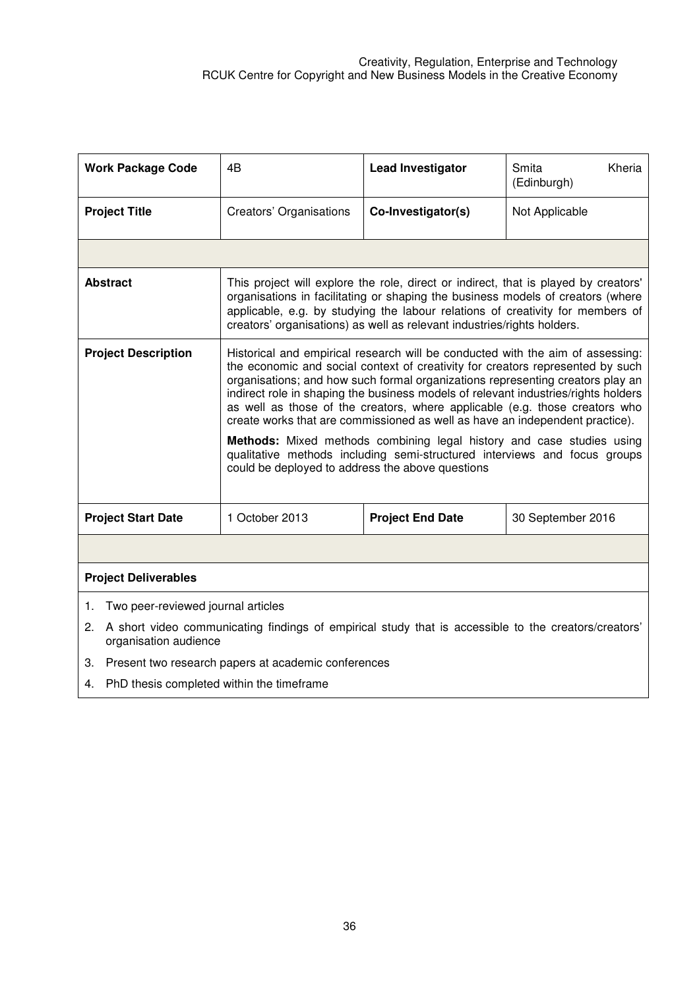| <b>Work Package Code</b>                                                                                                            | 4B                                                                                                                                                                                                                                                                                                                                                                                                                                                                                                                                                                                                                                                                                                                | <b>Lead Investigator</b> | Kheria<br>Smita<br>(Edinburgh) |  |
|-------------------------------------------------------------------------------------------------------------------------------------|-------------------------------------------------------------------------------------------------------------------------------------------------------------------------------------------------------------------------------------------------------------------------------------------------------------------------------------------------------------------------------------------------------------------------------------------------------------------------------------------------------------------------------------------------------------------------------------------------------------------------------------------------------------------------------------------------------------------|--------------------------|--------------------------------|--|
| <b>Project Title</b>                                                                                                                | Creators' Organisations                                                                                                                                                                                                                                                                                                                                                                                                                                                                                                                                                                                                                                                                                           | Co-Investigator(s)       | Not Applicable                 |  |
|                                                                                                                                     |                                                                                                                                                                                                                                                                                                                                                                                                                                                                                                                                                                                                                                                                                                                   |                          |                                |  |
| <b>Abstract</b>                                                                                                                     | This project will explore the role, direct or indirect, that is played by creators'<br>organisations in facilitating or shaping the business models of creators (where<br>applicable, e.g. by studying the labour relations of creativity for members of<br>creators' organisations) as well as relevant industries/rights holders.                                                                                                                                                                                                                                                                                                                                                                               |                          |                                |  |
| <b>Project Description</b>                                                                                                          | Historical and empirical research will be conducted with the aim of assessing:<br>the economic and social context of creativity for creators represented by such<br>organisations; and how such formal organizations representing creators play an<br>indirect role in shaping the business models of relevant industries/rights holders<br>as well as those of the creators, where applicable (e.g. those creators who<br>create works that are commissioned as well as have an independent practice).<br>Methods: Mixed methods combining legal history and case studies using<br>qualitative methods including semi-structured interviews and focus groups<br>could be deployed to address the above questions |                          |                                |  |
| <b>Project Start Date</b>                                                                                                           | 1 October 2013                                                                                                                                                                                                                                                                                                                                                                                                                                                                                                                                                                                                                                                                                                    | <b>Project End Date</b>  | 30 September 2016              |  |
|                                                                                                                                     |                                                                                                                                                                                                                                                                                                                                                                                                                                                                                                                                                                                                                                                                                                                   |                          |                                |  |
| <b>Project Deliverables</b>                                                                                                         |                                                                                                                                                                                                                                                                                                                                                                                                                                                                                                                                                                                                                                                                                                                   |                          |                                |  |
| Two peer-reviewed journal articles<br>1.                                                                                            |                                                                                                                                                                                                                                                                                                                                                                                                                                                                                                                                                                                                                                                                                                                   |                          |                                |  |
| A short video communicating findings of empirical study that is accessible to the creators/creators'<br>2.<br>organisation audience |                                                                                                                                                                                                                                                                                                                                                                                                                                                                                                                                                                                                                                                                                                                   |                          |                                |  |
| Present two research papers at academic conferences<br>3.                                                                           |                                                                                                                                                                                                                                                                                                                                                                                                                                                                                                                                                                                                                                                                                                                   |                          |                                |  |
| <b>DhD</b> theois completed within the timeframe                                                                                    |                                                                                                                                                                                                                                                                                                                                                                                                                                                                                                                                                                                                                                                                                                                   |                          |                                |  |

4. PhD thesis completed within the timeframe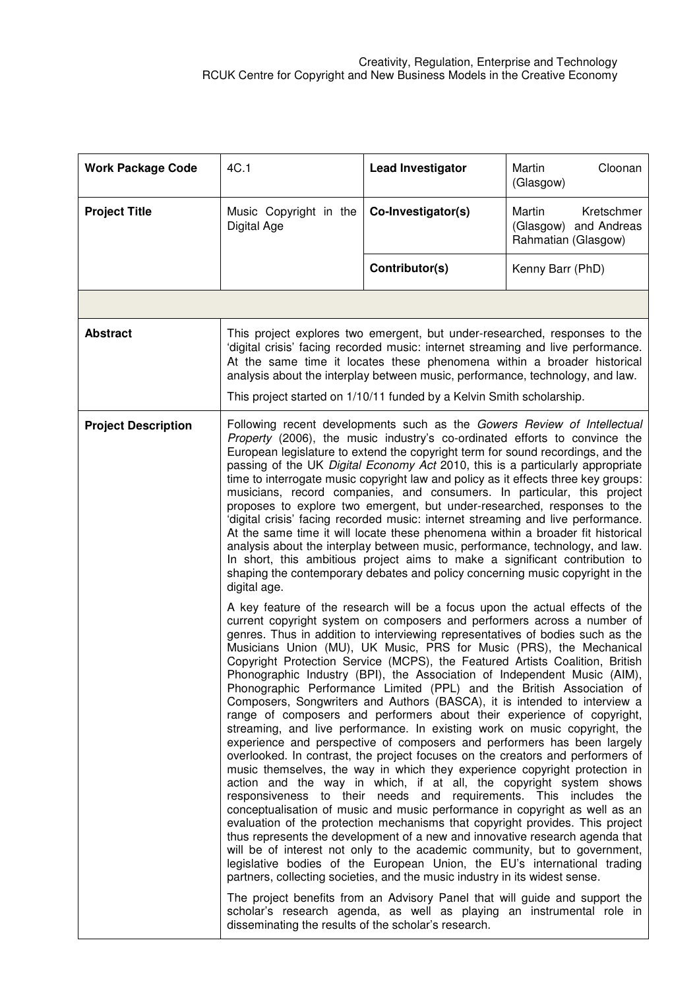| <b>Work Package Code</b>   | 4C.1                                                                                                                                                                                                                                                                                                                                                                                                                                                                                                                                                                                                                                                                                                                                                                                                                                                                                                                                                                                                            | <b>Lead Investigator</b>                                                                                                                                                                                                                                                                                                                                                                                                                                                                                                                                                                                                                                                                                                                                                                                                                                                                                                                                                                                                                                                                                                                                                                                                                                                                                                                                                                                                                                                                                                                                                                                                                                                                                                                                                                                                         | Martin<br>Cloonan<br>(Glasgow)                                       |
|----------------------------|-----------------------------------------------------------------------------------------------------------------------------------------------------------------------------------------------------------------------------------------------------------------------------------------------------------------------------------------------------------------------------------------------------------------------------------------------------------------------------------------------------------------------------------------------------------------------------------------------------------------------------------------------------------------------------------------------------------------------------------------------------------------------------------------------------------------------------------------------------------------------------------------------------------------------------------------------------------------------------------------------------------------|----------------------------------------------------------------------------------------------------------------------------------------------------------------------------------------------------------------------------------------------------------------------------------------------------------------------------------------------------------------------------------------------------------------------------------------------------------------------------------------------------------------------------------------------------------------------------------------------------------------------------------------------------------------------------------------------------------------------------------------------------------------------------------------------------------------------------------------------------------------------------------------------------------------------------------------------------------------------------------------------------------------------------------------------------------------------------------------------------------------------------------------------------------------------------------------------------------------------------------------------------------------------------------------------------------------------------------------------------------------------------------------------------------------------------------------------------------------------------------------------------------------------------------------------------------------------------------------------------------------------------------------------------------------------------------------------------------------------------------------------------------------------------------------------------------------------------------|----------------------------------------------------------------------|
| <b>Project Title</b>       | Music Copyright in the<br>Digital Age                                                                                                                                                                                                                                                                                                                                                                                                                                                                                                                                                                                                                                                                                                                                                                                                                                                                                                                                                                           | Co-Investigator(s)                                                                                                                                                                                                                                                                                                                                                                                                                                                                                                                                                                                                                                                                                                                                                                                                                                                                                                                                                                                                                                                                                                                                                                                                                                                                                                                                                                                                                                                                                                                                                                                                                                                                                                                                                                                                               | Martin<br>Kretschmer<br>(Glasgow) and Andreas<br>Rahmatian (Glasgow) |
|                            |                                                                                                                                                                                                                                                                                                                                                                                                                                                                                                                                                                                                                                                                                                                                                                                                                                                                                                                                                                                                                 | Contributor(s)                                                                                                                                                                                                                                                                                                                                                                                                                                                                                                                                                                                                                                                                                                                                                                                                                                                                                                                                                                                                                                                                                                                                                                                                                                                                                                                                                                                                                                                                                                                                                                                                                                                                                                                                                                                                                   | Kenny Barr (PhD)                                                     |
|                            |                                                                                                                                                                                                                                                                                                                                                                                                                                                                                                                                                                                                                                                                                                                                                                                                                                                                                                                                                                                                                 |                                                                                                                                                                                                                                                                                                                                                                                                                                                                                                                                                                                                                                                                                                                                                                                                                                                                                                                                                                                                                                                                                                                                                                                                                                                                                                                                                                                                                                                                                                                                                                                                                                                                                                                                                                                                                                  |                                                                      |
| <b>Abstract</b>            | This project explores two emergent, but under-researched, responses to the<br>'digital crisis' facing recorded music: internet streaming and live performance.<br>At the same time it locates these phenomena within a broader historical<br>analysis about the interplay between music, performance, technology, and law.                                                                                                                                                                                                                                                                                                                                                                                                                                                                                                                                                                                                                                                                                      |                                                                                                                                                                                                                                                                                                                                                                                                                                                                                                                                                                                                                                                                                                                                                                                                                                                                                                                                                                                                                                                                                                                                                                                                                                                                                                                                                                                                                                                                                                                                                                                                                                                                                                                                                                                                                                  |                                                                      |
|                            |                                                                                                                                                                                                                                                                                                                                                                                                                                                                                                                                                                                                                                                                                                                                                                                                                                                                                                                                                                                                                 | This project started on 1/10/11 funded by a Kelvin Smith scholarship.                                                                                                                                                                                                                                                                                                                                                                                                                                                                                                                                                                                                                                                                                                                                                                                                                                                                                                                                                                                                                                                                                                                                                                                                                                                                                                                                                                                                                                                                                                                                                                                                                                                                                                                                                            |                                                                      |
| <b>Project Description</b> | Following recent developments such as the Gowers Review of Intellectual<br>Property (2006), the music industry's co-ordinated efforts to convince the<br>European legislature to extend the copyright term for sound recordings, and the<br>passing of the UK Digital Economy Act 2010, this is a particularly appropriate<br>time to interrogate music copyright law and policy as it effects three key groups:<br>musicians, record companies, and consumers. In particular, this project<br>proposes to explore two emergent, but under-researched, responses to the<br>'digital crisis' facing recorded music: internet streaming and live performance.<br>At the same time it will locate these phenomena within a broader fit historical<br>analysis about the interplay between music, performance, technology, and law.<br>In short, this ambitious project aims to make a significant contribution to<br>shaping the contemporary debates and policy concerning music copyright in the<br>digital age. |                                                                                                                                                                                                                                                                                                                                                                                                                                                                                                                                                                                                                                                                                                                                                                                                                                                                                                                                                                                                                                                                                                                                                                                                                                                                                                                                                                                                                                                                                                                                                                                                                                                                                                                                                                                                                                  |                                                                      |
|                            | disseminating the results of the scholar's research.                                                                                                                                                                                                                                                                                                                                                                                                                                                                                                                                                                                                                                                                                                                                                                                                                                                                                                                                                            | A key feature of the research will be a focus upon the actual effects of the<br>current copyright system on composers and performers across a number of<br>genres. Thus in addition to interviewing representatives of bodies such as the<br>Musicians Union (MU), UK Music, PRS for Music (PRS), the Mechanical<br>Copyright Protection Service (MCPS), the Featured Artists Coalition, British<br>Phonographic Industry (BPI), the Association of Independent Music (AIM),<br>Phonographic Performance Limited (PPL) and the British Association of<br>Composers, Songwriters and Authors (BASCA), it is intended to interview a<br>range of composers and performers about their experience of copyright,<br>streaming, and live performance. In existing work on music copyright, the<br>experience and perspective of composers and performers has been largely<br>overlooked. In contrast, the project focuses on the creators and performers of<br>music themselves, the way in which they experience copyright protection in<br>action and the way in which, if at all, the copyright system shows<br>responsiveness to their needs and requirements. This includes the<br>conceptualisation of music and music performance in copyright as well as an<br>evaluation of the protection mechanisms that copyright provides. This project<br>thus represents the development of a new and innovative research agenda that<br>will be of interest not only to the academic community, but to government,<br>legislative bodies of the European Union, the EU's international trading<br>partners, collecting societies, and the music industry in its widest sense.<br>The project benefits from an Advisory Panel that will guide and support the<br>scholar's research agenda, as well as playing an instrumental role in |                                                                      |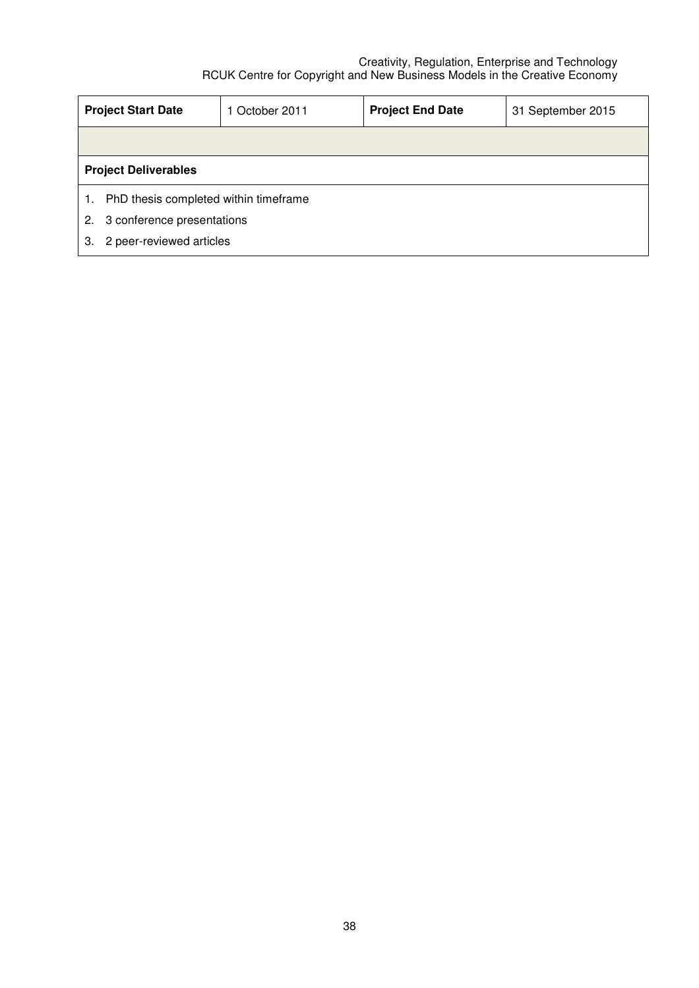|    | <b>Project Start Date</b>                   | 1 October 2011 | <b>Project End Date</b> | 31 September 2015 |  |
|----|---------------------------------------------|----------------|-------------------------|-------------------|--|
|    |                                             |                |                         |                   |  |
|    | <b>Project Deliverables</b>                 |                |                         |                   |  |
|    | PhD thesis completed within timeframe<br>1. |                |                         |                   |  |
| 2. | 3 conference presentations                  |                |                         |                   |  |
| З. | 2 peer-reviewed articles                    |                |                         |                   |  |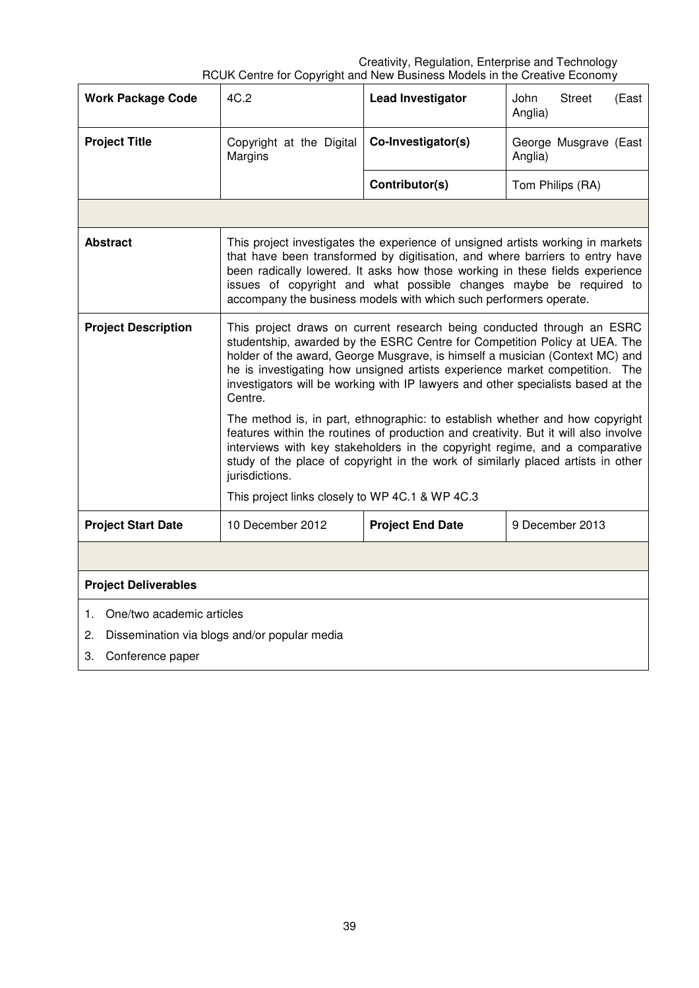| <b>Work Package Code</b>                           | 4C.2                                                                                                                                                                                                                                                                                                                                                                                                                                                                                                                                                                                                                                                                                                                                                                           | <b>Lead Investigator</b> | John<br><b>Street</b><br>(East<br>Anglia) |  |
|----------------------------------------------------|--------------------------------------------------------------------------------------------------------------------------------------------------------------------------------------------------------------------------------------------------------------------------------------------------------------------------------------------------------------------------------------------------------------------------------------------------------------------------------------------------------------------------------------------------------------------------------------------------------------------------------------------------------------------------------------------------------------------------------------------------------------------------------|--------------------------|-------------------------------------------|--|
| <b>Project Title</b>                               | Copyright at the Digital<br>Margins                                                                                                                                                                                                                                                                                                                                                                                                                                                                                                                                                                                                                                                                                                                                            | Co-Investigator(s)       | George Musgrave (East<br>Anglia)          |  |
|                                                    |                                                                                                                                                                                                                                                                                                                                                                                                                                                                                                                                                                                                                                                                                                                                                                                | Contributor(s)           | Tom Philips (RA)                          |  |
|                                                    |                                                                                                                                                                                                                                                                                                                                                                                                                                                                                                                                                                                                                                                                                                                                                                                |                          |                                           |  |
| <b>Abstract</b>                                    | This project investigates the experience of unsigned artists working in markets<br>that have been transformed by digitisation, and where barriers to entry have<br>been radically lowered. It asks how those working in these fields experience<br>issues of copyright and what possible changes maybe be required to<br>accompany the business models with which such performers operate.                                                                                                                                                                                                                                                                                                                                                                                     |                          |                                           |  |
| <b>Project Description</b>                         | This project draws on current research being conducted through an ESRC<br>studentship, awarded by the ESRC Centre for Competition Policy at UEA. The<br>holder of the award, George Musgrave, is himself a musician (Context MC) and<br>he is investigating how unsigned artists experience market competition. The<br>investigators will be working with IP lawyers and other specialists based at the<br>Centre.<br>The method is, in part, ethnographic: to establish whether and how copyright<br>features within the routines of production and creativity. But it will also involve<br>interviews with key stakeholders in the copyright regime, and a comparative<br>study of the place of copyright in the work of similarly placed artists in other<br>jurisdictions. |                          |                                           |  |
| <b>Project Start Date</b>                          | This project links closely to WP 4C.1 & WP 4C.3<br>10 December 2012                                                                                                                                                                                                                                                                                                                                                                                                                                                                                                                                                                                                                                                                                                            | <b>Project End Date</b>  | 9 December 2013                           |  |
|                                                    |                                                                                                                                                                                                                                                                                                                                                                                                                                                                                                                                                                                                                                                                                                                                                                                |                          |                                           |  |
|                                                    |                                                                                                                                                                                                                                                                                                                                                                                                                                                                                                                                                                                                                                                                                                                                                                                |                          |                                           |  |
| <b>Project Deliverables</b>                        |                                                                                                                                                                                                                                                                                                                                                                                                                                                                                                                                                                                                                                                                                                                                                                                |                          |                                           |  |
| One/two academic articles<br>1.                    |                                                                                                                                                                                                                                                                                                                                                                                                                                                                                                                                                                                                                                                                                                                                                                                |                          |                                           |  |
| Dissemination via blogs and/or popular media<br>2. |                                                                                                                                                                                                                                                                                                                                                                                                                                                                                                                                                                                                                                                                                                                                                                                |                          |                                           |  |
| 3.<br>Conference paper                             |                                                                                                                                                                                                                                                                                                                                                                                                                                                                                                                                                                                                                                                                                                                                                                                |                          |                                           |  |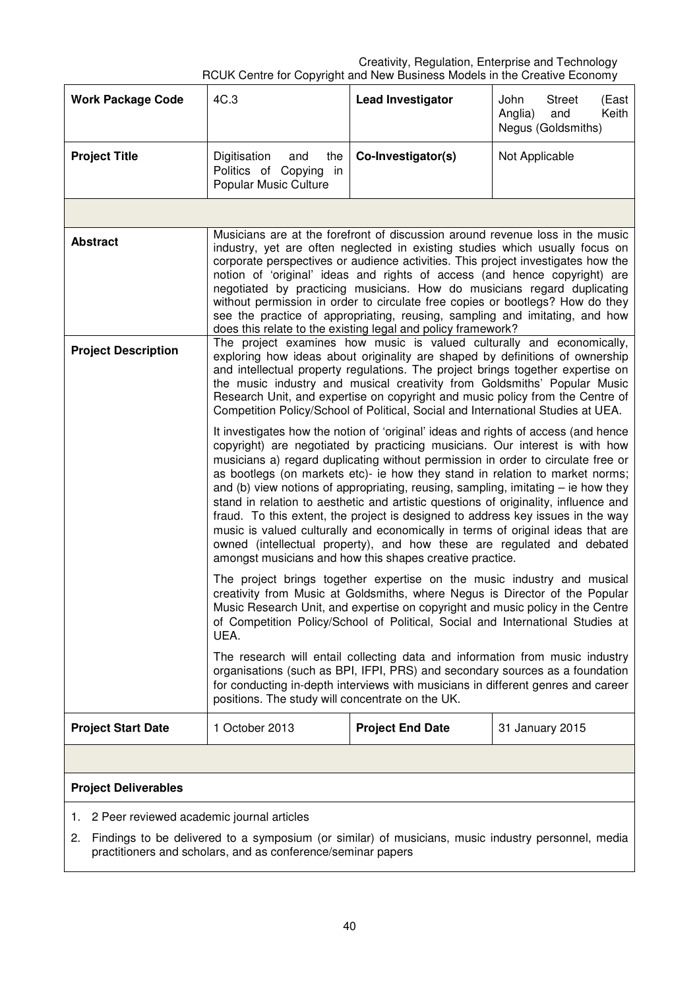| <b>Work Package Code</b>                        | 4C.3                                                                                                                                                                                                                                                                                                                                                                                                                                                                                                                                                                                                                                                                                                                                                                                                                            | <b>Lead Investigator</b> | John<br><b>Street</b><br>(East<br>Keith<br>Anglia)<br>and<br>Negus (Goldsmiths) |  |
|-------------------------------------------------|---------------------------------------------------------------------------------------------------------------------------------------------------------------------------------------------------------------------------------------------------------------------------------------------------------------------------------------------------------------------------------------------------------------------------------------------------------------------------------------------------------------------------------------------------------------------------------------------------------------------------------------------------------------------------------------------------------------------------------------------------------------------------------------------------------------------------------|--------------------------|---------------------------------------------------------------------------------|--|
| <b>Project Title</b>                            | Digitisation<br>and<br>the<br>Politics of Copying<br>in<br>Popular Music Culture                                                                                                                                                                                                                                                                                                                                                                                                                                                                                                                                                                                                                                                                                                                                                | Co-Investigator(s)       | Not Applicable                                                                  |  |
|                                                 |                                                                                                                                                                                                                                                                                                                                                                                                                                                                                                                                                                                                                                                                                                                                                                                                                                 |                          |                                                                                 |  |
| <b>Abstract</b>                                 | Musicians are at the forefront of discussion around revenue loss in the music<br>industry, yet are often neglected in existing studies which usually focus on<br>corporate perspectives or audience activities. This project investigates how the<br>notion of 'original' ideas and rights of access (and hence copyright) are<br>negotiated by practicing musicians. How do musicians regard duplicating<br>without permission in order to circulate free copies or bootlegs? How do they<br>see the practice of appropriating, reusing, sampling and imitating, and how<br>does this relate to the existing legal and policy framework?                                                                                                                                                                                       |                          |                                                                                 |  |
| <b>Project Description</b>                      | The project examines how music is valued culturally and economically,<br>exploring how ideas about originality are shaped by definitions of ownership<br>and intellectual property regulations. The project brings together expertise on<br>the music industry and musical creativity from Goldsmiths' Popular Music<br>Research Unit, and expertise on copyright and music policy from the Centre of<br>Competition Policy/School of Political, Social and International Studies at UEA.                                                                                                                                                                                                                                                                                                                                       |                          |                                                                                 |  |
|                                                 | It investigates how the notion of 'original' ideas and rights of access (and hence<br>copyright) are negotiated by practicing musicians. Our interest is with how<br>musicians a) regard duplicating without permission in order to circulate free or<br>as bootlegs (on markets etc)- ie how they stand in relation to market norms;<br>and (b) view notions of appropriating, reusing, sampling, imitating $-$ ie how they<br>stand in relation to aesthetic and artistic questions of originality, influence and<br>fraud. To this extent, the project is designed to address key issues in the way<br>music is valued culturally and economically in terms of original ideas that are<br>owned (intellectual property), and how these are regulated and debated<br>amongst musicians and how this shapes creative practice. |                          |                                                                                 |  |
|                                                 | The project brings together expertise on the music industry and musical<br>creativity from Music at Goldsmiths, where Negus is Director of the Popular<br>Music Research Unit, and expertise on copyright and music policy in the Centre<br>of Competition Policy/School of Political, Social and International Studies at<br>UEA.                                                                                                                                                                                                                                                                                                                                                                                                                                                                                              |                          |                                                                                 |  |
|                                                 | The research will entail collecting data and information from music industry<br>organisations (such as BPI, IFPI, PRS) and secondary sources as a foundation<br>for conducting in-depth interviews with musicians in different genres and career<br>positions. The study will concentrate on the UK.                                                                                                                                                                                                                                                                                                                                                                                                                                                                                                                            |                          |                                                                                 |  |
| <b>Project Start Date</b>                       | 1 October 2013                                                                                                                                                                                                                                                                                                                                                                                                                                                                                                                                                                                                                                                                                                                                                                                                                  | <b>Project End Date</b>  | 31 January 2015                                                                 |  |
|                                                 |                                                                                                                                                                                                                                                                                                                                                                                                                                                                                                                                                                                                                                                                                                                                                                                                                                 |                          |                                                                                 |  |
| <b>Project Deliverables</b>                     |                                                                                                                                                                                                                                                                                                                                                                                                                                                                                                                                                                                                                                                                                                                                                                                                                                 |                          |                                                                                 |  |
| 2 Peer reviewed academic journal articles<br>1. |                                                                                                                                                                                                                                                                                                                                                                                                                                                                                                                                                                                                                                                                                                                                                                                                                                 |                          |                                                                                 |  |

2. Findings to be delivered to a symposium (or similar) of musicians, music industry personnel, media practitioners and scholars, and as conference/seminar papers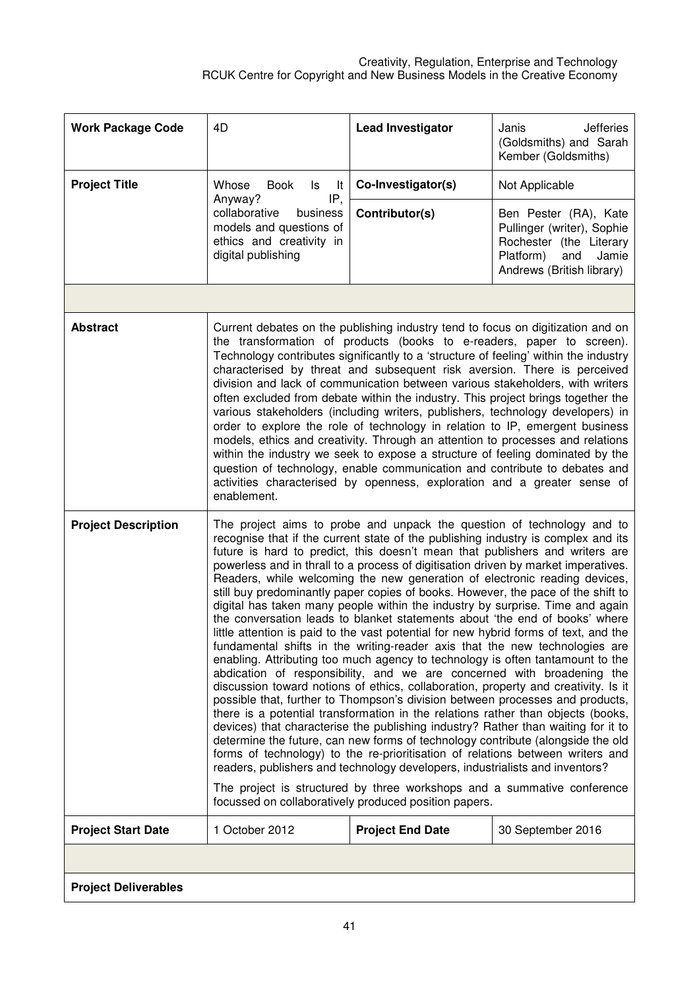| <b>Work Package Code</b>    | 4D                                                                                                                                                                                                                                                                                                                                                                                                                                                                                                                                                                                                                                                                                                                                                                                                                                                                                                                                                                                                                                                                                                                                                                                                                                                                                                                                                                                                                                                                                                                                                                                                                                                                                                                                              | <b>Lead Investigator</b> | Janis<br><b>Jefferies</b><br>(Goldsmiths) and Sarah<br>Kember (Goldsmiths)                                                               |
|-----------------------------|-------------------------------------------------------------------------------------------------------------------------------------------------------------------------------------------------------------------------------------------------------------------------------------------------------------------------------------------------------------------------------------------------------------------------------------------------------------------------------------------------------------------------------------------------------------------------------------------------------------------------------------------------------------------------------------------------------------------------------------------------------------------------------------------------------------------------------------------------------------------------------------------------------------------------------------------------------------------------------------------------------------------------------------------------------------------------------------------------------------------------------------------------------------------------------------------------------------------------------------------------------------------------------------------------------------------------------------------------------------------------------------------------------------------------------------------------------------------------------------------------------------------------------------------------------------------------------------------------------------------------------------------------------------------------------------------------------------------------------------------------|--------------------------|------------------------------------------------------------------------------------------------------------------------------------------|
| <b>Project Title</b>        | Whose<br><b>Book</b><br>It<br>ls.                                                                                                                                                                                                                                                                                                                                                                                                                                                                                                                                                                                                                                                                                                                                                                                                                                                                                                                                                                                                                                                                                                                                                                                                                                                                                                                                                                                                                                                                                                                                                                                                                                                                                                               | Co-Investigator(s)       | Not Applicable                                                                                                                           |
|                             | Anyway?<br>IP,<br>collaborative<br>business<br>models and questions of<br>ethics and creativity in<br>digital publishing                                                                                                                                                                                                                                                                                                                                                                                                                                                                                                                                                                                                                                                                                                                                                                                                                                                                                                                                                                                                                                                                                                                                                                                                                                                                                                                                                                                                                                                                                                                                                                                                                        | Contributor(s)           | Ben Pester (RA), Kate<br>Pullinger (writer), Sophie<br>Rochester (the Literary<br>Platform)<br>and<br>Jamie<br>Andrews (British library) |
|                             |                                                                                                                                                                                                                                                                                                                                                                                                                                                                                                                                                                                                                                                                                                                                                                                                                                                                                                                                                                                                                                                                                                                                                                                                                                                                                                                                                                                                                                                                                                                                                                                                                                                                                                                                                 |                          |                                                                                                                                          |
| <b>Abstract</b>             | Current debates on the publishing industry tend to focus on digitization and on<br>the transformation of products (books to e-readers, paper to screen).<br>Technology contributes significantly to a 'structure of feeling' within the industry<br>characterised by threat and subsequent risk aversion. There is perceived<br>division and lack of communication between various stakeholders, with writers<br>often excluded from debate within the industry. This project brings together the<br>various stakeholders (including writers, publishers, technology developers) in<br>order to explore the role of technology in relation to IP, emergent business<br>models, ethics and creativity. Through an attention to processes and relations<br>within the industry we seek to expose a structure of feeling dominated by the<br>question of technology, enable communication and contribute to debates and<br>activities characterised by openness, exploration and a greater sense of<br>enablement.                                                                                                                                                                                                                                                                                                                                                                                                                                                                                                                                                                                                                                                                                                                                 |                          |                                                                                                                                          |
| <b>Project Description</b>  | The project aims to probe and unpack the question of technology and to<br>recognise that if the current state of the publishing industry is complex and its<br>future is hard to predict, this doesn't mean that publishers and writers are<br>powerless and in thrall to a process of digitisation driven by market imperatives.<br>Readers, while welcoming the new generation of electronic reading devices,<br>still buy predominantly paper copies of books. However, the pace of the shift to<br>digital has taken many people within the industry by surprise. Time and again<br>the conversation leads to blanket statements about 'the end of books' where<br>little attention is paid to the vast potential for new hybrid forms of text, and the<br>fundamental shifts in the writing-reader axis that the new technologies are<br>enabling. Attributing too much agency to technology is often tantamount to the<br>abdication of responsibility, and we are concerned with broadening the<br>discussion toward notions of ethics, collaboration, property and creativity. Is it<br>possible that, further to Thompson's division between processes and products,<br>there is a potential transformation in the relations rather than objects (books,<br>devices) that characterise the publishing industry? Rather than waiting for it to<br>determine the future, can new forms of technology contribute (alongside the old<br>forms of technology) to the re-prioritisation of relations between writers and<br>readers, publishers and technology developers, industrialists and inventors?<br>The project is structured by three workshops and a summative conference<br>focussed on collaboratively produced position papers. |                          |                                                                                                                                          |
| <b>Project Start Date</b>   | 1 October 2012                                                                                                                                                                                                                                                                                                                                                                                                                                                                                                                                                                                                                                                                                                                                                                                                                                                                                                                                                                                                                                                                                                                                                                                                                                                                                                                                                                                                                                                                                                                                                                                                                                                                                                                                  | <b>Project End Date</b>  | 30 September 2016                                                                                                                        |
|                             |                                                                                                                                                                                                                                                                                                                                                                                                                                                                                                                                                                                                                                                                                                                                                                                                                                                                                                                                                                                                                                                                                                                                                                                                                                                                                                                                                                                                                                                                                                                                                                                                                                                                                                                                                 |                          |                                                                                                                                          |
| <b>Project Deliverables</b> |                                                                                                                                                                                                                                                                                                                                                                                                                                                                                                                                                                                                                                                                                                                                                                                                                                                                                                                                                                                                                                                                                                                                                                                                                                                                                                                                                                                                                                                                                                                                                                                                                                                                                                                                                 |                          |                                                                                                                                          |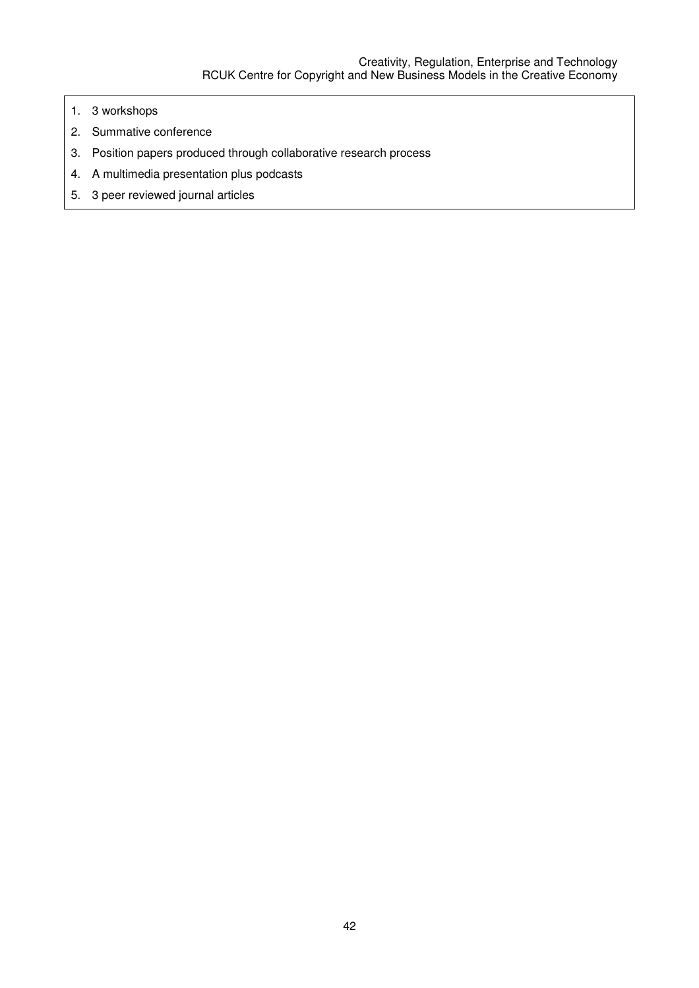- 1. 3 workshops
- 2. Summative conference
- 3. Position papers produced through collaborative research process
- 4. A multimedia presentation plus podcasts
- 5. 3 peer reviewed journal articles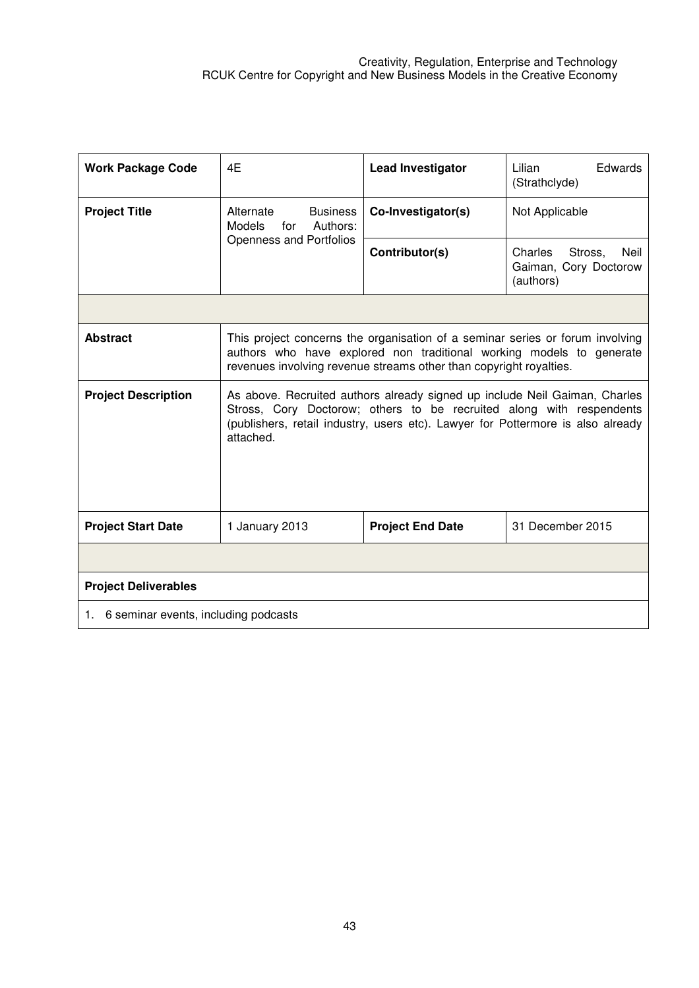| <b>Work Package Code</b>                | 4E                                                                                                                                                                                                                                                 | <b>Lead Investigator</b>                                                                                                                                                                                                    | Edwards<br>Lilian<br>(Strathclyde)                               |
|-----------------------------------------|----------------------------------------------------------------------------------------------------------------------------------------------------------------------------------------------------------------------------------------------------|-----------------------------------------------------------------------------------------------------------------------------------------------------------------------------------------------------------------------------|------------------------------------------------------------------|
| <b>Project Title</b>                    | Alternate<br><b>Business</b><br><b>Models</b><br>Authors:<br>for                                                                                                                                                                                   | Co-Investigator(s)                                                                                                                                                                                                          | Not Applicable                                                   |
|                                         | Openness and Portfolios                                                                                                                                                                                                                            | Contributor(s)                                                                                                                                                                                                              | Charles<br>Stross,<br>Neil<br>Gaiman, Cory Doctorow<br>(authors) |
|                                         |                                                                                                                                                                                                                                                    |                                                                                                                                                                                                                             |                                                                  |
| <b>Abstract</b>                         |                                                                                                                                                                                                                                                    | This project concerns the organisation of a seminar series or forum involving<br>authors who have explored non traditional working models to generate<br>revenues involving revenue streams other than copyright royalties. |                                                                  |
| <b>Project Description</b>              | As above. Recruited authors already signed up include Neil Gaiman, Charles<br>Stross, Cory Doctorow; others to be recruited along with respendents<br>(publishers, retail industry, users etc). Lawyer for Pottermore is also already<br>attached. |                                                                                                                                                                                                                             |                                                                  |
| <b>Project Start Date</b>               | 1 January 2013                                                                                                                                                                                                                                     | <b>Project End Date</b>                                                                                                                                                                                                     | 31 December 2015                                                 |
|                                         |                                                                                                                                                                                                                                                    |                                                                                                                                                                                                                             |                                                                  |
| <b>Project Deliverables</b>             |                                                                                                                                                                                                                                                    |                                                                                                                                                                                                                             |                                                                  |
| 1. 6 seminar events, including podcasts |                                                                                                                                                                                                                                                    |                                                                                                                                                                                                                             |                                                                  |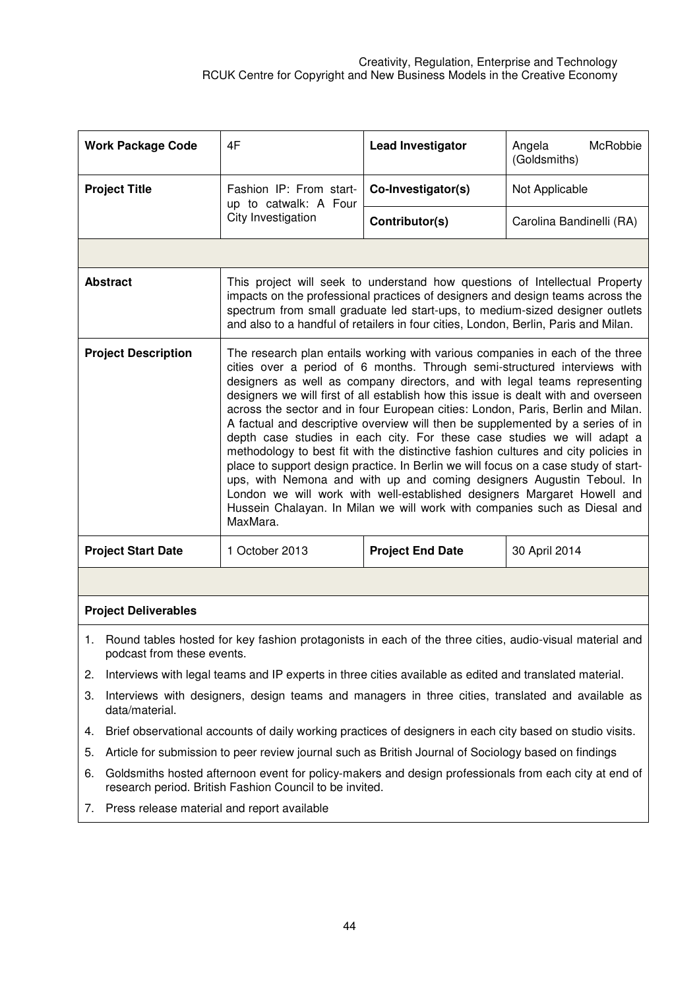| <b>Work Package Code</b>   | 4F                                                                                                                                                                                                                                                                                                                                                                                                                                                                                                                                                                                                                                                                                                                                                                                                                                                                                                                                                                                                      | <b>Lead Investigator</b> | Angela<br>McRobbie<br>(Goldsmiths) |
|----------------------------|---------------------------------------------------------------------------------------------------------------------------------------------------------------------------------------------------------------------------------------------------------------------------------------------------------------------------------------------------------------------------------------------------------------------------------------------------------------------------------------------------------------------------------------------------------------------------------------------------------------------------------------------------------------------------------------------------------------------------------------------------------------------------------------------------------------------------------------------------------------------------------------------------------------------------------------------------------------------------------------------------------|--------------------------|------------------------------------|
| <b>Project Title</b>       | Fashion IP: From start-<br>up to catwalk: A Four                                                                                                                                                                                                                                                                                                                                                                                                                                                                                                                                                                                                                                                                                                                                                                                                                                                                                                                                                        | Co-Investigator(s)       | Not Applicable                     |
|                            | City Investigation                                                                                                                                                                                                                                                                                                                                                                                                                                                                                                                                                                                                                                                                                                                                                                                                                                                                                                                                                                                      | Contributor(s)           | Carolina Bandinelli (RA)           |
|                            |                                                                                                                                                                                                                                                                                                                                                                                                                                                                                                                                                                                                                                                                                                                                                                                                                                                                                                                                                                                                         |                          |                                    |
| <b>Abstract</b>            | This project will seek to understand how questions of Intellectual Property<br>impacts on the professional practices of designers and design teams across the<br>spectrum from small graduate led start-ups, to medium-sized designer outlets<br>and also to a handful of retailers in four cities, London, Berlin, Paris and Milan.                                                                                                                                                                                                                                                                                                                                                                                                                                                                                                                                                                                                                                                                    |                          |                                    |
| <b>Project Description</b> | The research plan entails working with various companies in each of the three<br>cities over a period of 6 months. Through semi-structured interviews with<br>designers as well as company directors, and with legal teams representing<br>designers we will first of all establish how this issue is dealt with and overseen<br>across the sector and in four European cities: London, Paris, Berlin and Milan.<br>A factual and descriptive overview will then be supplemented by a series of in<br>depth case studies in each city. For these case studies we will adapt a<br>methodology to best fit with the distinctive fashion cultures and city policies in<br>place to support design practice. In Berlin we will focus on a case study of start-<br>ups, with Nemona and with up and coming designers Augustin Teboul. In<br>London we will work with well-established designers Margaret Howell and<br>Hussein Chalayan. In Milan we will work with companies such as Diesal and<br>MaxMara. |                          |                                    |
| <b>Project Start Date</b>  | 1 October 2013                                                                                                                                                                                                                                                                                                                                                                                                                                                                                                                                                                                                                                                                                                                                                                                                                                                                                                                                                                                          | <b>Project End Date</b>  | 30 April 2014                      |
|                            |                                                                                                                                                                                                                                                                                                                                                                                                                                                                                                                                                                                                                                                                                                                                                                                                                                                                                                                                                                                                         |                          |                                    |

## **Project Deliverables**

- 1. Round tables hosted for key fashion protagonists in each of the three cities, audio-visual material and podcast from these events.
- 2. Interviews with legal teams and IP experts in three cities available as edited and translated material.
- 3. Interviews with designers, design teams and managers in three cities, translated and available as data/material.
- 4. Brief observational accounts of daily working practices of designers in each city based on studio visits.
- 5. Article for submission to peer review journal such as British Journal of Sociology based on findings
- 6. Goldsmiths hosted afternoon event for policy-makers and design professionals from each city at end of research period. British Fashion Council to be invited.
- 7. Press release material and report available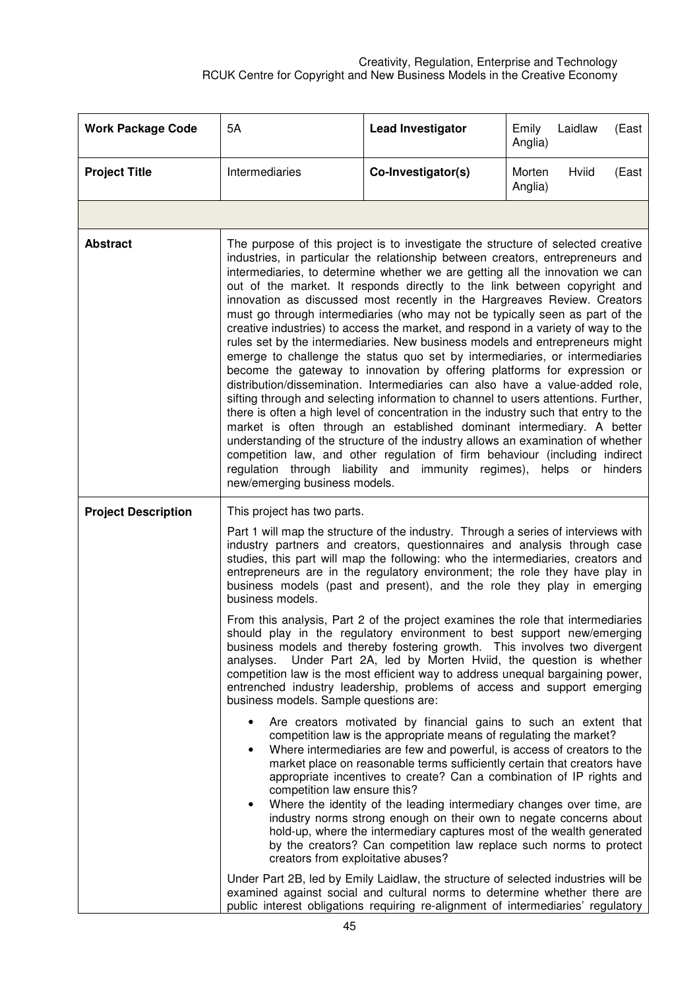| <b>Work Package Code</b>   | 5A                                                                                                                                                                                                                                                                                                                                                                                                                                                                                                                                                                                                                                                                                                                                                                                                                                                                                                                                                                                                                                                                                                                                                                                                                                                                                                                                                                                                                                             | <b>Lead Investigator</b> | Laidlaw<br>Emily<br>(East<br>Anglia) |  |
|----------------------------|------------------------------------------------------------------------------------------------------------------------------------------------------------------------------------------------------------------------------------------------------------------------------------------------------------------------------------------------------------------------------------------------------------------------------------------------------------------------------------------------------------------------------------------------------------------------------------------------------------------------------------------------------------------------------------------------------------------------------------------------------------------------------------------------------------------------------------------------------------------------------------------------------------------------------------------------------------------------------------------------------------------------------------------------------------------------------------------------------------------------------------------------------------------------------------------------------------------------------------------------------------------------------------------------------------------------------------------------------------------------------------------------------------------------------------------------|--------------------------|--------------------------------------|--|
| <b>Project Title</b>       | Intermediaries                                                                                                                                                                                                                                                                                                                                                                                                                                                                                                                                                                                                                                                                                                                                                                                                                                                                                                                                                                                                                                                                                                                                                                                                                                                                                                                                                                                                                                 | Co-Investigator(s)       | Morten<br>Hviid<br>(East<br>Anglia)  |  |
|                            |                                                                                                                                                                                                                                                                                                                                                                                                                                                                                                                                                                                                                                                                                                                                                                                                                                                                                                                                                                                                                                                                                                                                                                                                                                                                                                                                                                                                                                                |                          |                                      |  |
| <b>Abstract</b>            | The purpose of this project is to investigate the structure of selected creative<br>industries, in particular the relationship between creators, entrepreneurs and<br>intermediaries, to determine whether we are getting all the innovation we can<br>out of the market. It responds directly to the link between copyright and<br>innovation as discussed most recently in the Hargreaves Review. Creators<br>must go through intermediaries (who may not be typically seen as part of the<br>creative industries) to access the market, and respond in a variety of way to the<br>rules set by the intermediaries. New business models and entrepreneurs might<br>emerge to challenge the status quo set by intermediaries, or intermediaries<br>become the gateway to innovation by offering platforms for expression or<br>distribution/dissemination. Intermediaries can also have a value-added role,<br>sifting through and selecting information to channel to users attentions. Further,<br>there is often a high level of concentration in the industry such that entry to the<br>market is often through an established dominant intermediary. A better<br>understanding of the structure of the industry allows an examination of whether<br>competition law, and other regulation of firm behaviour (including indirect<br>regulation through liability and immunity regimes), helps or hinders<br>new/emerging business models. |                          |                                      |  |
| <b>Project Description</b> | This project has two parts.                                                                                                                                                                                                                                                                                                                                                                                                                                                                                                                                                                                                                                                                                                                                                                                                                                                                                                                                                                                                                                                                                                                                                                                                                                                                                                                                                                                                                    |                          |                                      |  |
|                            | Part 1 will map the structure of the industry. Through a series of interviews with<br>industry partners and creators, questionnaires and analysis through case<br>studies, this part will map the following: who the intermediaries, creators and<br>entrepreneurs are in the regulatory environment; the role they have play in<br>business models (past and present), and the role they play in emerging<br>business models.                                                                                                                                                                                                                                                                                                                                                                                                                                                                                                                                                                                                                                                                                                                                                                                                                                                                                                                                                                                                                 |                          |                                      |  |
|                            | From this analysis, Part 2 of the project examines the role that intermediaries<br>should play in the regulatory environment to best support new/emerging<br>business models and thereby fostering growth. This involves two divergent<br>Under Part 2A, led by Morten Hviid, the question is whether<br>analyses.<br>competition law is the most efficient way to address unequal bargaining power,<br>entrenched industry leadership, problems of access and support emerging<br>business models. Sample questions are:                                                                                                                                                                                                                                                                                                                                                                                                                                                                                                                                                                                                                                                                                                                                                                                                                                                                                                                      |                          |                                      |  |
|                            | Are creators motivated by financial gains to such an extent that<br>competition law is the appropriate means of regulating the market?<br>Where intermediaries are few and powerful, is access of creators to the<br>market place on reasonable terms sufficiently certain that creators have<br>appropriate incentives to create? Can a combination of IP rights and<br>competition law ensure this?<br>Where the identity of the leading intermediary changes over time, are<br>$\bullet$<br>industry norms strong enough on their own to negate concerns about<br>hold-up, where the intermediary captures most of the wealth generated<br>by the creators? Can competition law replace such norms to protect<br>creators from exploitative abuses?                                                                                                                                                                                                                                                                                                                                                                                                                                                                                                                                                                                                                                                                                         |                          |                                      |  |
|                            | Under Part 2B, led by Emily Laidlaw, the structure of selected industries will be<br>examined against social and cultural norms to determine whether there are<br>public interest obligations requiring re-alignment of intermediaries' regulatory                                                                                                                                                                                                                                                                                                                                                                                                                                                                                                                                                                                                                                                                                                                                                                                                                                                                                                                                                                                                                                                                                                                                                                                             |                          |                                      |  |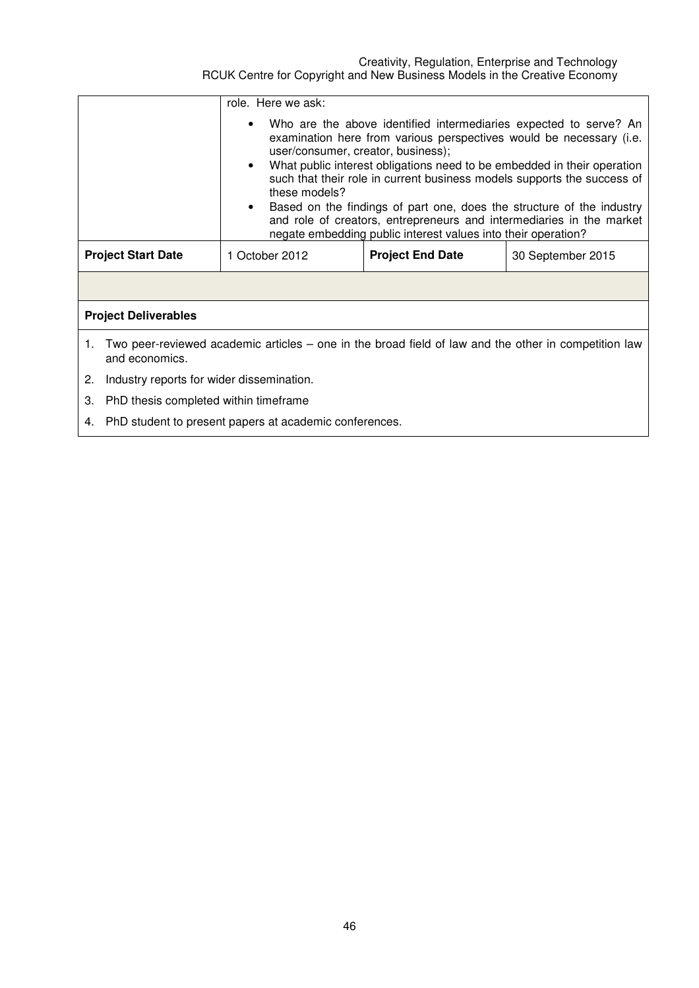|                                                                                                                              | role. Here we ask:                                                                                                                                                                                                                                                                                                                                                                                                                                                                                                                                                                     |                         |                   |  |
|------------------------------------------------------------------------------------------------------------------------------|----------------------------------------------------------------------------------------------------------------------------------------------------------------------------------------------------------------------------------------------------------------------------------------------------------------------------------------------------------------------------------------------------------------------------------------------------------------------------------------------------------------------------------------------------------------------------------------|-------------------------|-------------------|--|
|                                                                                                                              | Who are the above identified intermediaries expected to serve? An<br>examination here from various perspectives would be necessary (i.e.<br>user/consumer, creator, business);<br>What public interest obligations need to be embedded in their operation<br>$\bullet$<br>such that their role in current business models supports the success of<br>these models?<br>• Based on the findings of part one, does the structure of the industry<br>and role of creators, entrepreneurs and intermediaries in the market<br>negate embedding public interest values into their operation? |                         |                   |  |
| <b>Project Start Date</b>                                                                                                    | 1 October 2012                                                                                                                                                                                                                                                                                                                                                                                                                                                                                                                                                                         | <b>Project End Date</b> | 30 September 2015 |  |
|                                                                                                                              |                                                                                                                                                                                                                                                                                                                                                                                                                                                                                                                                                                                        |                         |                   |  |
| <b>Project Deliverables</b>                                                                                                  |                                                                                                                                                                                                                                                                                                                                                                                                                                                                                                                                                                                        |                         |                   |  |
| Two peer-reviewed academic articles – one in the broad field of law and the other in competition law<br>1.<br>and economics. |                                                                                                                                                                                                                                                                                                                                                                                                                                                                                                                                                                                        |                         |                   |  |
| Industry reports for wider dissemination.<br>2.                                                                              |                                                                                                                                                                                                                                                                                                                                                                                                                                                                                                                                                                                        |                         |                   |  |
| PhD thesis completed within timeframe<br>З.                                                                                  |                                                                                                                                                                                                                                                                                                                                                                                                                                                                                                                                                                                        |                         |                   |  |
| PhD student to present papers at academic conferences.<br>4.                                                                 |                                                                                                                                                                                                                                                                                                                                                                                                                                                                                                                                                                                        |                         |                   |  |
|                                                                                                                              |                                                                                                                                                                                                                                                                                                                                                                                                                                                                                                                                                                                        |                         |                   |  |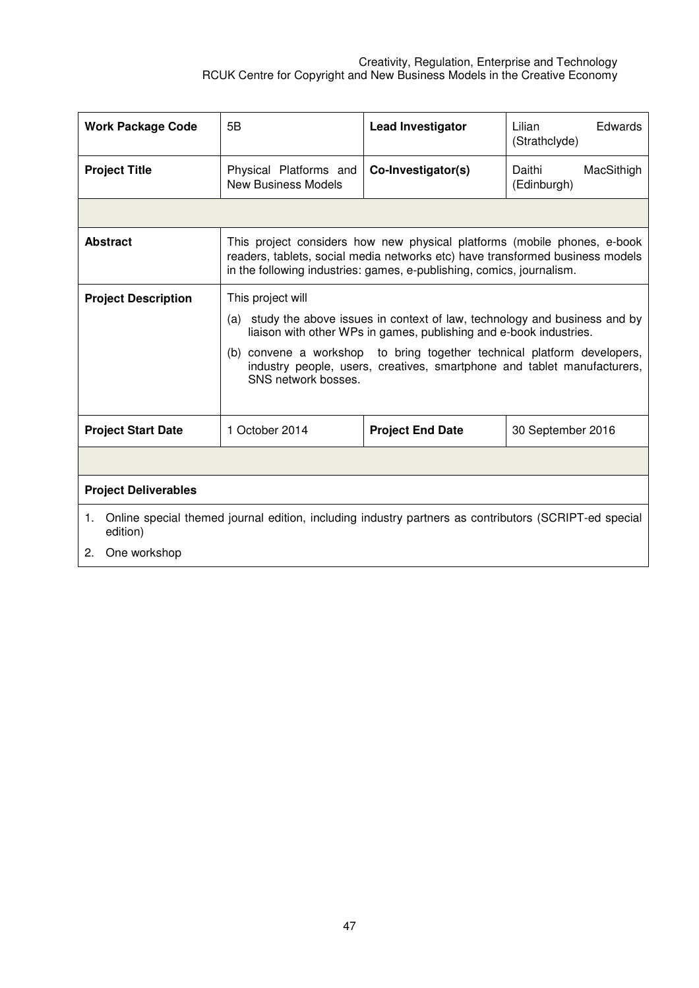| <b>Work Package Code</b>             | 5B                                                                                                                                                                                                                                                                                                                                                   | <b>Lead Investigator</b>                                                                                                                                                                                                           | Lilian<br>Edwards<br>(Strathclyde)  |  |
|--------------------------------------|------------------------------------------------------------------------------------------------------------------------------------------------------------------------------------------------------------------------------------------------------------------------------------------------------------------------------------------------------|------------------------------------------------------------------------------------------------------------------------------------------------------------------------------------------------------------------------------------|-------------------------------------|--|
| <b>Project Title</b>                 | Physical Platforms and<br><b>New Business Models</b>                                                                                                                                                                                                                                                                                                 | Co-Investigator(s)                                                                                                                                                                                                                 | Daithi<br>MacSithigh<br>(Edinburgh) |  |
|                                      |                                                                                                                                                                                                                                                                                                                                                      |                                                                                                                                                                                                                                    |                                     |  |
| <b>Abstract</b>                      |                                                                                                                                                                                                                                                                                                                                                      | This project considers how new physical platforms (mobile phones, e-book<br>readers, tablets, social media networks etc) have transformed business models<br>in the following industries: games, e-publishing, comics, journalism. |                                     |  |
| <b>Project Description</b>           | This project will<br>(a) study the above issues in context of law, technology and business and by<br>liaison with other WPs in games, publishing and e-book industries.<br>(b) convene a workshop to bring together technical platform developers,<br>industry people, users, creatives, smartphone and tablet manufacturers,<br>SNS network bosses. |                                                                                                                                                                                                                                    |                                     |  |
| <b>Project Start Date</b>            | 1 October 2014                                                                                                                                                                                                                                                                                                                                       | <b>Project End Date</b>                                                                                                                                                                                                            | 30 September 2016                   |  |
|                                      |                                                                                                                                                                                                                                                                                                                                                      |                                                                                                                                                                                                                                    |                                     |  |
| <b>Project Deliverables</b>          |                                                                                                                                                                                                                                                                                                                                                      |                                                                                                                                                                                                                                    |                                     |  |
| 1.<br>edition)<br>One workshop<br>2. | Online special themed journal edition, including industry partners as contributors (SCRIPT-ed special                                                                                                                                                                                                                                                |                                                                                                                                                                                                                                    |                                     |  |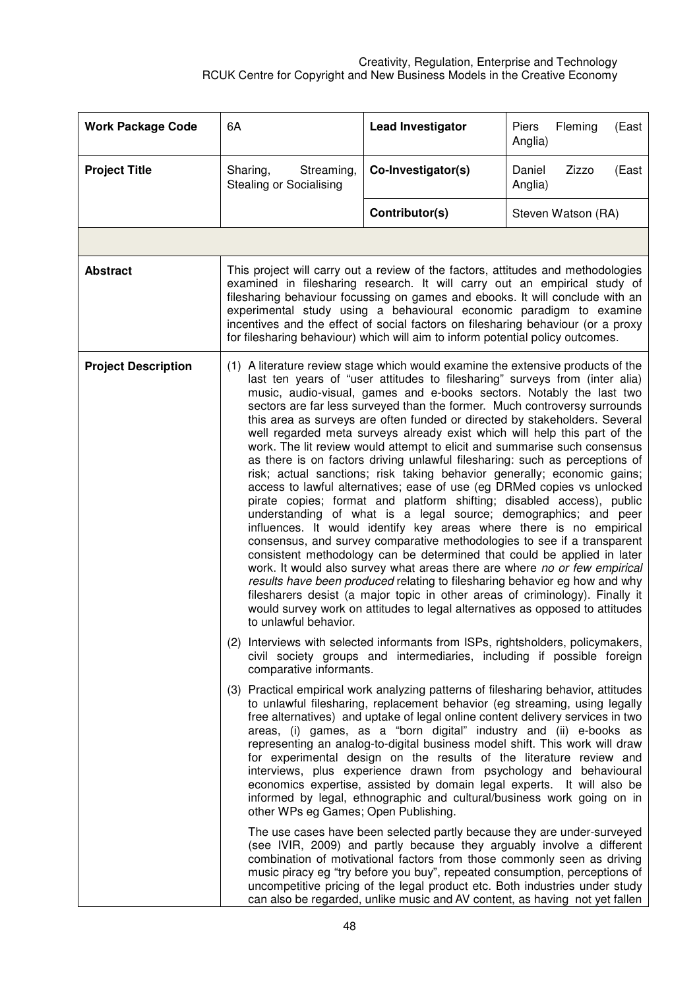| <b>Work Package Code</b>   | 6A                                                                                                                                                                                                                                                                                                                                                                                                                                                                                                                                                                                                                                                                                                                                                                                                                                                                                                                                                                                                                                                                                                                                                                                                                                                                                                                                                                                                                                                                                                                            | <b>Lead Investigator</b>                                                                                                                                                                                                                                                                                                                                                                                                                                                                                                                                                                                                                                                                                | Piers<br>Fleming<br>(East<br>Anglia) |
|----------------------------|-------------------------------------------------------------------------------------------------------------------------------------------------------------------------------------------------------------------------------------------------------------------------------------------------------------------------------------------------------------------------------------------------------------------------------------------------------------------------------------------------------------------------------------------------------------------------------------------------------------------------------------------------------------------------------------------------------------------------------------------------------------------------------------------------------------------------------------------------------------------------------------------------------------------------------------------------------------------------------------------------------------------------------------------------------------------------------------------------------------------------------------------------------------------------------------------------------------------------------------------------------------------------------------------------------------------------------------------------------------------------------------------------------------------------------------------------------------------------------------------------------------------------------|---------------------------------------------------------------------------------------------------------------------------------------------------------------------------------------------------------------------------------------------------------------------------------------------------------------------------------------------------------------------------------------------------------------------------------------------------------------------------------------------------------------------------------------------------------------------------------------------------------------------------------------------------------------------------------------------------------|--------------------------------------|
| <b>Project Title</b>       | Sharing,<br>Streaming,<br><b>Stealing or Socialising</b>                                                                                                                                                                                                                                                                                                                                                                                                                                                                                                                                                                                                                                                                                                                                                                                                                                                                                                                                                                                                                                                                                                                                                                                                                                                                                                                                                                                                                                                                      | Co-Investigator(s)                                                                                                                                                                                                                                                                                                                                                                                                                                                                                                                                                                                                                                                                                      | Daniel<br>Zizzo<br>(East<br>Anglia)  |
|                            |                                                                                                                                                                                                                                                                                                                                                                                                                                                                                                                                                                                                                                                                                                                                                                                                                                                                                                                                                                                                                                                                                                                                                                                                                                                                                                                                                                                                                                                                                                                               | Contributor(s)                                                                                                                                                                                                                                                                                                                                                                                                                                                                                                                                                                                                                                                                                          | Steven Watson (RA)                   |
|                            |                                                                                                                                                                                                                                                                                                                                                                                                                                                                                                                                                                                                                                                                                                                                                                                                                                                                                                                                                                                                                                                                                                                                                                                                                                                                                                                                                                                                                                                                                                                               |                                                                                                                                                                                                                                                                                                                                                                                                                                                                                                                                                                                                                                                                                                         |                                      |
| <b>Abstract</b>            |                                                                                                                                                                                                                                                                                                                                                                                                                                                                                                                                                                                                                                                                                                                                                                                                                                                                                                                                                                                                                                                                                                                                                                                                                                                                                                                                                                                                                                                                                                                               | This project will carry out a review of the factors, attitudes and methodologies<br>examined in filesharing research. It will carry out an empirical study of<br>filesharing behaviour focussing on games and ebooks. It will conclude with an<br>experimental study using a behavioural economic paradigm to examine<br>incentives and the effect of social factors on filesharing behaviour (or a proxy<br>for filesharing behaviour) which will aim to inform potential policy outcomes.                                                                                                                                                                                                             |                                      |
| <b>Project Description</b> | (1) A literature review stage which would examine the extensive products of the<br>last ten years of "user attitudes to filesharing" surveys from (inter alia)<br>music, audio-visual, games and e-books sectors. Notably the last two<br>sectors are far less surveyed than the former. Much controversy surrounds<br>this area as surveys are often funded or directed by stakeholders. Several<br>well regarded meta surveys already exist which will help this part of the<br>work. The lit review would attempt to elicit and summarise such consensus<br>as there is on factors driving unlawful filesharing: such as perceptions of<br>risk; actual sanctions; risk taking behavior generally; economic gains;<br>access to lawful alternatives; ease of use (eg DRMed copies vs unlocked<br>pirate copies; format and platform shifting; disabled access), public<br>understanding of what is a legal source; demographics; and peer<br>influences. It would identify key areas where there is no empirical<br>consensus, and survey comparative methodologies to see if a transparent<br>consistent methodology can be determined that could be applied in later<br>work. It would also survey what areas there are where no or few empirical<br>results have been produced relating to filesharing behavior eg how and why<br>filesharers desist (a major topic in other areas of criminology). Finally it<br>would survey work on attitudes to legal alternatives as opposed to attitudes<br>to unlawful behavior. |                                                                                                                                                                                                                                                                                                                                                                                                                                                                                                                                                                                                                                                                                                         |                                      |
|                            | (2) Interviews with selected informants from ISPs, rightsholders, policymakers,<br>civil society groups and intermediaries, including if possible foreign<br>comparative informants.                                                                                                                                                                                                                                                                                                                                                                                                                                                                                                                                                                                                                                                                                                                                                                                                                                                                                                                                                                                                                                                                                                                                                                                                                                                                                                                                          |                                                                                                                                                                                                                                                                                                                                                                                                                                                                                                                                                                                                                                                                                                         |                                      |
|                            | other WPs eg Games; Open Publishing.                                                                                                                                                                                                                                                                                                                                                                                                                                                                                                                                                                                                                                                                                                                                                                                                                                                                                                                                                                                                                                                                                                                                                                                                                                                                                                                                                                                                                                                                                          | (3) Practical empirical work analyzing patterns of filesharing behavior, attitudes<br>to unlawful filesharing, replacement behavior (eg streaming, using legally<br>free alternatives) and uptake of legal online content delivery services in two<br>areas, (i) games, as a "born digital" industry and (ii) e-books as<br>representing an analog-to-digital business model shift. This work will draw<br>for experimental design on the results of the literature review and<br>interviews, plus experience drawn from psychology and behavioural<br>economics expertise, assisted by domain legal experts. It will also be<br>informed by legal, ethnographic and cultural/business work going on in |                                      |
|                            |                                                                                                                                                                                                                                                                                                                                                                                                                                                                                                                                                                                                                                                                                                                                                                                                                                                                                                                                                                                                                                                                                                                                                                                                                                                                                                                                                                                                                                                                                                                               | The use cases have been selected partly because they are under-surveyed<br>(see IVIR, 2009) and partly because they arguably involve a different<br>combination of motivational factors from those commonly seen as driving<br>music piracy eg "try before you buy", repeated consumption, perceptions of<br>uncompetitive pricing of the legal product etc. Both industries under study<br>can also be regarded, unlike music and AV content, as having not yet fallen                                                                                                                                                                                                                                 |                                      |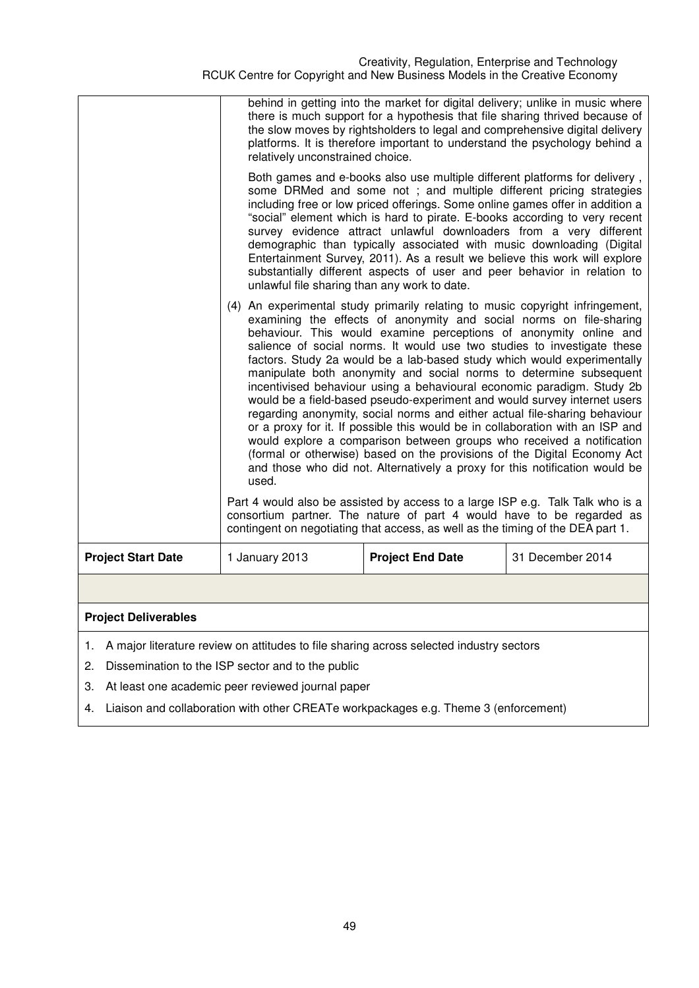|                                                                                            | relatively unconstrained choice.                                                                                                                                                                                                                                                                                                                                                                                                                                                                                                                                                                                                                                                                                                                                                                                                                                                                                                                                                                                        | behind in getting into the market for digital delivery; unlike in music where<br>there is much support for a hypothesis that file sharing thrived because of<br>the slow moves by rightsholders to legal and comprehensive digital delivery<br>platforms. It is therefore important to understand the psychology behind a |                  |  |
|--------------------------------------------------------------------------------------------|-------------------------------------------------------------------------------------------------------------------------------------------------------------------------------------------------------------------------------------------------------------------------------------------------------------------------------------------------------------------------------------------------------------------------------------------------------------------------------------------------------------------------------------------------------------------------------------------------------------------------------------------------------------------------------------------------------------------------------------------------------------------------------------------------------------------------------------------------------------------------------------------------------------------------------------------------------------------------------------------------------------------------|---------------------------------------------------------------------------------------------------------------------------------------------------------------------------------------------------------------------------------------------------------------------------------------------------------------------------|------------------|--|
|                                                                                            | Both games and e-books also use multiple different platforms for delivery,<br>some DRMed and some not; and multiple different pricing strategies<br>including free or low priced offerings. Some online games offer in addition a<br>"social" element which is hard to pirate. E-books according to very recent<br>survey evidence attract unlawful downloaders from a very different<br>demographic than typically associated with music downloading (Digital<br>Entertainment Survey, 2011). As a result we believe this work will explore<br>substantially different aspects of user and peer behavior in relation to<br>unlawful file sharing than any work to date.                                                                                                                                                                                                                                                                                                                                                |                                                                                                                                                                                                                                                                                                                           |                  |  |
|                                                                                            | (4) An experimental study primarily relating to music copyright infringement,<br>examining the effects of anonymity and social norms on file-sharing<br>behaviour. This would examine perceptions of anonymity online and<br>salience of social norms. It would use two studies to investigate these<br>factors. Study 2a would be a lab-based study which would experimentally<br>manipulate both anonymity and social norms to determine subsequent<br>incentivised behaviour using a behavioural economic paradigm. Study 2b<br>would be a field-based pseudo-experiment and would survey internet users<br>regarding anonymity, social norms and either actual file-sharing behaviour<br>or a proxy for it. If possible this would be in collaboration with an ISP and<br>would explore a comparison between groups who received a notification<br>(formal or otherwise) based on the provisions of the Digital Economy Act<br>and those who did not. Alternatively a proxy for this notification would be<br>used. |                                                                                                                                                                                                                                                                                                                           |                  |  |
|                                                                                            |                                                                                                                                                                                                                                                                                                                                                                                                                                                                                                                                                                                                                                                                                                                                                                                                                                                                                                                                                                                                                         | Part 4 would also be assisted by access to a large ISP e.g. Talk Talk who is a<br>consortium partner. The nature of part 4 would have to be regarded as<br>contingent on negotiating that access, as well as the timing of the DEA part 1.                                                                                |                  |  |
| <b>Project Start Date</b>                                                                  | 1 January 2013                                                                                                                                                                                                                                                                                                                                                                                                                                                                                                                                                                                                                                                                                                                                                                                                                                                                                                                                                                                                          | <b>Project End Date</b>                                                                                                                                                                                                                                                                                                   | 31 December 2014 |  |
|                                                                                            |                                                                                                                                                                                                                                                                                                                                                                                                                                                                                                                                                                                                                                                                                                                                                                                                                                                                                                                                                                                                                         |                                                                                                                                                                                                                                                                                                                           |                  |  |
| <b>Project Deliverables</b>                                                                |                                                                                                                                                                                                                                                                                                                                                                                                                                                                                                                                                                                                                                                                                                                                                                                                                                                                                                                                                                                                                         |                                                                                                                                                                                                                                                                                                                           |                  |  |
| 1. A major literature review on attitudes to file sharing across selected industry sectors |                                                                                                                                                                                                                                                                                                                                                                                                                                                                                                                                                                                                                                                                                                                                                                                                                                                                                                                                                                                                                         |                                                                                                                                                                                                                                                                                                                           |                  |  |

2. Dissemination to the ISP sector and to the public

3. At least one academic peer reviewed journal paper

4. Liaison and collaboration with other CREATe workpackages e.g. Theme 3 (enforcement)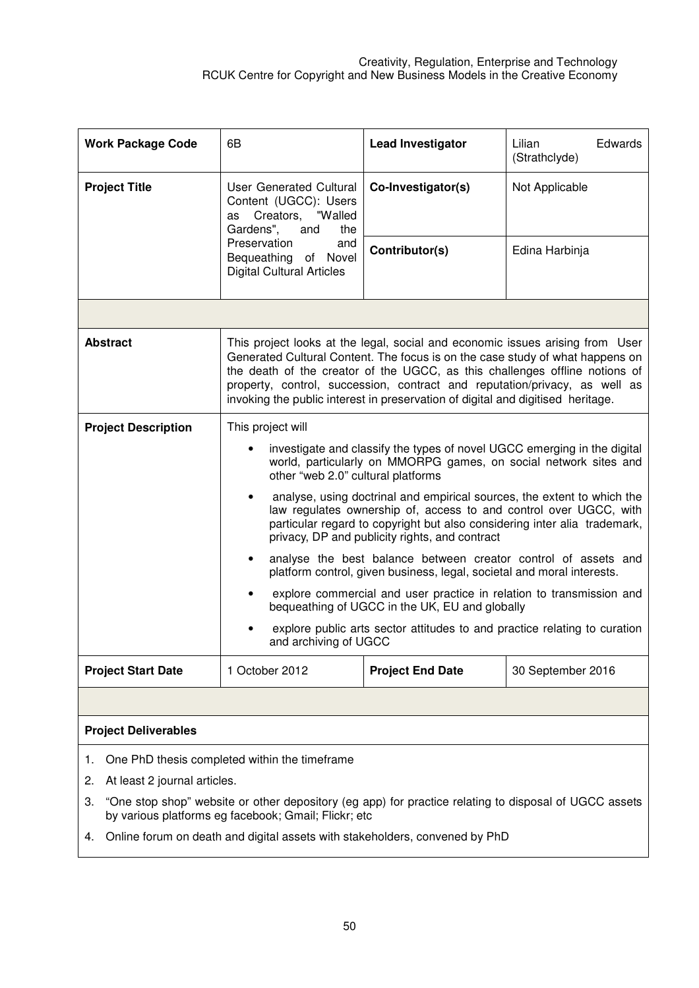| <b>Work Package Code</b>    | 6В                                                                                                                                                                                                                                                                                                                                                                                                             | <b>Lead Investigator</b> | Lilian<br>Edwards<br>(Strathclyde) |  |
|-----------------------------|----------------------------------------------------------------------------------------------------------------------------------------------------------------------------------------------------------------------------------------------------------------------------------------------------------------------------------------------------------------------------------------------------------------|--------------------------|------------------------------------|--|
| <b>Project Title</b>        | User Generated Cultural<br>Content (UGCC): Users<br>as Creators, "Walled<br>Gardens",<br>and<br>the<br>Preservation<br>and<br>Bequeathing of Novel<br><b>Digital Cultural Articles</b>                                                                                                                                                                                                                         | Co-Investigator(s)       | Not Applicable                     |  |
|                             |                                                                                                                                                                                                                                                                                                                                                                                                                | Contributor(s)           | Edina Harbinja                     |  |
|                             |                                                                                                                                                                                                                                                                                                                                                                                                                |                          |                                    |  |
| <b>Abstract</b>             | This project looks at the legal, social and economic issues arising from User<br>Generated Cultural Content. The focus is on the case study of what happens on<br>the death of the creator of the UGCC, as this challenges offline notions of<br>property, control, succession, contract and reputation/privacy, as well as<br>invoking the public interest in preservation of digital and digitised heritage. |                          |                                    |  |
| <b>Project Description</b>  | This project will                                                                                                                                                                                                                                                                                                                                                                                              |                          |                                    |  |
|                             | investigate and classify the types of novel UGCC emerging in the digital<br>world, particularly on MMORPG games, on social network sites and<br>other "web 2.0" cultural platforms                                                                                                                                                                                                                             |                          |                                    |  |
|                             | analyse, using doctrinal and empirical sources, the extent to which the<br>$\bullet$<br>law regulates ownership of, access to and control over UGCC, with<br>particular regard to copyright but also considering inter alia trademark,<br>privacy, DP and publicity rights, and contract                                                                                                                       |                          |                                    |  |
|                             | analyse the best balance between creator control of assets and<br>platform control, given business, legal, societal and moral interests.                                                                                                                                                                                                                                                                       |                          |                                    |  |
|                             | explore commercial and user practice in relation to transmission and<br>bequeathing of UGCC in the UK, EU and globally                                                                                                                                                                                                                                                                                         |                          |                                    |  |
|                             | explore public arts sector attitudes to and practice relating to curation<br>and archiving of UGCC                                                                                                                                                                                                                                                                                                             |                          |                                    |  |
| <b>Project Start Date</b>   | 1 October 2012<br><b>Project End Date</b><br>30 September 2016                                                                                                                                                                                                                                                                                                                                                 |                          |                                    |  |
|                             |                                                                                                                                                                                                                                                                                                                                                                                                                |                          |                                    |  |
| <b>Project Deliverables</b> |                                                                                                                                                                                                                                                                                                                                                                                                                |                          |                                    |  |

- 1. One PhD thesis completed within the timeframe
- 2. At least 2 journal articles.
- 3. "One stop shop" website or other depository (eg app) for practice relating to disposal of UGCC assets by various platforms eg facebook; Gmail; Flickr; etc
- 4. Online forum on death and digital assets with stakeholders, convened by PhD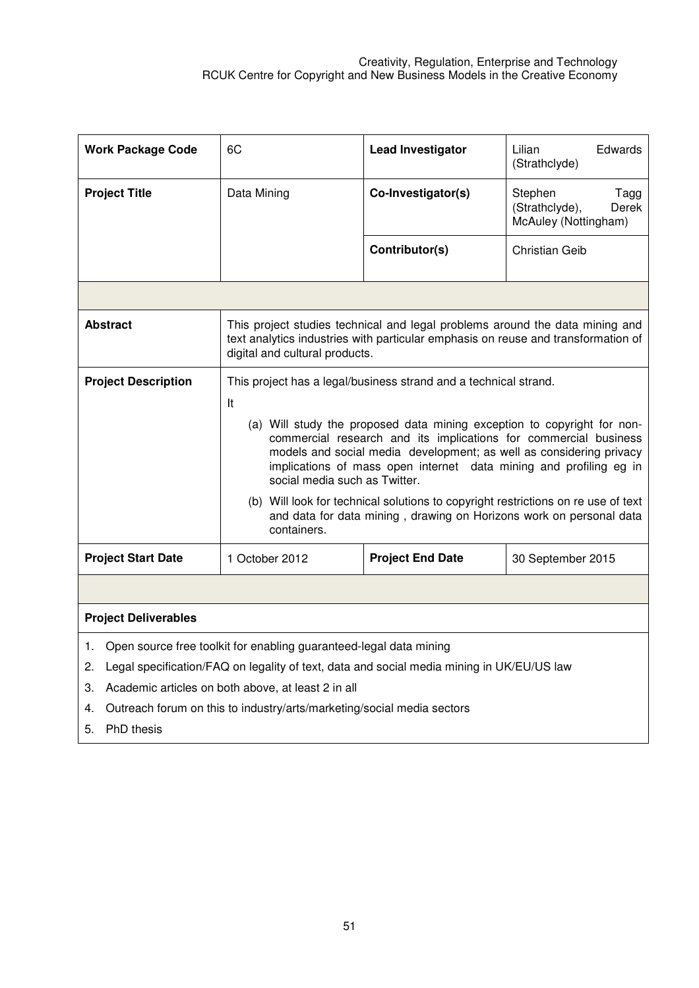| <b>Work Package Code</b>                                                                                                                                                    | 6C                                                                                                                                                                                                                                                                                                                        | <b>Lead Investigator</b> | Edwards<br>Lilian<br>(Strathclyde)                                 |
|-----------------------------------------------------------------------------------------------------------------------------------------------------------------------------|---------------------------------------------------------------------------------------------------------------------------------------------------------------------------------------------------------------------------------------------------------------------------------------------------------------------------|--------------------------|--------------------------------------------------------------------|
| <b>Project Title</b>                                                                                                                                                        | Data Mining                                                                                                                                                                                                                                                                                                               | Co-Investigator(s)       | Stephen<br>Tagg<br>(Strathclyde),<br>Derek<br>McAuley (Nottingham) |
|                                                                                                                                                                             |                                                                                                                                                                                                                                                                                                                           | Contributor(s)           | <b>Christian Geib</b>                                              |
|                                                                                                                                                                             |                                                                                                                                                                                                                                                                                                                           |                          |                                                                    |
| <b>Abstract</b>                                                                                                                                                             | This project studies technical and legal problems around the data mining and<br>text analytics industries with particular emphasis on reuse and transformation of<br>digital and cultural products.                                                                                                                       |                          |                                                                    |
| <b>Project Description</b>                                                                                                                                                  | This project has a legal/business strand and a technical strand.<br>It                                                                                                                                                                                                                                                    |                          |                                                                    |
|                                                                                                                                                                             | (a) Will study the proposed data mining exception to copyright for non-<br>commercial research and its implications for commercial business<br>models and social media development; as well as considering privacy<br>implications of mass open internet data mining and profiling eg in<br>social media such as Twitter. |                          |                                                                    |
|                                                                                                                                                                             | (b) Will look for technical solutions to copyright restrictions on re use of text<br>and data for data mining, drawing on Horizons work on personal data<br>containers.                                                                                                                                                   |                          |                                                                    |
| <b>Project Start Date</b>                                                                                                                                                   | 1 October 2012<br><b>Project End Date</b><br>30 September 2015                                                                                                                                                                                                                                                            |                          |                                                                    |
|                                                                                                                                                                             |                                                                                                                                                                                                                                                                                                                           |                          |                                                                    |
| <b>Project Deliverables</b>                                                                                                                                                 |                                                                                                                                                                                                                                                                                                                           |                          |                                                                    |
| Open source free toolkit for enabling guaranteed-legal data mining<br>1.<br>Legal specification/FAQ on legality of text, data and social media mining in UK/EU/US law<br>2. |                                                                                                                                                                                                                                                                                                                           |                          |                                                                    |

3. Academic articles on both above, at least 2 in all

4. Outreach forum on this to industry/arts/marketing/social media sectors

5. PhD thesis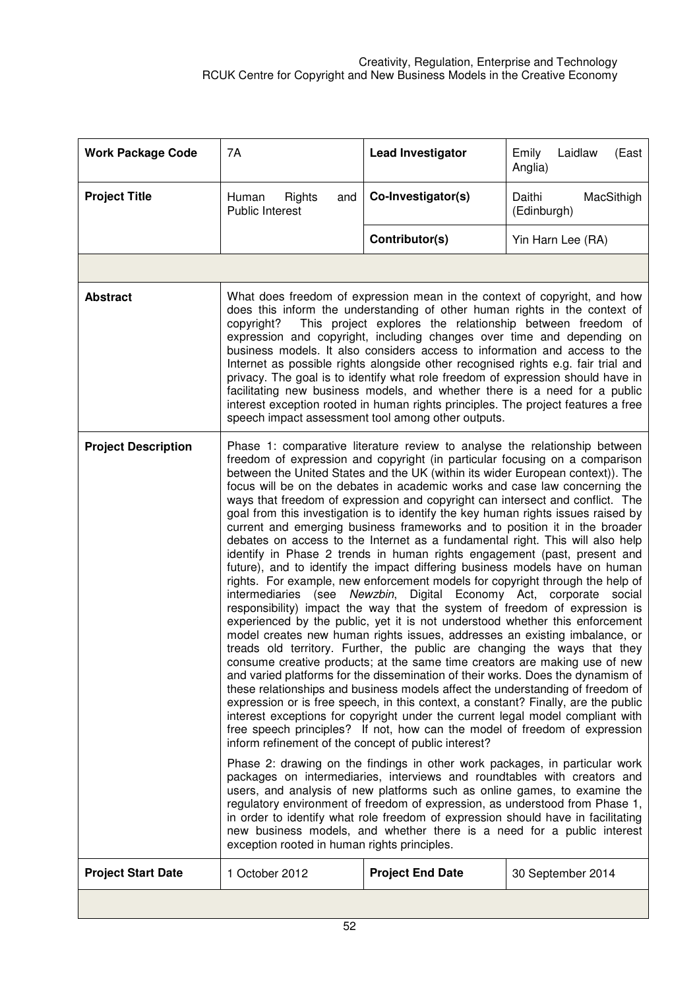| <b>Work Package Code</b>   | 7A                                                                                                                                                                                                                                                                                                                                                                                                                                                                                                                                                                                                                                                                                                                                                                                                                                                                                                                                                                                                                                                                                                                                                                                                                                                                                                                                                                                                                                                                                                                                                                                                                                                                                                                                                                                                                                                                                                                                                                                                                                                                                                                                                                                                                                                                                                                                                               | <b>Lead Investigator</b> | Laidlaw<br>Emily<br>(East<br>Anglia) |
|----------------------------|------------------------------------------------------------------------------------------------------------------------------------------------------------------------------------------------------------------------------------------------------------------------------------------------------------------------------------------------------------------------------------------------------------------------------------------------------------------------------------------------------------------------------------------------------------------------------------------------------------------------------------------------------------------------------------------------------------------------------------------------------------------------------------------------------------------------------------------------------------------------------------------------------------------------------------------------------------------------------------------------------------------------------------------------------------------------------------------------------------------------------------------------------------------------------------------------------------------------------------------------------------------------------------------------------------------------------------------------------------------------------------------------------------------------------------------------------------------------------------------------------------------------------------------------------------------------------------------------------------------------------------------------------------------------------------------------------------------------------------------------------------------------------------------------------------------------------------------------------------------------------------------------------------------------------------------------------------------------------------------------------------------------------------------------------------------------------------------------------------------------------------------------------------------------------------------------------------------------------------------------------------------------------------------------------------------------------------------------------------------|--------------------------|--------------------------------------|
| <b>Project Title</b>       | Human<br>Rights<br>and<br><b>Public Interest</b>                                                                                                                                                                                                                                                                                                                                                                                                                                                                                                                                                                                                                                                                                                                                                                                                                                                                                                                                                                                                                                                                                                                                                                                                                                                                                                                                                                                                                                                                                                                                                                                                                                                                                                                                                                                                                                                                                                                                                                                                                                                                                                                                                                                                                                                                                                                 | Co-Investigator(s)       | MacSithigh<br>Daithi<br>(Edinburgh)  |
|                            |                                                                                                                                                                                                                                                                                                                                                                                                                                                                                                                                                                                                                                                                                                                                                                                                                                                                                                                                                                                                                                                                                                                                                                                                                                                                                                                                                                                                                                                                                                                                                                                                                                                                                                                                                                                                                                                                                                                                                                                                                                                                                                                                                                                                                                                                                                                                                                  | Contributor(s)           | Yin Harn Lee (RA)                    |
|                            |                                                                                                                                                                                                                                                                                                                                                                                                                                                                                                                                                                                                                                                                                                                                                                                                                                                                                                                                                                                                                                                                                                                                                                                                                                                                                                                                                                                                                                                                                                                                                                                                                                                                                                                                                                                                                                                                                                                                                                                                                                                                                                                                                                                                                                                                                                                                                                  |                          |                                      |
| <b>Abstract</b>            | What does freedom of expression mean in the context of copyright, and how<br>does this inform the understanding of other human rights in the context of<br>This project explores the relationship between freedom of<br>copyright?<br>expression and copyright, including changes over time and depending on<br>business models. It also considers access to information and access to the<br>Internet as possible rights alongside other recognised rights e.g. fair trial and<br>privacy. The goal is to identify what role freedom of expression should have in<br>facilitating new business models, and whether there is a need for a public<br>interest exception rooted in human rights principles. The project features a free<br>speech impact assessment tool among other outputs.                                                                                                                                                                                                                                                                                                                                                                                                                                                                                                                                                                                                                                                                                                                                                                                                                                                                                                                                                                                                                                                                                                                                                                                                                                                                                                                                                                                                                                                                                                                                                                      |                          |                                      |
| <b>Project Description</b> | Phase 1: comparative literature review to analyse the relationship between<br>freedom of expression and copyright (in particular focusing on a comparison<br>between the United States and the UK (within its wider European context)). The<br>focus will be on the debates in academic works and case law concerning the<br>ways that freedom of expression and copyright can intersect and conflict. The<br>goal from this investigation is to identify the key human rights issues raised by<br>current and emerging business frameworks and to position it in the broader<br>debates on access to the Internet as a fundamental right. This will also help<br>identify in Phase 2 trends in human rights engagement (past, present and<br>future), and to identify the impact differing business models have on human<br>rights. For example, new enforcement models for copyright through the help of<br>intermediaries (see Newzbin, Digital Economy Act, corporate social<br>responsibility) impact the way that the system of freedom of expression is<br>experienced by the public, yet it is not understood whether this enforcement<br>model creates new human rights issues, addresses an existing imbalance, or<br>treads old territory. Further, the public are changing the ways that they<br>consume creative products; at the same time creators are making use of new<br>and varied platforms for the dissemination of their works. Does the dynamism of<br>these relationships and business models affect the understanding of freedom of<br>expression or is free speech, in this context, a constant? Finally, are the public<br>interest exceptions for copyright under the current legal model compliant with<br>free speech principles? If not, how can the model of freedom of expression<br>inform refinement of the concept of public interest?<br>Phase 2: drawing on the findings in other work packages, in particular work<br>packages on intermediaries, interviews and roundtables with creators and<br>users, and analysis of new platforms such as online games, to examine the<br>regulatory environment of freedom of expression, as understood from Phase 1,<br>in order to identify what role freedom of expression should have in facilitating<br>new business models, and whether there is a need for a public interest |                          |                                      |
| <b>Project Start Date</b>  | 1 October 2012                                                                                                                                                                                                                                                                                                                                                                                                                                                                                                                                                                                                                                                                                                                                                                                                                                                                                                                                                                                                                                                                                                                                                                                                                                                                                                                                                                                                                                                                                                                                                                                                                                                                                                                                                                                                                                                                                                                                                                                                                                                                                                                                                                                                                                                                                                                                                   | <b>Project End Date</b>  | 30 September 2014                    |
|                            |                                                                                                                                                                                                                                                                                                                                                                                                                                                                                                                                                                                                                                                                                                                                                                                                                                                                                                                                                                                                                                                                                                                                                                                                                                                                                                                                                                                                                                                                                                                                                                                                                                                                                                                                                                                                                                                                                                                                                                                                                                                                                                                                                                                                                                                                                                                                                                  |                          |                                      |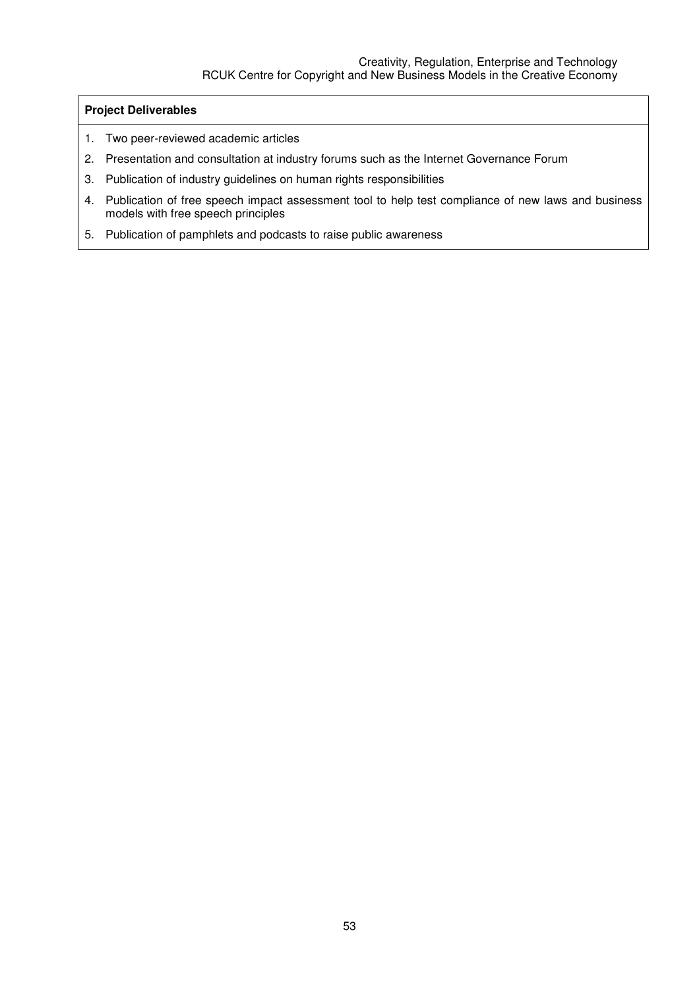## **Project Deliverables**

- 1. Two peer-reviewed academic articles
- 2. Presentation and consultation at industry forums such as the Internet Governance Forum
- 3. Publication of industry guidelines on human rights responsibilities
- 4. Publication of free speech impact assessment tool to help test compliance of new laws and business models with free speech principles
- 5. Publication of pamphlets and podcasts to raise public awareness